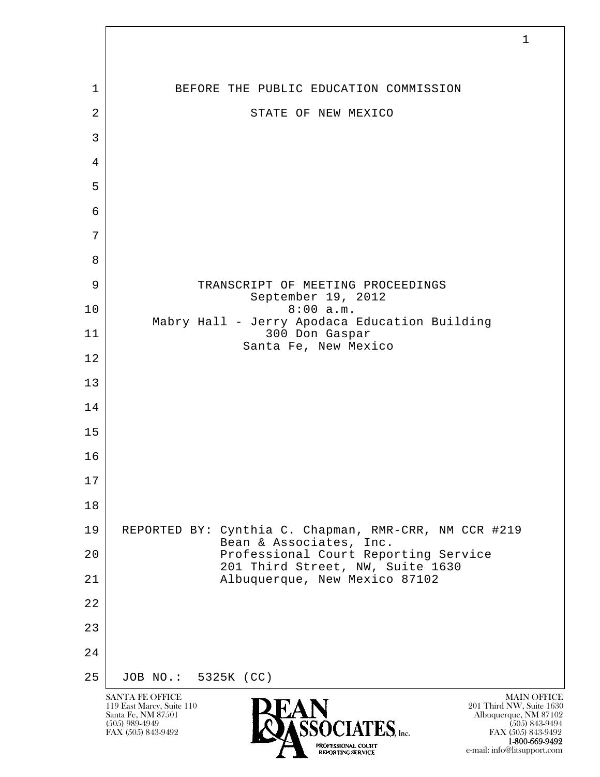| 1              | BEFORE THE PUBLIC EDUCATION COMMISSION                                           |
|----------------|----------------------------------------------------------------------------------|
| $\overline{2}$ | STATE OF NEW MEXICO                                                              |
| 3              |                                                                                  |
| $\overline{4}$ |                                                                                  |
| 5              |                                                                                  |
| 6              |                                                                                  |
| 7              |                                                                                  |
| 8              |                                                                                  |
| 9              | TRANSCRIPT OF MEETING PROCEEDINGS<br>September 19, 2012                          |
| 10             | 8:00 a.m.<br>Mabry Hall - Jerry Apodaca Education Building                       |
| 11             | 300 Don Gaspar<br>Santa Fe, New Mexico                                           |
| 12             |                                                                                  |
| 13             |                                                                                  |
| 14             |                                                                                  |
| 15             |                                                                                  |
| 16             |                                                                                  |
| $17$           |                                                                                  |
| 18             |                                                                                  |
| 19             | REPORTED BY: Cynthia C. Chapman, RMR-CRR, NM CCR #219<br>Bean & Associates, Inc. |
| 20             | Professional Court Reporting Service<br>201 Third Street, NW, Suite 1630         |
| 21             | Albuquerque, New Mexico 87102                                                    |
| 22             |                                                                                  |
| 23             |                                                                                  |
| 24             |                                                                                  |
| 25             | JOB NO.: 5325K (CC)                                                              |

 $\overline{\phantom{a}}$ 

**1-800-669-9492**<br> **EXALTERIONAL CN BT** e-mail: info@litsupport.com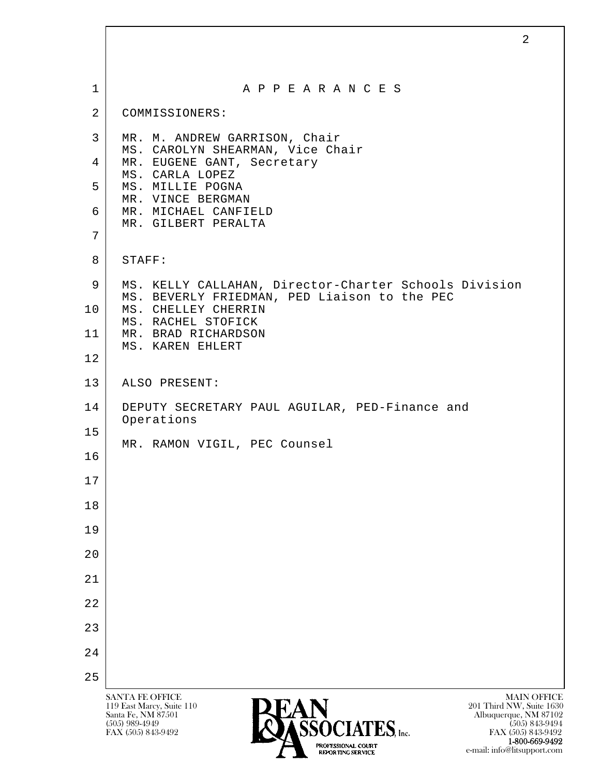| $\mathbf 1$     | A P P E A R A N C E S                                               |
|-----------------|---------------------------------------------------------------------|
| 2               | COMMISSIONERS:                                                      |
| 3               | MR. M. ANDREW GARRISON, Chair                                       |
| 4               | MS. CAROLYN SHEARMAN, Vice Chair<br>MR. EUGENE GANT, Secretary      |
| 5               | MS. CARLA LOPEZ<br>MS. MILLIE POGNA                                 |
| 6               | MR. VINCE BERGMAN<br>MR. MICHAEL CANFIELD                           |
| 7               | MR. GILBERT PERALTA                                                 |
| 8               | STAFF:                                                              |
| 9               | MS. KELLY CALLAHAN, Director-Charter Schools Division               |
| 10 <sub>o</sub> | MS. BEVERLY FRIEDMAN, PED Liaison to the PEC<br>MS. CHELLEY CHERRIN |
| 11              | MS. RACHEL STOFICK<br>MR. BRAD RICHARDSON<br>MS. KAREN EHLERT       |
| 12              |                                                                     |
| 13              | ALSO PRESENT:                                                       |
| 14              | DEPUTY SECRETARY PAUL AGUILAR, PED-Finance and                      |
| 15              | Operations                                                          |
| 16              | MR. RAMON VIGIL, PEC Counsel                                        |
| 17              |                                                                     |
| 18              |                                                                     |
| 19              |                                                                     |
| 20              |                                                                     |
| 21              |                                                                     |
| 22              |                                                                     |
| 23              |                                                                     |
| 24              |                                                                     |
| 25              |                                                                     |

**1-800-669-9492**<br> **EXALTERIONAL CN BT** e-mail: info@litsupport.com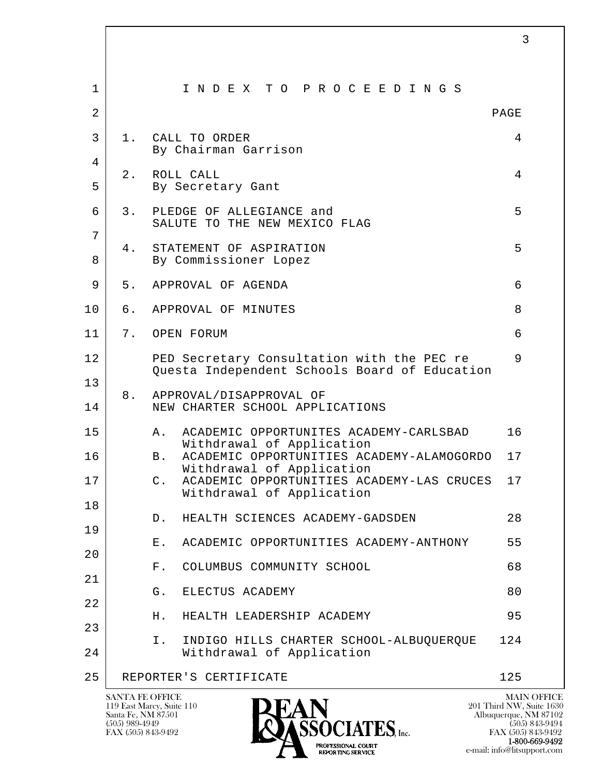| $\mathbf 1$    | INDEX TO PROCEEDINGS                                                                        |      |
|----------------|---------------------------------------------------------------------------------------------|------|
| $\overline{2}$ |                                                                                             | PAGE |
| 3              | CALL TO ORDER<br>1.<br>By Chairman Garrison                                                 | 4    |
| 4              | 2.<br>ROLL CALL                                                                             | 4    |
| 5              | By Secretary Gant                                                                           |      |
| 6              | 3.<br>PLEDGE OF ALLEGIANCE and<br>SALUTE TO THE NEW MEXICO FLAG                             | 5    |
| 7              | STATEMENT OF ASPIRATION<br>4.                                                               | 5    |
| 8              | By Commissioner Lopez                                                                       |      |
| 9              | 5.<br>APPROVAL OF AGENDA                                                                    | 6    |
| 10             | APPROVAL OF MINUTES<br>б.                                                                   | 8    |
| 11             | 7.<br>OPEN FORUM                                                                            | 6    |
| 12             | PED Secretary Consultation with the PEC re<br>Questa Independent Schools Board of Education | 9    |
| 13             |                                                                                             |      |
| 14             | 8.<br>APPROVAL/DISAPPROVAL OF<br>NEW CHARTER SCHOOL APPLICATIONS                            |      |
| 15             | ACADEMIC OPPORTUNITES ACADEMY-CARLSBAD<br>Α.<br>Withdrawal of Application                   | 16   |
| 16             | ACADEMIC OPPORTUNITIES ACADEMY-ALAMOGORDO<br>B.<br>Withdrawal of Application                | 17   |
| 17             | ACADEMIC OPPORTUNITIES ACADEMY-LAS CRUCES<br>$\mathsf{C}$ .<br>Withdrawal of Application    | 17   |
| 18             | HEALTH SCIENCES ACADEMY-GADSDEN<br>D.                                                       | 28   |
| 19             | ACADEMIC OPPORTUNITIES ACADEMY-ANTHONY<br>$E$ .                                             | 55   |
| 20             |                                                                                             |      |
| 21             | COLUMBUS COMMUNITY SCHOOL<br>$F$ .                                                          | 68   |
| 22             | G.<br>ELECTUS ACADEMY                                                                       | 80   |
| 23             | Н.<br>HEALTH LEADERSHIP ACADEMY                                                             | 95   |
| 24             | INDIGO HILLS CHARTER SCHOOL-ALBUQUERQUE<br>Ι.<br>Withdrawal of Application                  | 124  |
| 25             | REPORTER'S CERTIFICATE                                                                      | 125  |
|                |                                                                                             |      |

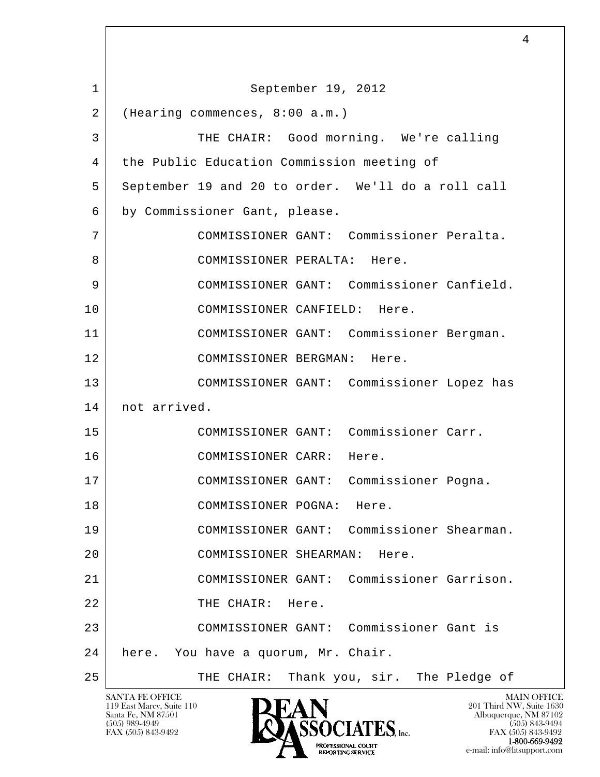l  $\overline{\phantom{a}}$ SANTA FE OFFICE MAIN OFFICE MAIN OFFICE MAIN OFFICE MAIN OFFICE 1 September 19, 2012 2 (Hearing commences, 8:00 a.m.) 3 THE CHAIR: Good morning. We're calling 4 the Public Education Commission meeting of 5 September 19 and 20 to order. We'll do a roll call 6 by Commissioner Gant, please. 7 COMMISSIONER GANT: Commissioner Peralta. 8 COMMISSIONER PERALTA: Here. 9 COMMISSIONER GANT: Commissioner Canfield. 10 COMMISSIONER CANFIELD: Here. 11 COMMISSIONER GANT: Commissioner Bergman. 12 COMMISSIONER BERGMAN: Here. 13 COMMISSIONER GANT: Commissioner Lopez has 14 not arrived. 15 COMMISSIONER GANT: Commissioner Carr. 16 | COMMISSIONER CARR: Here. 17 COMMISSIONER GANT: Commissioner Pogna. 18 COMMISSIONER POGNA: Here. 19 COMMISSIONER GANT: Commissioner Shearman. 20 COMMISSIONER SHEARMAN: Here. 21 COMMISSIONER GANT: Commissioner Garrison. 22 THE CHAIR: Here. 23 COMMISSIONER GANT: Commissioner Gant is 24 here. You have a quorum, Mr. Chair. 25 | THE CHAIR: Thank you, sir. The Pledge of

119 East Marcy, Suite 110<br>Santa Fe, NM 87501

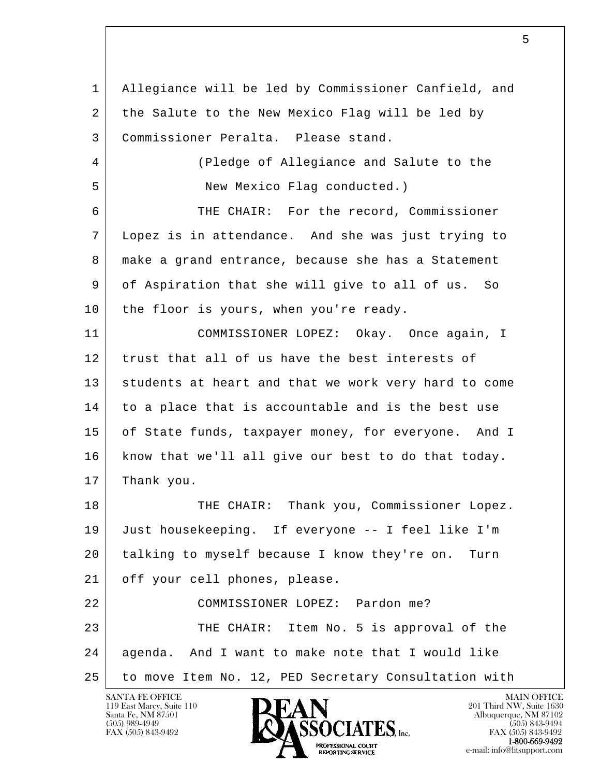l  $\overline{\phantom{a}}$  1 Allegiance will be led by Commissioner Canfield, and 2 the Salute to the New Mexico Flag will be led by 3 Commissioner Peralta. Please stand. 4 (Pledge of Allegiance and Salute to the 5 New Mexico Flag conducted.) 6 THE CHAIR: For the record, Commissioner 7 Lopez is in attendance. And she was just trying to 8 make a grand entrance, because she has a Statement 9 of Aspiration that she will give to all of us. So 10 | the floor is yours, when you're ready. 11 COMMISSIONER LOPEZ: Okay. Once again, I 12 trust that all of us have the best interests of 13 | students at heart and that we work very hard to come 14 to a place that is accountable and is the best use 15 of State funds, taxpayer money, for everyone. And I 16 know that we'll all give our best to do that today. 17 Thank you. 18 THE CHAIR: Thank you, Commissioner Lopez. 19 Just housekeeping. If everyone -- I feel like I'm 20 talking to myself because I know they're on. Turn 21 | off your cell phones, please. 22 COMMISSIONER LOPEZ: Pardon me? 23 THE CHAIR: Item No. 5 is approval of the 24 agenda. And I want to make note that I would like 25 to move Item No. 12, PED Secretary Consultation with

119 East Marcy, Suite 110<br>Santa Fe, NM 87501

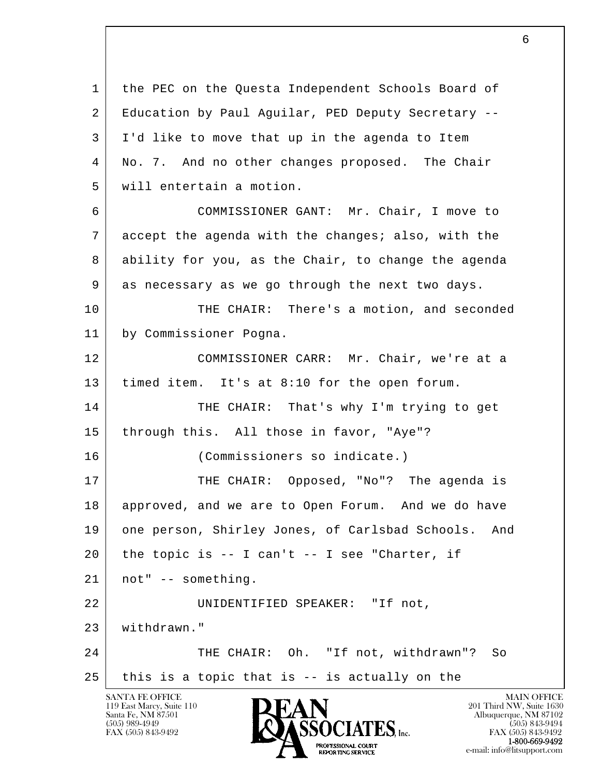l  $\overline{\phantom{a}}$ SANTA FE OFFICE MAIN OFFICE MAIN OFFICE MAIN OFFICE MAIN OFFICE 1 the PEC on the Questa Independent Schools Board of 2 | Education by Paul Aguilar, PED Deputy Secretary -- 3 I'd like to move that up in the agenda to Item 4 No. 7. And no other changes proposed. The Chair 5 will entertain a motion. 6 COMMISSIONER GANT: Mr. Chair, I move to 7 accept the agenda with the changes; also, with the 8 ability for you, as the Chair, to change the agenda 9 as necessary as we go through the next two days. 10 THE CHAIR: There's a motion, and seconded 11 by Commissioner Pogna. 12 COMMISSIONER CARR: Mr. Chair, we're at a 13 timed item. It's at 8:10 for the open forum. 14 THE CHAIR: That's why I'm trying to get 15 through this. All those in favor, "Aye"? 16 (Commissioners so indicate.) 17 THE CHAIR: Opposed, "No"? The agenda is 18 approved, and we are to Open Forum. And we do have 19 one person, Shirley Jones, of Carlsbad Schools. And 20 the topic is -- I can't -- I see "Charter, if 21 not" -- something. 22 | UNIDENTIFIED SPEAKER: "If not, 23 withdrawn." 24 THE CHAIR: Oh. "If not, withdrawn"? So  $25$  this is a topic that is  $-$  is actually on the

119 East Marcy, Suite 110<br>Santa Fe, NM 87501

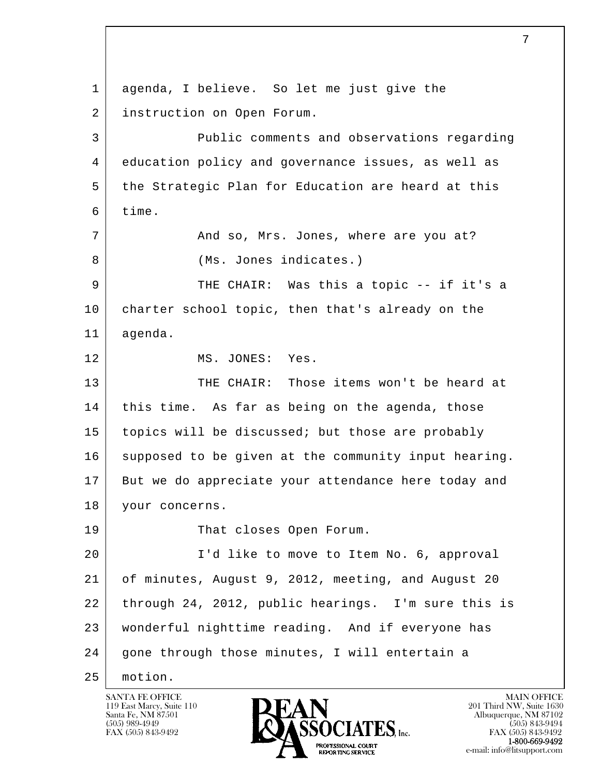l  $\overline{\phantom{a}}$  1 agenda, I believe. So let me just give the 2 instruction on Open Forum. 3 Public comments and observations regarding 4 education policy and governance issues, as well as 5 the Strategic Plan for Education are heard at this 6 time. 7 and so, Mrs. Jones, where are you at? 8 (Ms. Jones indicates.) 9 THE CHAIR: Was this a topic -- if it's a 10 | charter school topic, then that's already on the 11 agenda. 12 MS. JONES: Yes. 13 | THE CHAIR: Those items won't be heard at 14 | this time. As far as being on the agenda, those 15 topics will be discussed; but those are probably 16 supposed to be given at the community input hearing. 17 But we do appreciate your attendance here today and 18 | your concerns. 19 That closes Open Forum. 20 I'd like to move to Item No. 6, approval 21 of minutes, August 9, 2012, meeting, and August 20 22 through 24, 2012, public hearings. I'm sure this is 23 wonderful nighttime reading. And if everyone has 24 gone through those minutes, I will entertain a 25 motion.

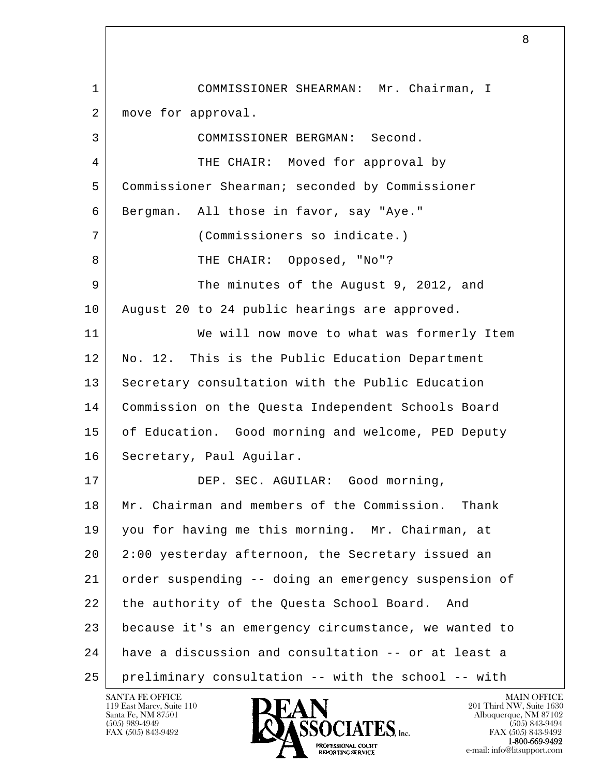l  $\overline{\phantom{a}}$  1 COMMISSIONER SHEARMAN: Mr. Chairman, I 2 | move for approval. 3 COMMISSIONER BERGMAN: Second. 4 THE CHAIR: Moved for approval by 5 Commissioner Shearman; seconded by Commissioner 6 Bergman. All those in favor, say "Aye." 7 (Commissioners so indicate.) 8 | THE CHAIR: Opposed, "No"? 9 The minutes of the August 9, 2012, and 10 August 20 to 24 public hearings are approved. 11 We will now move to what was formerly Item 12 | No. 12. This is the Public Education Department 13 Secretary consultation with the Public Education 14 Commission on the Questa Independent Schools Board 15 of Education. Good morning and welcome, PED Deputy 16 | Secretary, Paul Aguilar. 17 DEP. SEC. AGUILAR: Good morning, 18 Mr. Chairman and members of the Commission. Thank 19 you for having me this morning. Mr. Chairman, at 20 2:00 yesterday afternoon, the Secretary issued an 21 order suspending -- doing an emergency suspension of 22 the authority of the Questa School Board. And 23 because it's an emergency circumstance, we wanted to 24 have a discussion and consultation -- or at least a 25 preliminary consultation -- with the school -- with

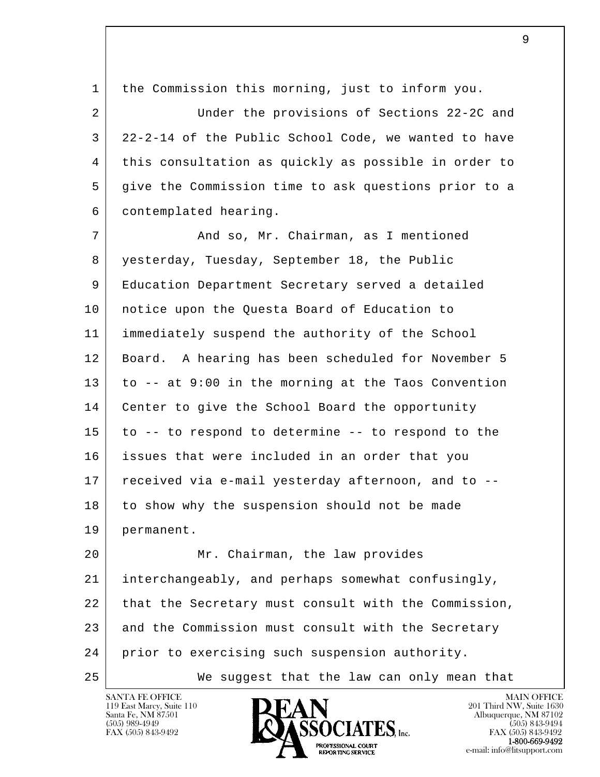l  $\overline{\phantom{a}}$  1 the Commission this morning, just to inform you. 2 Under the provisions of Sections 22-2C and 3 22-2-14 of the Public School Code, we wanted to have 4 this consultation as quickly as possible in order to 5 give the Commission time to ask questions prior to a 6 contemplated hearing. 7 And so, Mr. Chairman, as I mentioned 8 yesterday, Tuesday, September 18, the Public 9 Education Department Secretary served a detailed 10 notice upon the Questa Board of Education to 11 immediately suspend the authority of the School 12 Board. A hearing has been scheduled for November 5 13 to -- at 9:00 in the morning at the Taos Convention 14 | Center to give the School Board the opportunity 15 to -- to respond to determine -- to respond to the 16 issues that were included in an order that you 17 received via e-mail yesterday afternoon, and to --18 to show why the suspension should not be made 19 permanent. 20 Mr. Chairman, the law provides 21 interchangeably, and perhaps somewhat confusingly, 22 that the Secretary must consult with the Commission, 23 and the Commission must consult with the Secretary 24 prior to exercising such suspension authority. 25 We suggest that the law can only mean that

119 East Marcy, Suite 110<br>Santa Fe, NM 87501



FAX (505) 843-9492<br>**1-800-669-9492**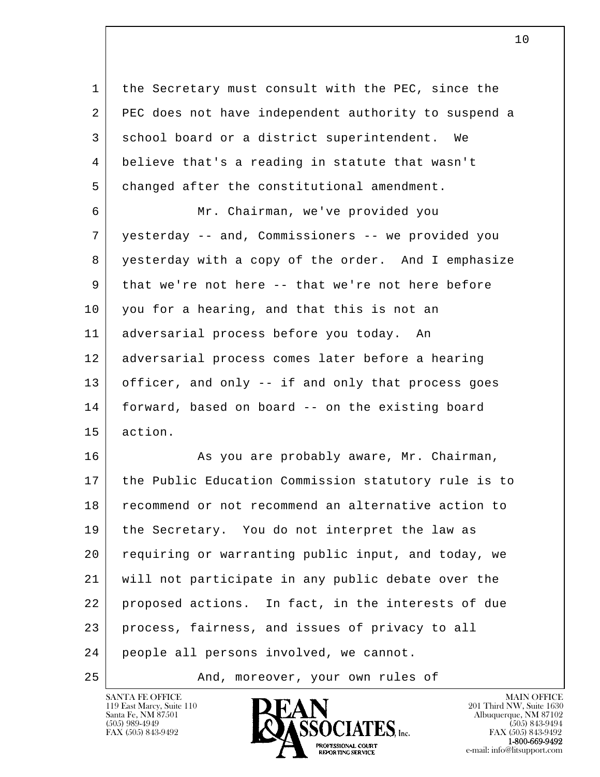1 the Secretary must consult with the PEC, since the 2 PEC does not have independent authority to suspend a 3 school board or a district superintendent. We 4 believe that's a reading in statute that wasn't 5 changed after the constitutional amendment.

 6 Mr. Chairman, we've provided you 7 yesterday -- and, Commissioners -- we provided you 8 yesterday with a copy of the order. And I emphasize 9 | that we're not here -- that we're not here before 10 you for a hearing, and that this is not an 11 adversarial process before you today. An 12 adversarial process comes later before a hearing 13 officer, and only -- if and only that process goes 14 forward, based on board -- on the existing board 15 action.

l  $\overline{\phantom{a}}$ 16 As you are probably aware, Mr. Chairman, 17 the Public Education Commission statutory rule is to 18 recommend or not recommend an alternative action to 19 | the Secretary. You do not interpret the law as 20 requiring or warranting public input, and today, we 21 will not participate in any public debate over the 22 proposed actions. In fact, in the interests of due 23 process, fairness, and issues of privacy to all 24 people all persons involved, we cannot.

25 | The Mand, moreover, your own rules of

119 East Marcy, Suite 110<br>Santa Fe, NM 87501



FAX (505) 843-9492<br>**1-800-669-9492**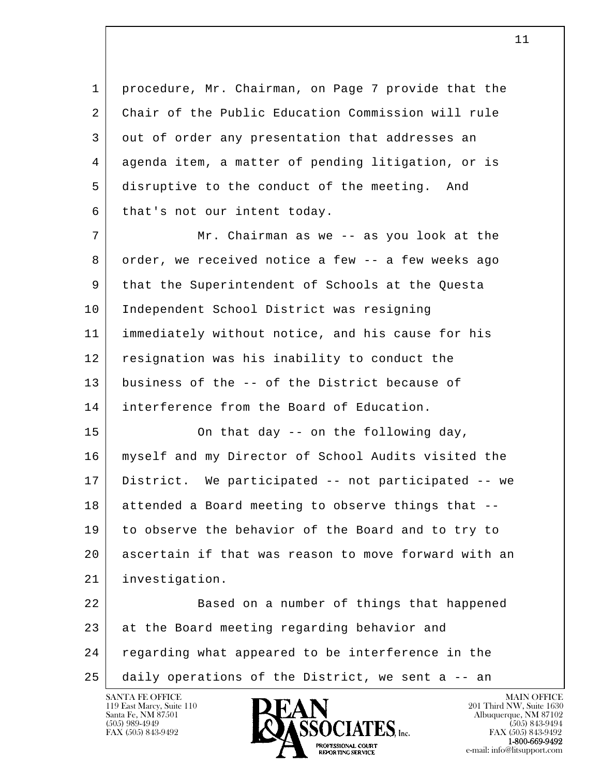1 procedure, Mr. Chairman, on Page 7 provide that the 2 Chair of the Public Education Commission will rule 3 out of order any presentation that addresses an 4 agenda item, a matter of pending litigation, or is 5 disruptive to the conduct of the meeting. And 6 that's not our intent today.

7 | Mr. Chairman as we -- as you look at the 8 order, we received notice a few -- a few weeks ago 9 that the Superintendent of Schools at the Questa 10 Independent School District was resigning 11 immediately without notice, and his cause for his 12 resignation was his inability to conduct the 13 business of the -- of the District because of 14 interference from the Board of Education.

15 On that day -- on the following day, 16 myself and my Director of School Audits visited the 17 District. We participated -- not participated -- we 18 attended a Board meeting to observe things that -- 19 to observe the behavior of the Board and to try to 20 ascertain if that was reason to move forward with an 21 investigation.

l  $\overline{\phantom{a}}$ 22 Based on a number of things that happened 23 at the Board meeting regarding behavior and 24 regarding what appeared to be interference in the 25 daily operations of the District, we sent a -- an

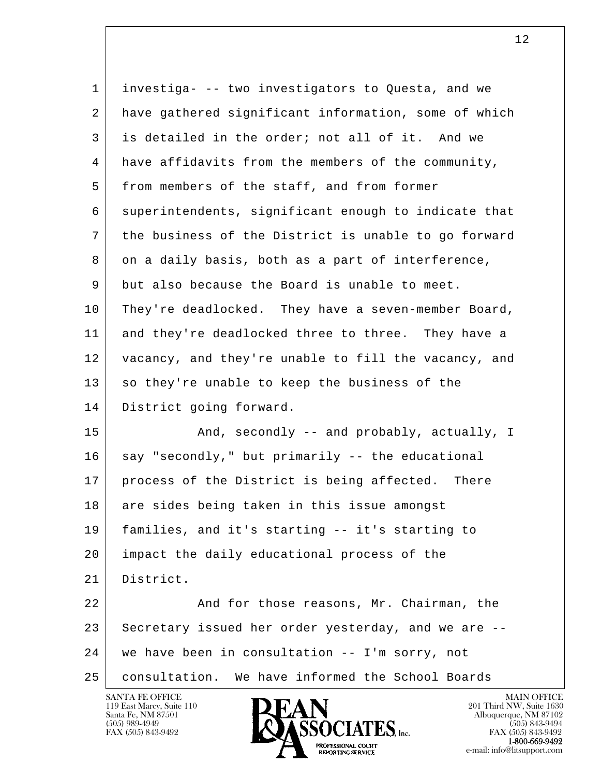| $\mathbf{1}$ | investiga- -- two investigators to Questa, and we    |
|--------------|------------------------------------------------------|
| 2            | have gathered significant information, some of which |
| 3            | is detailed in the order; not all of it. And we      |
| 4            | have affidavits from the members of the community,   |
| 5            | from members of the staff, and from former           |
| 6            | superintendents, significant enough to indicate that |
| 7            | the business of the District is unable to go forward |
| 8            | on a daily basis, both as a part of interference,    |
| 9            | but also because the Board is unable to meet.        |
| 10           | They're deadlocked. They have a seven-member Board,  |
| 11           | and they're deadlocked three to three. They have a   |
| 12           | vacancy, and they're unable to fill the vacancy, and |
| 13           | so they're unable to keep the business of the        |
| 14           | District going forward.                              |
| 15           | And, secondly -- and probably, actually, I           |
| 16           | say "secondly," but primarily -- the educational     |
| 17           | process of the District is being affected. There     |
| 18           | are sides being taken in this issue amongst          |
| 19           | families, and it's starting -- it's starting to      |
| 20           | impact the daily educational process of the          |
| 21           | District.                                            |
| 22           | And for those reasons, Mr. Chairman, the             |
| 23           | Secretary issued her order yesterday, and we are --  |
| 24           | we have been in consultation -- I'm sorry, not       |
| 25           | consultation. We have informed the School Boards     |

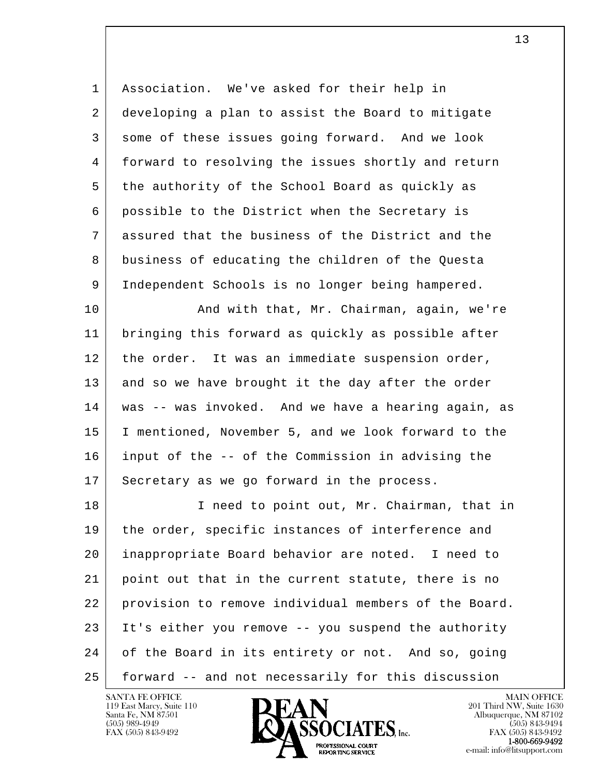1 Association. We've asked for their help in 2 developing a plan to assist the Board to mitigate 3 some of these issues going forward. And we look 4 forward to resolving the issues shortly and return 5 the authority of the School Board as quickly as 6 possible to the District when the Secretary is 7 assured that the business of the District and the 8 business of educating the children of the Questa 9 Independent Schools is no longer being hampered.

10 | And with that, Mr. Chairman, again, we're 11 bringing this forward as quickly as possible after 12 | the order. It was an immediate suspension order, 13 and so we have brought it the day after the order 14 was -- was invoked. And we have a hearing again, as 15 I mentioned, November 5, and we look forward to the 16 input of the -- of the Commission in advising the 17 Secretary as we go forward in the process.

l  $\overline{\phantom{a}}$ 18 I need to point out, Mr. Chairman, that in 19 | the order, specific instances of interference and 20 inappropriate Board behavior are noted. I need to 21 point out that in the current statute, there is no 22 provision to remove individual members of the Board. 23 It's either you remove -- you suspend the authority 24 of the Board in its entirety or not. And so, going 25 forward -- and not necessarily for this discussion

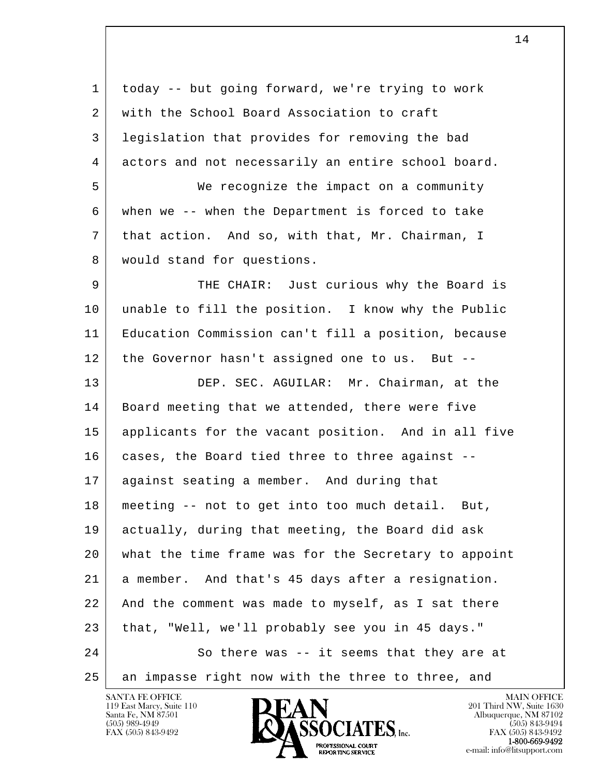l  $\overline{\phantom{a}}$  1 today -- but going forward, we're trying to work 2 with the School Board Association to craft 3 legislation that provides for removing the bad 4 actors and not necessarily an entire school board. 5 We recognize the impact on a community 6 when we -- when the Department is forced to take 7 that action. And so, with that, Mr. Chairman, I 8 | would stand for questions. 9 THE CHAIR: Just curious why the Board is 10 unable to fill the position. I know why the Public 11 Education Commission can't fill a position, because 12 the Governor hasn't assigned one to us. But --13 DEP. SEC. AGUILAR: Mr. Chairman, at the 14 | Board meeting that we attended, there were five 15 applicants for the vacant position. And in all five 16 | cases, the Board tied three to three against --17 against seating a member. And during that 18 meeting -- not to get into too much detail. But, 19 actually, during that meeting, the Board did ask 20 what the time frame was for the Secretary to appoint 21 a member. And that's 45 days after a resignation. 22 And the comment was made to myself, as I sat there 23 that, "Well, we'll probably see you in 45 days." 24 So there was -- it seems that they are at 25 an impasse right now with the three to three, and

119 East Marcy, Suite 110<br>Santa Fe, NM 87501



FAX (505) 843-9492<br>1-800-669-9492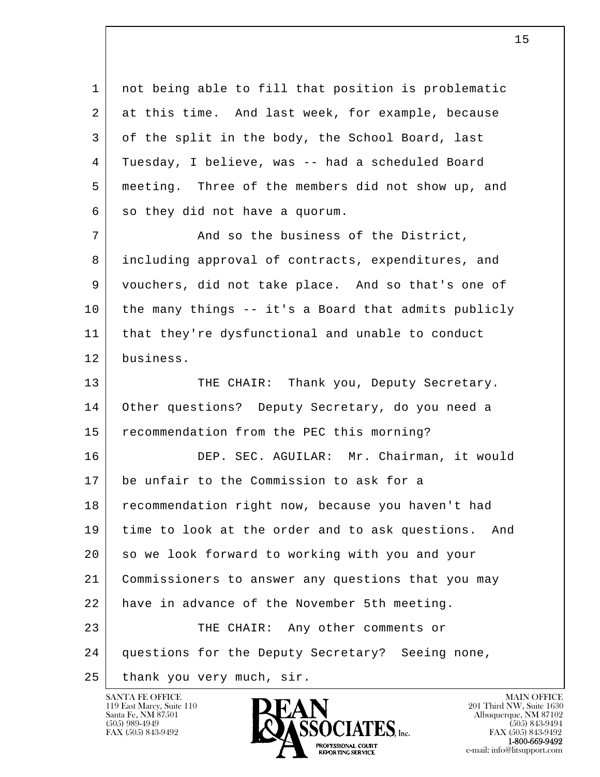l  $\overline{\phantom{a}}$  1 not being able to fill that position is problematic 2 at this time. And last week, for example, because 3 of the split in the body, the School Board, last 4 Tuesday, I believe, was -- had a scheduled Board 5 meeting. Three of the members did not show up, and  $6$  so they did not have a quorum. 7 And so the business of the District, 8 including approval of contracts, expenditures, and 9 vouchers, did not take place. And so that's one of 10 the many things -- it's a Board that admits publicly 11 that they're dysfunctional and unable to conduct 12 business. 13 THE CHAIR: Thank you, Deputy Secretary. 14 Other questions? Deputy Secretary, do you need a 15 recommendation from the PEC this morning? 16 DEP. SEC. AGUILAR: Mr. Chairman, it would 17 be unfair to the Commission to ask for a 18 recommendation right now, because you haven't had 19 time to look at the order and to ask questions. And 20 so we look forward to working with you and your 21 Commissioners to answer any questions that you may 22 have in advance of the November 5th meeting. 23 THE CHAIR: Any other comments or 24 questions for the Deputy Secretary? Seeing none, 25 thank you very much, sir.

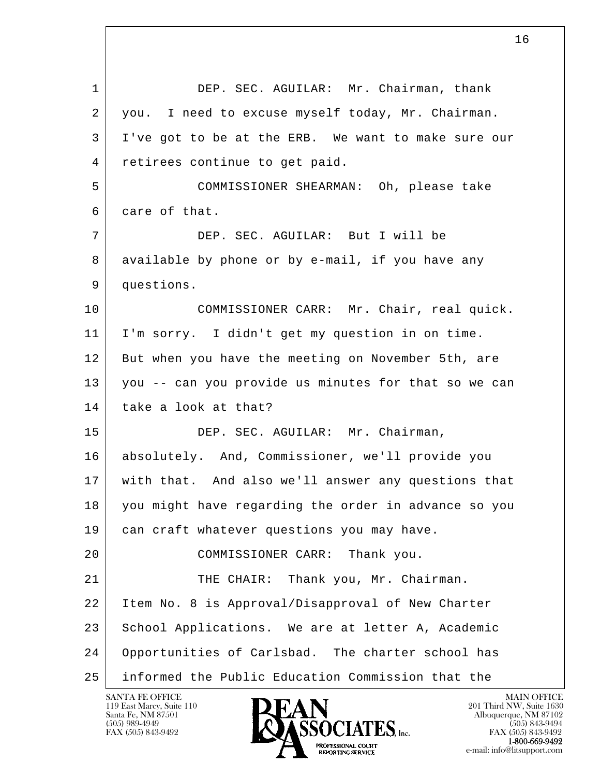l  $\overline{\phantom{a}}$ 1 DEP. SEC. AGUILAR: Mr. Chairman, thank 2 you. I need to excuse myself today, Mr. Chairman. 3 I've got to be at the ERB. We want to make sure our 4 retirees continue to get paid. 5 COMMISSIONER SHEARMAN: Oh, please take 6 care of that. 7 DEP. SEC. AGUILAR: But I will be 8 available by phone or by e-mail, if you have any 9 questions. 10 | COMMISSIONER CARR: Mr. Chair, real quick. 11 I'm sorry. I didn't get my question in on time. 12 But when you have the meeting on November 5th, are 13 you -- can you provide us minutes for that so we can 14 | take a look at that? 15 DEP. SEC. AGUILAR: Mr. Chairman, 16 absolutely. And, Commissioner, we'll provide you 17 with that. And also we'll answer any questions that 18 you might have regarding the order in advance so you 19 can craft whatever questions you may have. 20 | COMMISSIONER CARR: Thank you. 21 THE CHAIR: Thank you, Mr. Chairman. 22 Item No. 8 is Approval/Disapproval of New Charter 23 School Applications. We are at letter A, Academic 24 Opportunities of Carlsbad. The charter school has 25 informed the Public Education Commission that the

119 East Marcy, Suite 110<br>Santa Fe, NM 87501

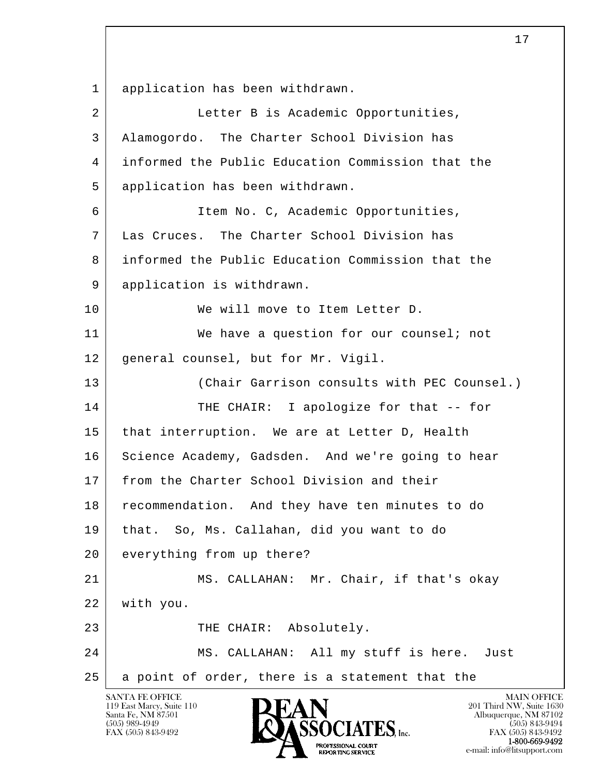l  $\overline{\phantom{a}}$  1 application has been withdrawn. 2 Letter B is Academic Opportunities, 3 Alamogordo. The Charter School Division has 4 informed the Public Education Commission that the 5 application has been withdrawn. 6 Item No. C, Academic Opportunities, 7 Las Cruces. The Charter School Division has 8 informed the Public Education Commission that the 9 application is withdrawn. 10 We will move to Item Letter D. 11 We have a question for our counsel; not 12 general counsel, but for Mr. Vigil. 13 (Chair Garrison consults with PEC Counsel.) 14 THE CHAIR: I apologize for that -- for 15 | that interruption. We are at Letter D, Health 16 Science Academy, Gadsden. And we're going to hear 17 from the Charter School Division and their 18 recommendation. And they have ten minutes to do 19 that. So, Ms. Callahan, did you want to do 20 everything from up there? 21 MS. CALLAHAN: Mr. Chair, if that's okay 22 with you. 23 THE CHAIR: Absolutely. 24 MS. CALLAHAN: All my stuff is here. Just 25 a point of order, there is a statement that the

119 East Marcy, Suite 110<br>Santa Fe, NM 87501

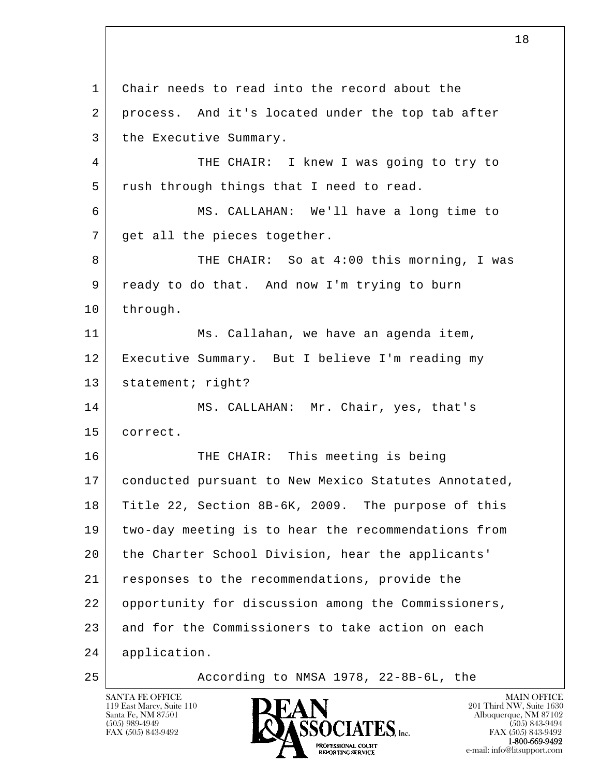l  $\overline{\phantom{a}}$  1 Chair needs to read into the record about the 2 | process. And it's located under the top tab after 3 the Executive Summary. 4 THE CHAIR: I knew I was going to try to 5 | rush through things that I need to read. 6 MS. CALLAHAN: We'll have a long time to 7 | get all the pieces together. 8 THE CHAIR: So at 4:00 this morning, I was 9 ready to do that. And now I'm trying to burn 10 through. 11 Ms. Callahan, we have an agenda item, 12 Executive Summary. But I believe I'm reading my 13 | statement; right? 14 MS. CALLAHAN: Mr. Chair, yes, that's 15 correct. 16 THE CHAIR: This meeting is being 17 | conducted pursuant to New Mexico Statutes Annotated, 18 Title 22, Section 8B-6K, 2009. The purpose of this 19 two-day meeting is to hear the recommendations from 20 the Charter School Division, hear the applicants' 21 responses to the recommendations, provide the 22 opportunity for discussion among the Commissioners, 23 and for the Commissioners to take action on each 24 application. 25 According to NMSA 1978, 22-8B-6L, the

119 East Marcy, Suite 110<br>Santa Fe, NM 87501



FAX (505) 843-9492<br>1-800-669-9492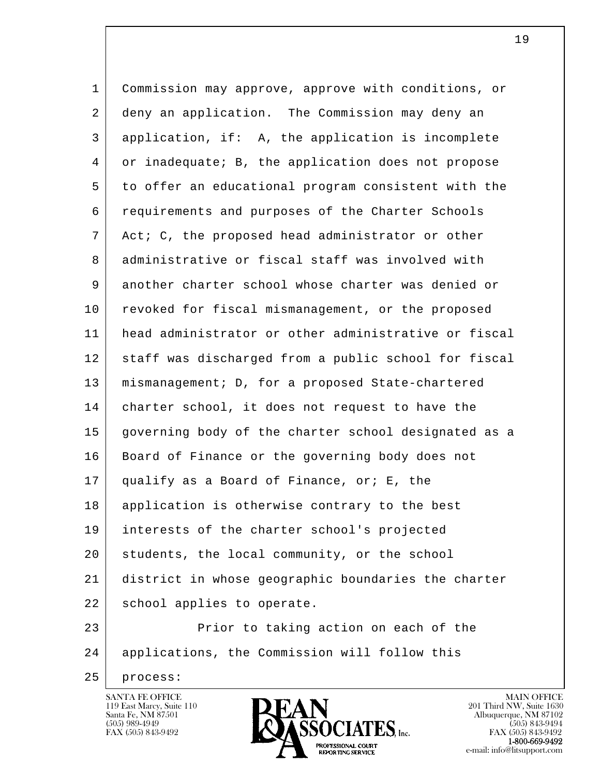| $\mathbf{1}$ | Commission may approve, approve with conditions, or  |
|--------------|------------------------------------------------------|
| 2            | deny an application. The Commission may deny an      |
| 3            | application, if: A, the application is incomplete    |
| 4            | or inadequate; B, the application does not propose   |
| 5            | to offer an educational program consistent with the  |
| 6            | requirements and purposes of the Charter Schools     |
| 7            | Act; C, the proposed head administrator or other     |
| 8            | administrative or fiscal staff was involved with     |
| 9            | another charter school whose charter was denied or   |
| 10           | revoked for fiscal mismanagement, or the proposed    |
| 11           | head administrator or other administrative or fiscal |
| 12           | staff was discharged from a public school for fiscal |
| 13           | mismanagement; D, for a proposed State-chartered     |
| 14           | charter school, it does not request to have the      |
| 15           | governing body of the charter school designated as a |
| 16           | Board of Finance or the governing body does not      |
| 17           | qualify as a Board of Finance, or; E, the            |
| 18           | application is otherwise contrary to the best        |
| 19           | interests of the charter school's projected          |
| 20           | students, the local community, or the school         |
| 21           | district in whose geographic boundaries the charter  |
| 22           | school applies to operate.                           |
| 23           | Prior to taking action on each of the                |
| 24           | applications, the Commission will follow this        |

25 process:

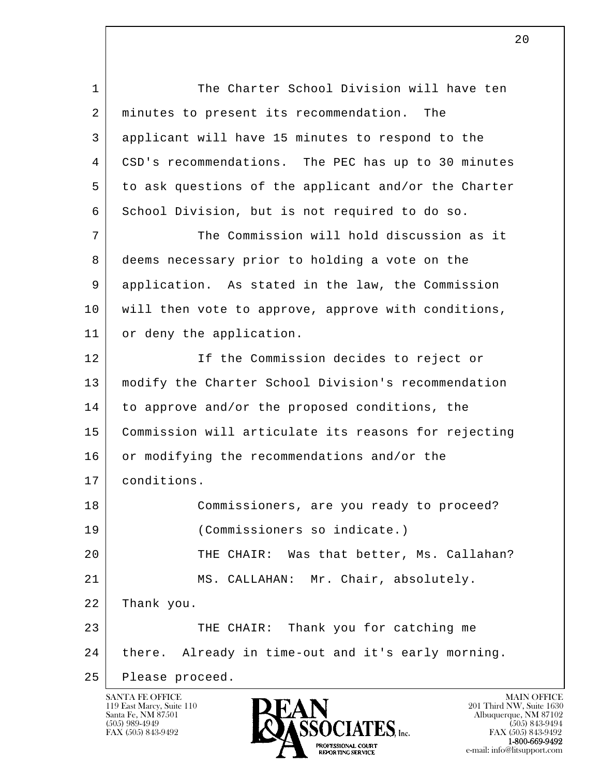l  $\overline{\phantom{a}}$ 1 The Charter School Division will have ten 2 | minutes to present its recommendation. The 3 applicant will have 15 minutes to respond to the 4 CSD's recommendations. The PEC has up to 30 minutes 5 to ask questions of the applicant and/or the Charter 6 School Division, but is not required to do so. 7 The Commission will hold discussion as it 8 deems necessary prior to holding a vote on the 9 application. As stated in the law, the Commission 10 will then vote to approve, approve with conditions, 11 or deny the application. 12 If the Commission decides to reject or 13 modify the Charter School Division's recommendation 14 to approve and/or the proposed conditions, the 15 Commission will articulate its reasons for rejecting 16 or modifying the recommendations and/or the 17 conditions. 18 Commissioners, are you ready to proceed? 19 (Commissioners so indicate.) 20 THE CHAIR: Was that better, Ms. Callahan? 21 MS. CALLAHAN: Mr. Chair, absolutely. 22 Thank you. 23 THE CHAIR: Thank you for catching me 24 there. Already in time-out and it's early morning. 25 Please proceed.

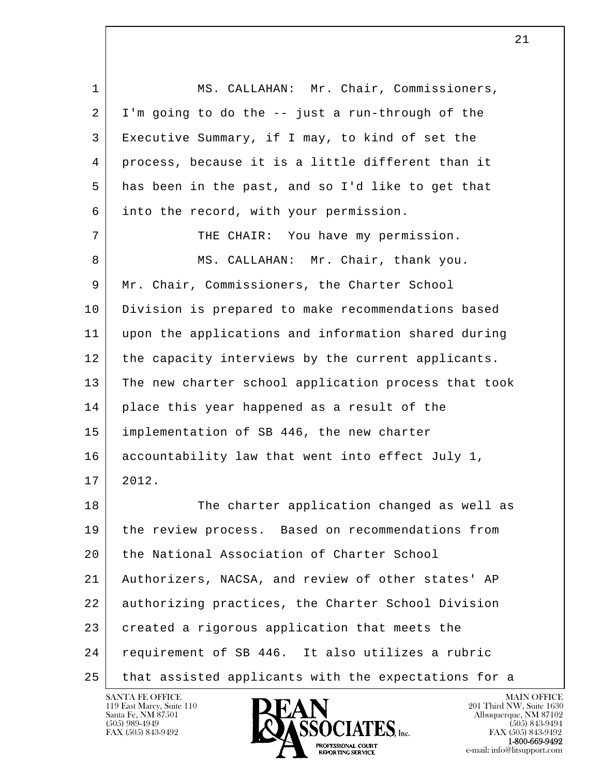l  $\overline{\phantom{a}}$  1 MS. CALLAHAN: Mr. Chair, Commissioners,  $2$  I'm going to do the  $-$  just a run-through of the 3 Executive Summary, if I may, to kind of set the 4 process, because it is a little different than it 5 has been in the past, and so I'd like to get that 6 into the record, with your permission. 7 | THE CHAIR: You have my permission. 8 MS. CALLAHAN: Mr. Chair, thank you. 9 Mr. Chair, Commissioners, the Charter School 10 | Division is prepared to make recommendations based 11 upon the applications and information shared during 12 the capacity interviews by the current applicants. 13 The new charter school application process that took 14 place this year happened as a result of the 15 implementation of SB 446, the new charter 16 accountability law that went into effect July 1, 17 2012. 18 The charter application changed as well as 19 the review process. Based on recommendations from 20 the National Association of Charter School 21 Authorizers, NACSA, and review of other states' AP 22 authorizing practices, the Charter School Division 23 | created a rigorous application that meets the 24 requirement of SB 446. It also utilizes a rubric 25 that assisted applicants with the expectations for a

119 East Marcy, Suite 110<br>Santa Fe, NM 87501

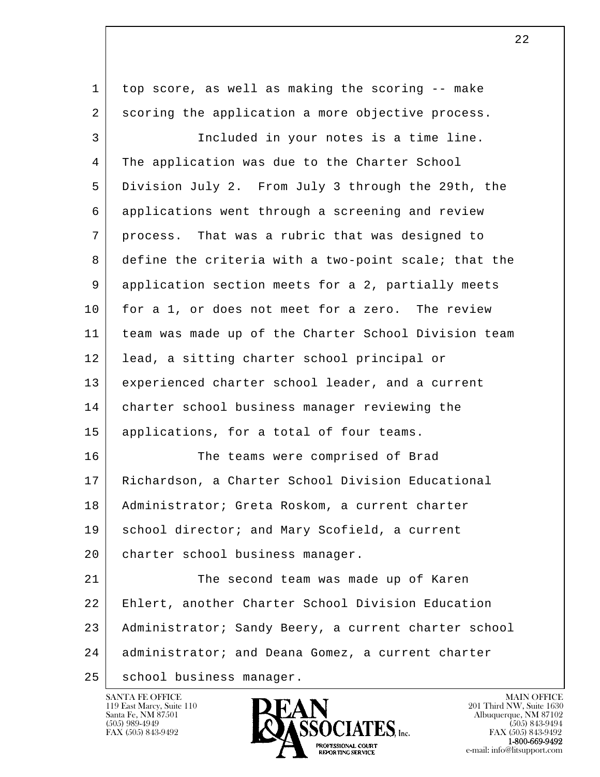l  $\overline{\phantom{a}}$  1 top score, as well as making the scoring -- make 2 scoring the application a more objective process. 3 Included in your notes is a time line. 4 The application was due to the Charter School 5 Division July 2. From July 3 through the 29th, the 6 applications went through a screening and review 7 process. That was a rubric that was designed to 8 define the criteria with a two-point scale; that the 9 application section meets for a 2, partially meets 10 for a 1, or does not meet for a zero. The review 11 team was made up of the Charter School Division team 12 | lead, a sitting charter school principal or 13 experienced charter school leader, and a current 14 charter school business manager reviewing the 15 | applications, for a total of four teams. 16 The teams were comprised of Brad 17 Richardson, a Charter School Division Educational 18 Administrator; Greta Roskom, a current charter 19 | school director; and Mary Scofield, a current 20 | charter school business manager. 21 The second team was made up of Karen 22 Ehlert, another Charter School Division Education 23 Administrator; Sandy Beery, a current charter school 24 | administrator; and Deana Gomez, a current charter 25 | school business manager.

119 East Marcy, Suite 110<br>Santa Fe, NM 87501

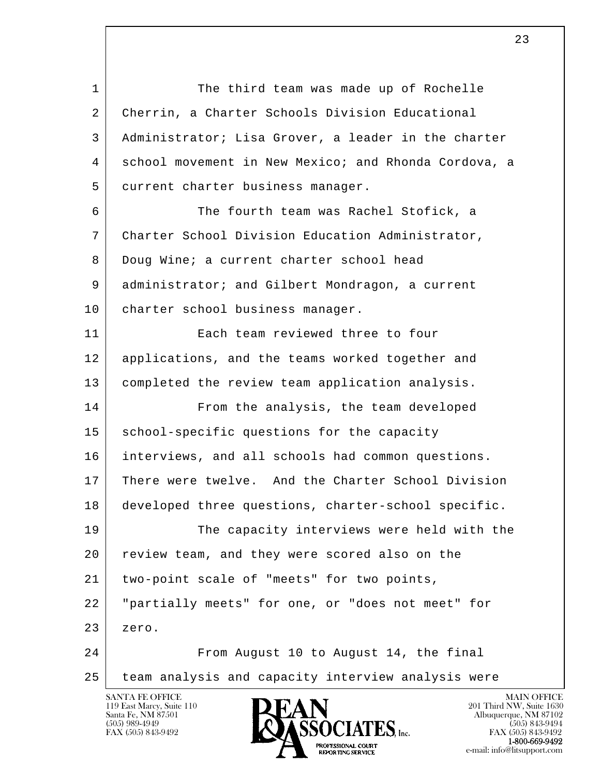l  $\overline{\phantom{a}}$ 1 The third team was made up of Rochelle 2 Cherrin, a Charter Schools Division Educational 3 Administrator; Lisa Grover, a leader in the charter 4 school movement in New Mexico; and Rhonda Cordova, a 5 current charter business manager. 6 The fourth team was Rachel Stofick, a 7 Charter School Division Education Administrator, 8 Doug Wine; a current charter school head 9 administrator; and Gilbert Mondragon, a current 10 | charter school business manager. 11 Each team reviewed three to four 12 applications, and the teams worked together and 13 | completed the review team application analysis. 14 From the analysis, the team developed 15 school-specific questions for the capacity 16 interviews, and all schools had common questions. 17 There were twelve. And the Charter School Division 18 developed three questions, charter-school specific. 19 The capacity interviews were held with the 20 review team, and they were scored also on the 21 | two-point scale of "meets" for two points, 22 "partially meets" for one, or "does not meet" for 23 zero. 24 From August 10 to August 14, the final 25 team analysis and capacity interview analysis were

119 East Marcy, Suite 110<br>Santa Fe, NM 87501



FAX (505) 843-9492<br>1-800-669-9492 e-mail: info@litsupport.com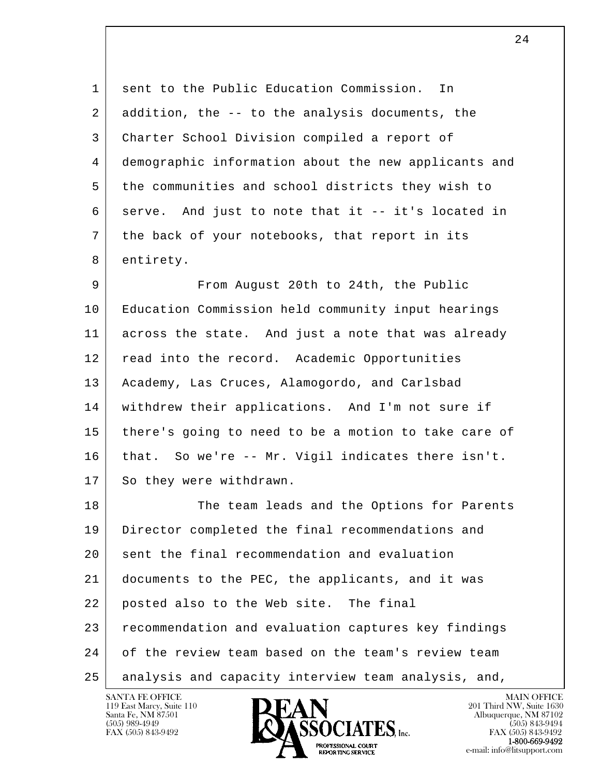1 sent to the Public Education Commission. In 2 addition, the -- to the analysis documents, the 3 Charter School Division compiled a report of 4 demographic information about the new applicants and 5 the communities and school districts they wish to 6 serve. And just to note that it -- it's located in 7 the back of your notebooks, that report in its 8 entirety.

9 | From August 20th to 24th, the Public 10 Education Commission held community input hearings 11 across the state. And just a note that was already 12 read into the record. Academic Opportunities 13 | Academy, Las Cruces, Alamogordo, and Carlsbad 14 withdrew their applications. And I'm not sure if 15 there's going to need to be a motion to take care of 16 that. So we're -- Mr. Vigil indicates there isn't. 17 So they were withdrawn.

l  $\overline{\phantom{a}}$ 18 The team leads and the Options for Parents 19 Director completed the final recommendations and 20 sent the final recommendation and evaluation 21 documents to the PEC, the applicants, and it was 22 posted also to the Web site. The final 23 recommendation and evaluation captures key findings 24 of the review team based on the team's review team 25 analysis and capacity interview team analysis, and,

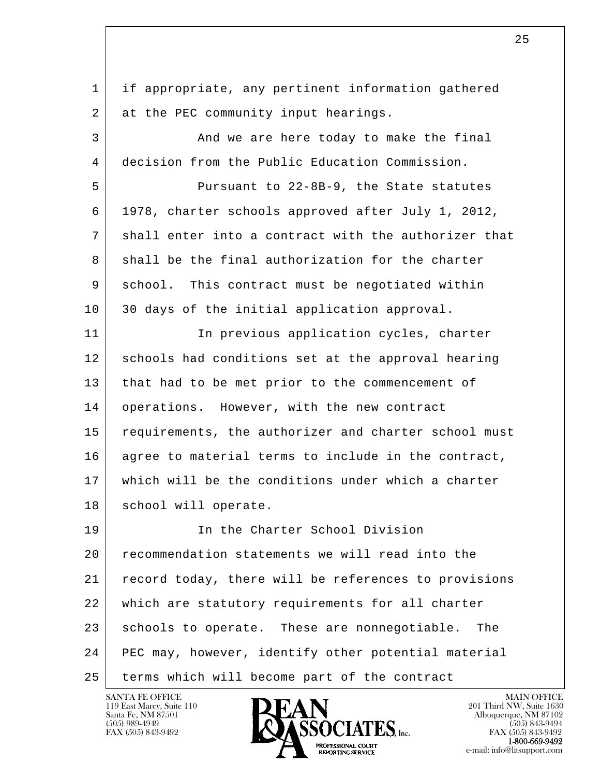l  $\overline{\phantom{a}}$  1 if appropriate, any pertinent information gathered 2 at the PEC community input hearings. 3 And we are here today to make the final 4 decision from the Public Education Commission. 5 Pursuant to 22-8B-9, the State statutes 6 1978, charter schools approved after July 1, 2012, 7 shall enter into a contract with the authorizer that 8 shall be the final authorization for the charter 9 school. This contract must be negotiated within 10 30 days of the initial application approval. 11 | The previous application cycles, charter 12 schools had conditions set at the approval hearing 13 that had to be met prior to the commencement of 14 | operations. However, with the new contract 15 requirements, the authorizer and charter school must 16 agree to material terms to include in the contract, 17 which will be the conditions under which a charter 18 | school will operate. 19 In the Charter School Division 20 recommendation statements we will read into the 21 record today, there will be references to provisions 22 which are statutory requirements for all charter 23 schools to operate. These are nonnegotiable. The 24 PEC may, however, identify other potential material 25 terms which will become part of the contract

119 East Marcy, Suite 110<br>Santa Fe, NM 87501

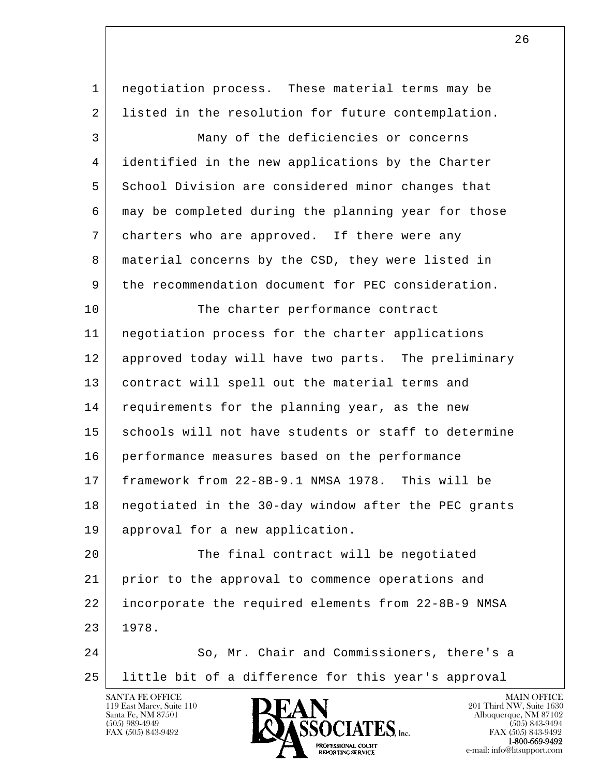| $\mathbf 1$ | negotiation process. These material terms may be     |
|-------------|------------------------------------------------------|
| 2           | listed in the resolution for future contemplation.   |
| 3           | Many of the deficiencies or concerns                 |
| 4           | identified in the new applications by the Charter    |
| 5           | School Division are considered minor changes that    |
| 6           | may be completed during the planning year for those  |
| 7           | charters who are approved. If there were any         |
| 8           | material concerns by the CSD, they were listed in    |
| 9           | the recommendation document for PEC consideration.   |
| 10          | The charter performance contract                     |
| 11          | negotiation process for the charter applications     |
| 12          | approved today will have two parts. The preliminary  |
| 13          | contract will spell out the material terms and       |
| 14          | requirements for the planning year, as the new       |
| 15          | schools will not have students or staff to determine |
| 16          | performance measures based on the performance        |
| 17          | framework from 22-8B-9.1 NMSA 1978. This will be     |
| 18          | negotiated in the 30-day window after the PEC grants |
| 19          | approval for a new application.                      |
| 20          | The final contract will be negotiated                |
| 21          | prior to the approval to commence operations and     |
| 22          | incorporate the required elements from 22-8B-9 NMSA  |
| 23          | 1978.                                                |
| 24          | So, Mr. Chair and Commissioners, there's a           |
| 25          | little bit of a difference for this year's approval  |
|             | <b>SANTA FE OFFICE</b><br><b>MAIN OFFICE</b>         |

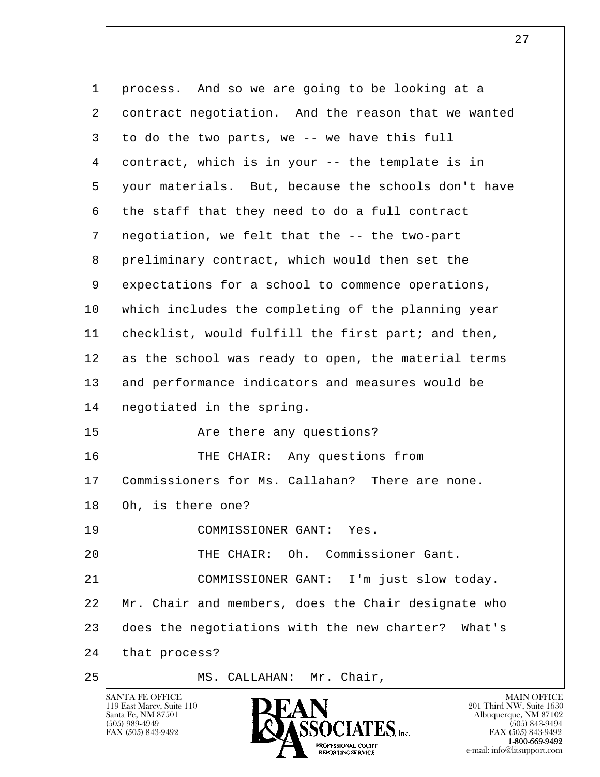l  $\overline{\phantom{a}}$  1 process. And so we are going to be looking at a 2 contract negotiation. And the reason that we wanted  $3$  to do the two parts, we -- we have this full 4 contract, which is in your -- the template is in 5 your materials. But, because the schools don't have 6 the staff that they need to do a full contract 7 negotiation, we felt that the -- the two-part 8 preliminary contract, which would then set the 9 expectations for a school to commence operations, 10 which includes the completing of the planning year 11 checklist, would fulfill the first part; and then, 12 as the school was ready to open, the material terms 13 and performance indicators and measures would be 14 negotiated in the spring. 15 Are there any questions? 16 THE CHAIR: Any questions from 17 | Commissioners for Ms. Callahan? There are none. 18 Oh, is there one? 19 COMMISSIONER GANT: Yes. 20 THE CHAIR: Oh. Commissioner Gant. 21 COMMISSIONER GANT: I'm just slow today. 22 Mr. Chair and members, does the Chair designate who 23 does the negotiations with the new charter? What's 24 that process? 25 MS. CALLAHAN: Mr. Chair,

119 East Marcy, Suite 110<br>Santa Fe, NM 87501

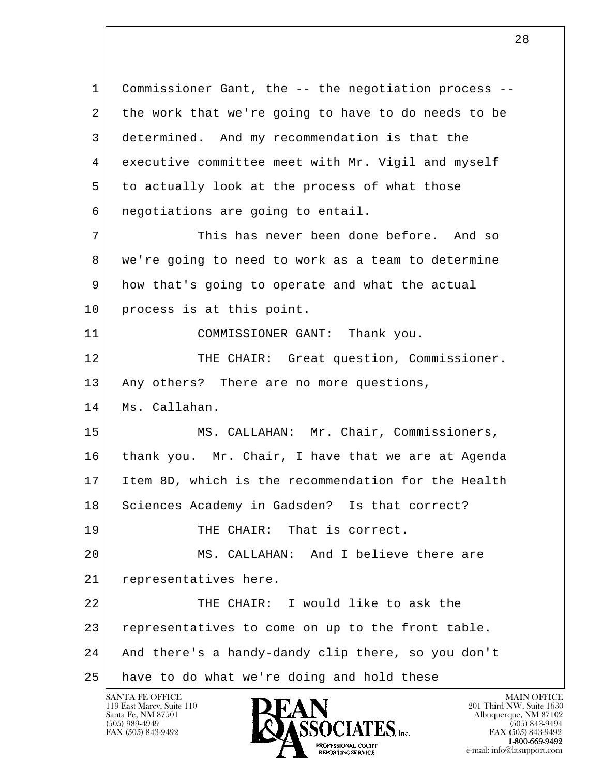l  $\overline{\phantom{a}}$  1 Commissioner Gant, the -- the negotiation process -- 2 the work that we're going to have to do needs to be 3 determined. And my recommendation is that the 4 executive committee meet with Mr. Vigil and myself 5 to actually look at the process of what those 6 negotiations are going to entail. 7 This has never been done before. And so 8 we're going to need to work as a team to determine 9 how that's going to operate and what the actual 10 process is at this point. 11 COMMISSIONER GANT: Thank you. 12 THE CHAIR: Great question, Commissioner. 13 | Any others? There are no more questions, 14 Ms. Callahan. 15 | MS. CALLAHAN: Mr. Chair, Commissioners, 16 thank you. Mr. Chair, I have that we are at Agenda 17 Item 8D, which is the recommendation for the Health 18 Sciences Academy in Gadsden? Is that correct? 19 THE CHAIR: That is correct. 20 MS. CALLAHAN: And I believe there are 21 representatives here. 22 THE CHAIR: I would like to ask the 23 representatives to come on up to the front table. 24 And there's a handy-dandy clip there, so you don't 25 have to do what we're doing and hold these

119 East Marcy, Suite 110<br>Santa Fe, NM 87501

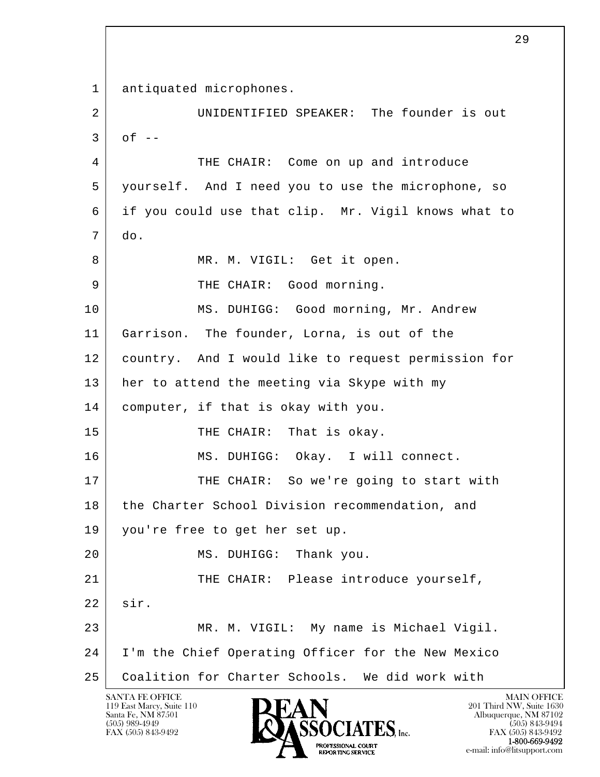l  $\overline{\phantom{a}}$  1 antiquated microphones. 2 UNIDENTIFIED SPEAKER: The founder is out  $3 \cdot \text{of} --$  4 THE CHAIR: Come on up and introduce 5 yourself. And I need you to use the microphone, so 6 if you could use that clip. Mr. Vigil knows what to 7 do. 8 | MR. M. VIGIL: Get it open. 9 THE CHAIR: Good morning. 10 | MS. DUHIGG: Good morning, Mr. Andrew 11 Garrison. The founder, Lorna, is out of the 12 country. And I would like to request permission for 13 her to attend the meeting via Skype with my 14 computer, if that is okay with you. 15 THE CHAIR: That is okay. 16 | MS. DUHIGG: Okay. I will connect. 17 THE CHAIR: So we're going to start with 18 the Charter School Division recommendation, and 19 you're free to get her set up. 20 MS. DUHIGG: Thank you. 21 | THE CHAIR: Please introduce yourself, 22 sir. 23 MR. M. VIGIL: My name is Michael Vigil. 24 I'm the Chief Operating Officer for the New Mexico 25 Coalition for Charter Schools. We did work with

119 East Marcy, Suite 110<br>Santa Fe, NM 87501

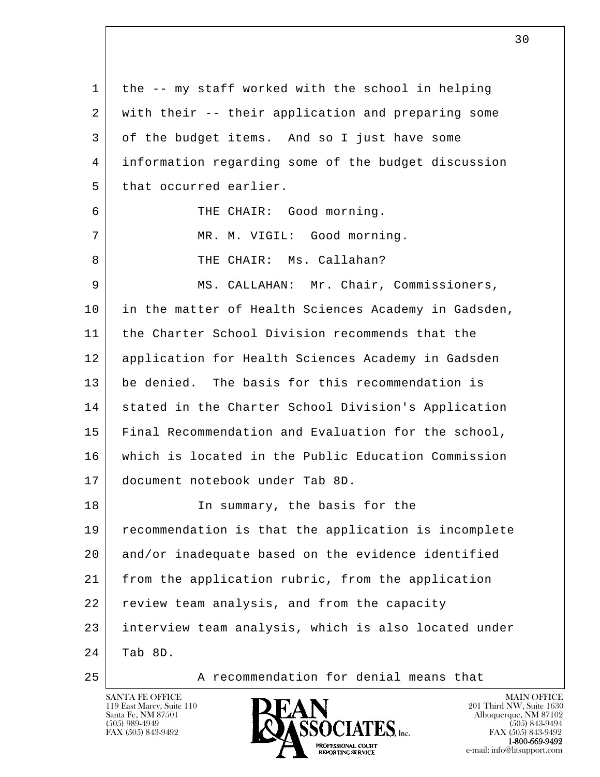| 1  | the -- my staff worked with the school in helping    |
|----|------------------------------------------------------|
| 2  | with their -- their application and preparing some   |
| 3  | of the budget items. And so I just have some         |
| 4  | information regarding some of the budget discussion  |
| 5  | that occurred earlier.                               |
| 6  | THE CHAIR: Good morning.                             |
| 7  | MR. M. VIGIL: Good morning.                          |
| 8  | THE CHAIR: Ms. Callahan?                             |
| 9  | MS. CALLAHAN: Mr. Chair, Commissioners,              |
| 10 | in the matter of Health Sciences Academy in Gadsden, |
| 11 | the Charter School Division recommends that the      |
| 12 | application for Health Sciences Academy in Gadsden   |
| 13 | be denied. The basis for this recommendation is      |
| 14 | stated in the Charter School Division's Application  |
| 15 | Final Recommendation and Evaluation for the school,  |
| 16 | which is located in the Public Education Commission  |
| 17 | document notebook under Tab 8D.                      |
| 18 | In summary, the basis for the                        |
| 19 | recommendation is that the application is incomplete |
| 20 | and/or inadequate based on the evidence identified   |
| 21 | from the application rubric, from the application    |
| 22 | review team analysis, and from the capacity          |
| 23 | interview team analysis, which is also located under |
| 24 | Tab 8D.                                              |
|    |                                                      |



25 A recommendation for denial means that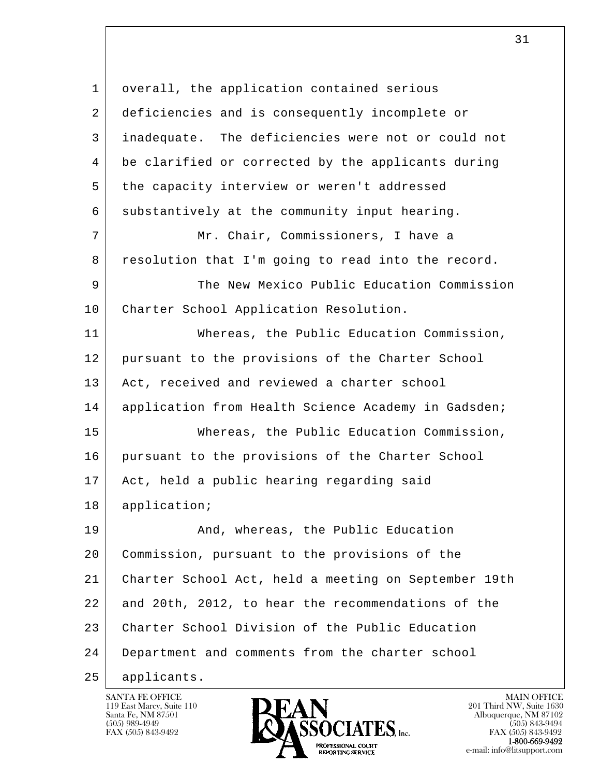l  $\overline{\phantom{a}}$  1 overall, the application contained serious 2 deficiencies and is consequently incomplete or 3 inadequate. The deficiencies were not or could not 4 be clarified or corrected by the applicants during 5 the capacity interview or weren't addressed 6 substantively at the community input hearing. 7 Mr. Chair, Commissioners, I have a 8 resolution that I'm going to read into the record. 9 The New Mexico Public Education Commission 10 Charter School Application Resolution. 11 Whereas, the Public Education Commission, 12 pursuant to the provisions of the Charter School 13 Act, received and reviewed a charter school 14 | application from Health Science Academy in Gadsden; 15 Whereas, the Public Education Commission, 16 pursuant to the provisions of the Charter School 17 | Act, held a public hearing regarding said 18 | application; 19 | And, whereas, the Public Education 20 Commission, pursuant to the provisions of the 21 Charter School Act, held a meeting on September 19th 22 and 20th, 2012, to hear the recommendations of the 23 Charter School Division of the Public Education 24 Department and comments from the charter school 25 applicants.

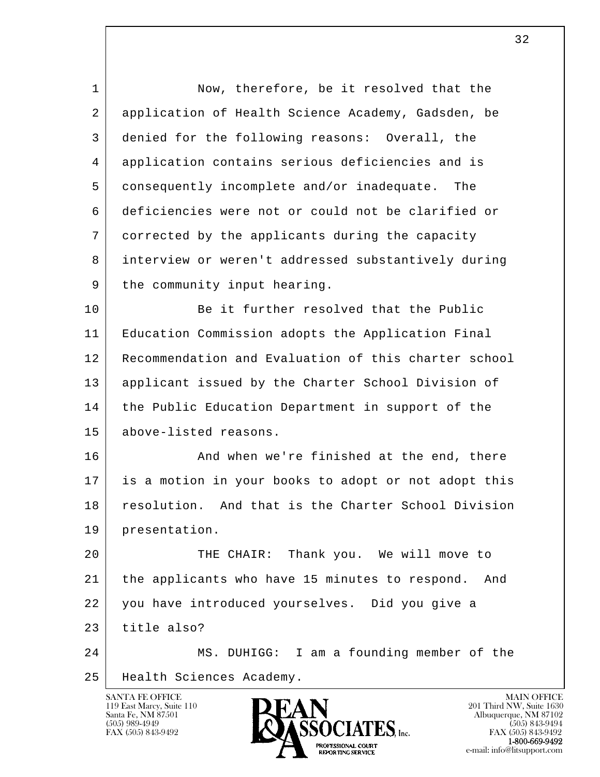| $\mathbf 1$ | Now, therefore, be it resolved that the               |
|-------------|-------------------------------------------------------|
| 2           | application of Health Science Academy, Gadsden, be    |
| 3           | denied for the following reasons: Overall, the        |
| 4           | application contains serious deficiencies and is      |
| 5           | consequently incomplete and/or inadequate. The        |
| 6           | deficiencies were not or could not be clarified or    |
| 7           | corrected by the applicants during the capacity       |
| 8           | interview or weren't addressed substantively during   |
| 9           | the community input hearing.                          |
| 10          | Be it further resolved that the Public                |
| 11          | Education Commission adopts the Application Final     |
| 12          | Recommendation and Evaluation of this charter school  |
| 13          | applicant issued by the Charter School Division of    |
| 14          | the Public Education Department in support of the     |
| 15          | above-listed reasons.                                 |
| 16          | And when we're finished at the end, there             |
| 17          | is a motion in your books to adopt or not adopt this  |
| 18          | resolution. And that is the Charter School Division   |
| 19          | presentation.                                         |
| 20          | THE CHAIR: Thank you. We will move to                 |
| 21          | the applicants who have 15 minutes to respond.<br>And |
| 22          | you have introduced yourselves. Did you give a        |
| 23          | title also?                                           |
| 24          | MS. DUHIGG: I am a founding member of the             |
| 25          | Health Sciences Academy.                              |

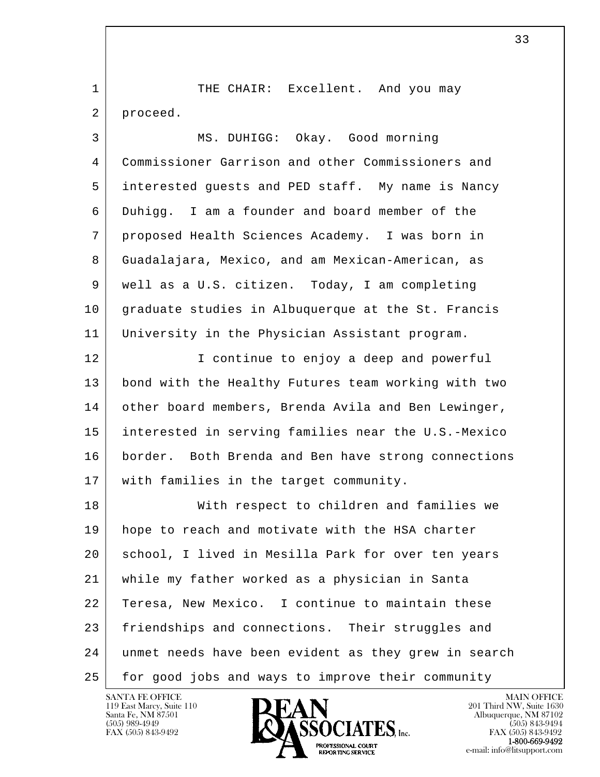1 | THE CHAIR: Excellent. And you may 2 proceed.

| 3  | MS. DUHIGG: Okay. Good morning                      |
|----|-----------------------------------------------------|
| 4  | Commissioner Garrison and other Commissioners and   |
| 5  | interested guests and PED staff. My name is Nancy   |
| 6  | Duhigg. I am a founder and board member of the      |
| 7  | proposed Health Sciences Academy. I was born in     |
| 8  | Guadalajara, Mexico, and am Mexican-American, as    |
| 9  | well as a U.S. citizen. Today, I am completing      |
| 10 | graduate studies in Albuquerque at the St. Francis  |
| 11 | University in the Physician Assistant program.      |
| 12 | I continue to enjoy a deep and powerful             |
| 13 | bond with the Healthy Futures team working with two |
| 14 | other board members, Brenda Avila and Ben Lewinger, |

 15 interested in serving families near the U.S.-Mexico 16 border. Both Brenda and Ben have strong connections 17 | with families in the target community.

l  $\overline{\phantom{a}}$ 18 | With respect to children and families we 19 hope to reach and motivate with the HSA charter 20 school, I lived in Mesilla Park for over ten years 21 while my father worked as a physician in Santa 22 Teresa, New Mexico. I continue to maintain these 23 friendships and connections. Their struggles and 24 unmet needs have been evident as they grew in search 25 | for good jobs and ways to improve their community

119 East Marcy, Suite 110<br>Santa Fe, NM 87501

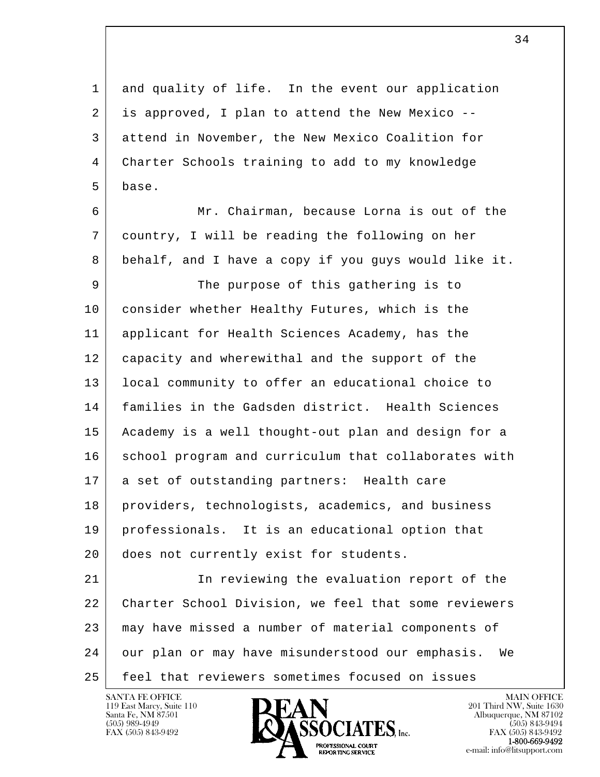l  $\overline{\phantom{a}}$  1 and quality of life. In the event our application 2 is approved, I plan to attend the New Mexico -- 3 attend in November, the New Mexico Coalition for 4 Charter Schools training to add to my knowledge 5 base. 6 Mr. Chairman, because Lorna is out of the 7 country, I will be reading the following on her 8 behalf, and I have a copy if you guys would like it. 9 The purpose of this gathering is to 10 consider whether Healthy Futures, which is the 11 applicant for Health Sciences Academy, has the 12 capacity and wherewithal and the support of the 13 local community to offer an educational choice to 14 families in the Gadsden district. Health Sciences 15 Academy is a well thought-out plan and design for a 16 | school program and curriculum that collaborates with 17 a set of outstanding partners: Health care 18 providers, technologists, academics, and business 19 professionals. It is an educational option that 20 does not currently exist for students. 21 In reviewing the evaluation report of the 22 Charter School Division, we feel that some reviewers 23 may have missed a number of material components of 24 our plan or may have misunderstood our emphasis. We 25 feel that reviewers sometimes focused on issues

119 East Marcy, Suite 110<br>Santa Fe, NM 87501

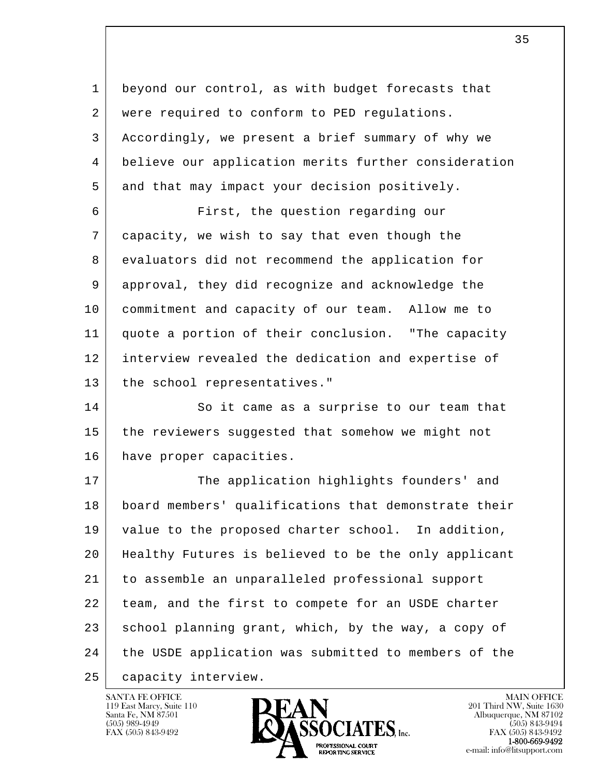l  $\overline{\phantom{a}}$  1 beyond our control, as with budget forecasts that 2 were required to conform to PED regulations. 3 Accordingly, we present a brief summary of why we 4 believe our application merits further consideration 5 and that may impact your decision positively. 6 First, the question regarding our 7 capacity, we wish to say that even though the 8 evaluators did not recommend the application for 9 approval, they did recognize and acknowledge the 10 commitment and capacity of our team. Allow me to 11 quote a portion of their conclusion. "The capacity 12 interview revealed the dedication and expertise of 13 the school representatives." 14 So it came as a surprise to our team that 15 the reviewers suggested that somehow we might not 16 have proper capacities. 17 The application highlights founders' and 18 board members' qualifications that demonstrate their 19 value to the proposed charter school. In addition, 20 Healthy Futures is believed to be the only applicant 21 to assemble an unparalleled professional support 22 team, and the first to compete for an USDE charter 23 school planning grant, which, by the way, a copy of 24 the USDE application was submitted to members of the 25 capacity interview.



FAX (505) 843-9492<br>**1-800-669-9492**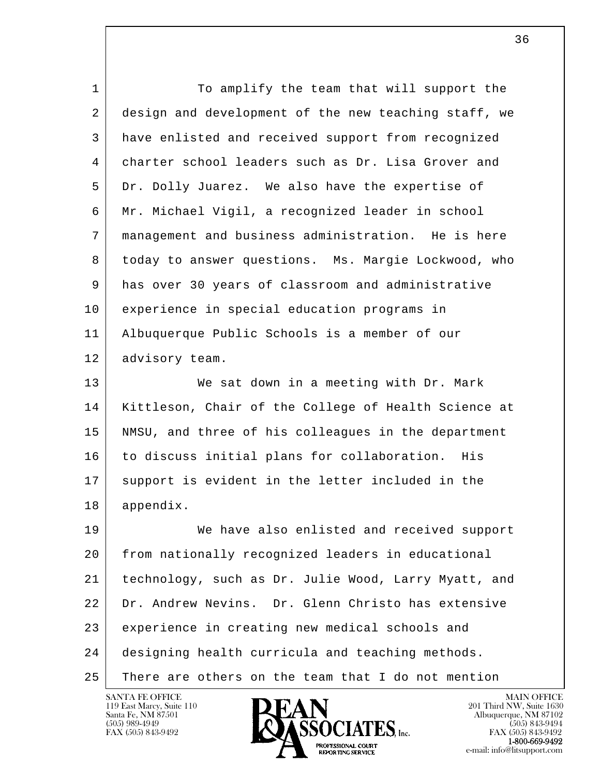| $\mathbf{1}$ | To amplify the team that will support the            |
|--------------|------------------------------------------------------|
| 2            | design and development of the new teaching staff, we |
| 3            | have enlisted and received support from recognized   |
| 4            | charter school leaders such as Dr. Lisa Grover and   |
| 5            | Dr. Dolly Juarez. We also have the expertise of      |
| 6            | Mr. Michael Vigil, a recognized leader in school     |
| 7            | management and business administration. He is here   |
| 8            | today to answer questions. Ms. Margie Lockwood, who  |
| 9            | has over 30 years of classroom and administrative    |
| 10           | experience in special education programs in          |
| 11           | Albuquerque Public Schools is a member of our        |
| 12           | advisory team.                                       |
| 13           | We sat down in a meeting with Dr. Mark               |
| 14           | Kittleson, Chair of the College of Health Science at |
| 15           | NMSU, and three of his colleagues in the department  |
| 16           | to discuss initial plans for collaboration. His      |
| 17           | support is evident in the letter included in the     |
| 18           | appendix.                                            |
| 19           | We have also enlisted and received support           |
| 20           | from nationally recognized leaders in educational    |
| 21           | technology, such as Dr. Julie Wood, Larry Myatt, and |
| 22           | Dr. Andrew Nevins. Dr. Glenn Christo has extensive   |
| 23           | experience in creating new medical schools and       |
| 24           | designing health curricula and teaching methods.     |
| 25           | There are others on the team that I do not mention   |

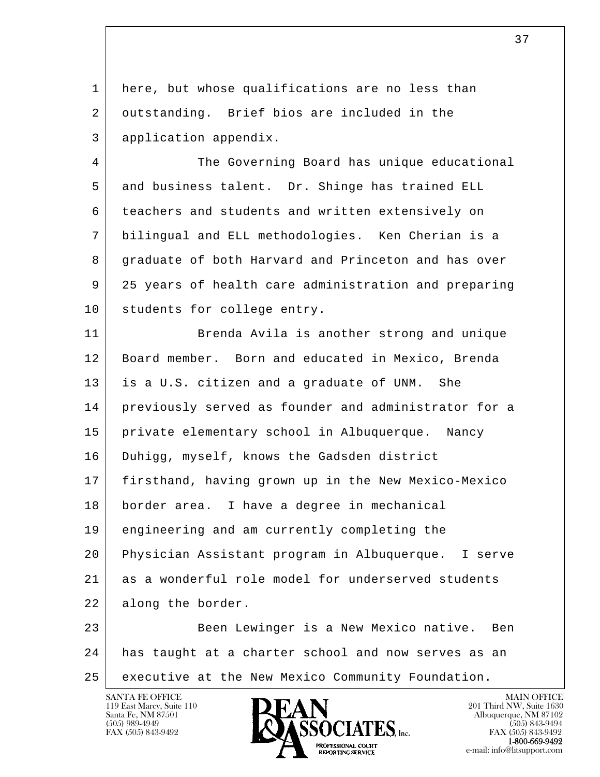1 here, but whose qualifications are no less than 2 outstanding. Brief bios are included in the 3 application appendix.

 4 The Governing Board has unique educational 5 and business talent. Dr. Shinge has trained ELL 6 teachers and students and written extensively on 7 bilingual and ELL methodologies. Ken Cherian is a 8 graduate of both Harvard and Princeton and has over 9 25 years of health care administration and preparing 10 students for college entry.

11 Brenda Avila is another strong and unique 12 Board member. Born and educated in Mexico, Brenda 13 is a U.S. citizen and a graduate of UNM. She 14 previously served as founder and administrator for a 15 private elementary school in Albuquerque. Nancy 16 Duhigg, myself, knows the Gadsden district 17 firsthand, having grown up in the New Mexico-Mexico 18 border area. I have a degree in mechanical 19 engineering and am currently completing the 20 Physician Assistant program in Albuquerque. I serve 21 as a wonderful role model for underserved students 22 along the border. 23 Been Lewinger is a New Mexico native. Ben

l  $\overline{\phantom{a}}$  24 has taught at a charter school and now serves as an 25 | executive at the New Mexico Community Foundation.

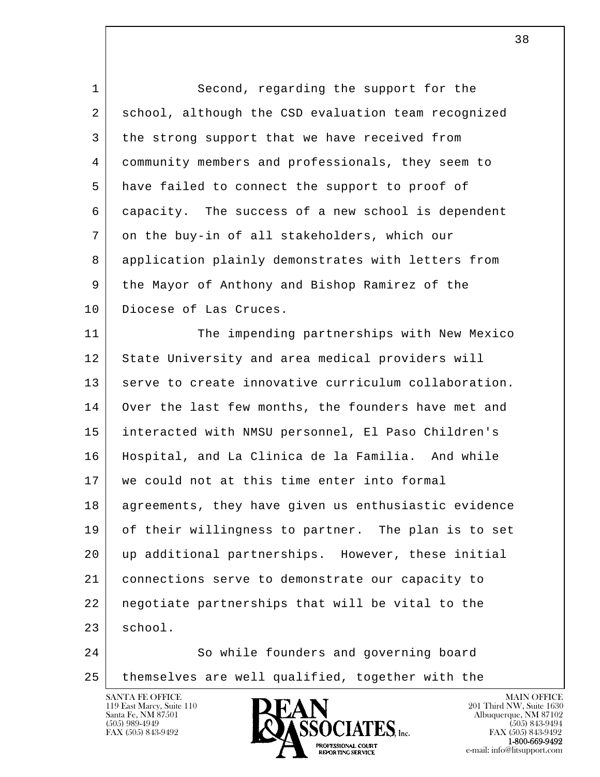| $\mathbf 1$ | Second, regarding the support for the                |
|-------------|------------------------------------------------------|
| 2           | school, although the CSD evaluation team recognized  |
| 3           | the strong support that we have received from        |
| 4           | community members and professionals, they seem to    |
| 5           | have failed to connect the support to proof of       |
| 6           | capacity. The success of a new school is dependent   |
| 7           | on the buy-in of all stakeholders, which our         |
| 8           | application plainly demonstrates with letters from   |
| 9           | the Mayor of Anthony and Bishop Ramirez of the       |
| 10          | Diocese of Las Cruces.                               |
| 11          | The impending partnerships with New Mexico           |
| 12          | State University and area medical providers will     |
| 13          | serve to create innovative curriculum collaboration. |
| 14          | Over the last few months, the founders have met and  |
| 15          | interacted with NMSU personnel, El Paso Children's   |
| 16          | Hospital, and La Clinica de la Familia. And while    |
| 17          | we could not at this time enter into formal          |
| 18          | agreements, they have given us enthusiastic evidence |
| 19          | of their willingness to partner. The plan is to set  |
| 20          | up additional partnerships. However, these initial   |
| 21          | connections serve to demonstrate our capacity to     |
| 22          | negotiate partnerships that will be vital to the     |
| 23          | school.                                              |
| 24          | So while founders and governing board                |
| 25          | themselves are well qualified, together with the     |
|             | <b>SANTA FE OFFICE</b><br>MAIN OFFICE                |

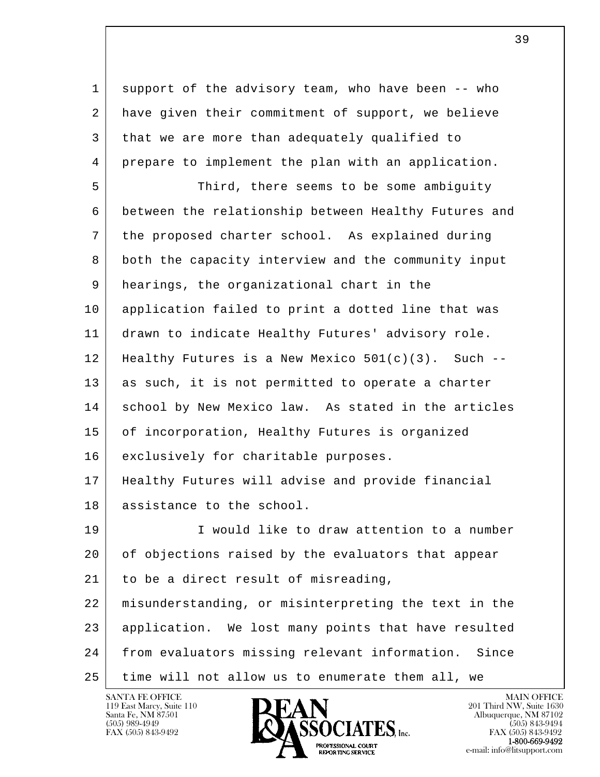1 support of the advisory team, who have been -- who 2 have given their commitment of support, we believe 3 that we are more than adequately qualified to 4 prepare to implement the plan with an application.

 5 Third, there seems to be some ambiguity 6 between the relationship between Healthy Futures and 7 the proposed charter school. As explained during 8 both the capacity interview and the community input 9 hearings, the organizational chart in the 10 application failed to print a dotted line that was 11 drawn to indicate Healthy Futures' advisory role. 12 | Healthy Futures is a New Mexico  $501(c)(3)$ . Such --13 | as such, it is not permitted to operate a charter 14 school by New Mexico law. As stated in the articles 15 of incorporation, Healthy Futures is organized 16 | exclusively for charitable purposes. 17 Healthy Futures will advise and provide financial 18 assistance to the school.

19 I Would like to draw attention to a number 20 of objections raised by the evaluators that appear  $21$  to be a direct result of misreading,

l  $\overline{\phantom{a}}$  22 misunderstanding, or misinterpreting the text in the 23 application. We lost many points that have resulted 24 | from evaluators missing relevant information. Since 25 time will not allow us to enumerate them all, we

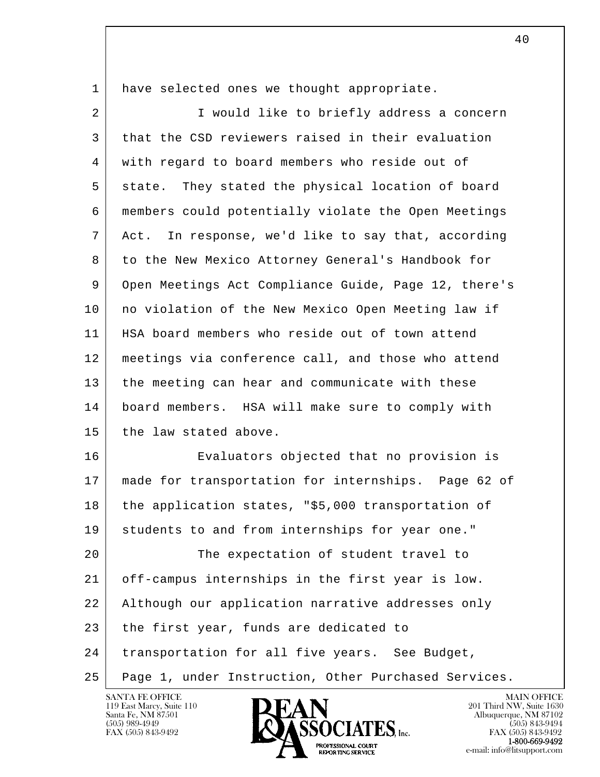| 1 have selected ones we thought appropriate. |  |
|----------------------------------------------|--|
|----------------------------------------------|--|

| $\overline{2}$ | I would like to briefly address a concern            |
|----------------|------------------------------------------------------|
| 3              | that the CSD reviewers raised in their evaluation    |
| 4              | with regard to board members who reside out of       |
| 5              | state. They stated the physical location of board    |
| 6              | members could potentially violate the Open Meetings  |
| 7              | Act. In response, we'd like to say that, according   |
| 8              | to the New Mexico Attorney General's Handbook for    |
| 9              | Open Meetings Act Compliance Guide, Page 12, there's |
| 10             | no violation of the New Mexico Open Meeting law if   |
| 11             | HSA board members who reside out of town attend      |
| 12             | meetings via conference call, and those who attend   |
| 13             | the meeting can hear and communicate with these      |
| 14             | board members. HSA will make sure to comply with     |
| 15             | the law stated above.                                |
| 16             | Evaluators objected that no provision is             |
| 17             | made for transportation for internships. Page 62 of  |
| 18             | the application states, "\$5,000 transportation of   |
| 19             | students to and from internships for year one."      |
| 20             | The expectation of student travel to                 |
| 21             | off-campus internships in the first year is low.     |
| 22             | Although our application narrative addresses only    |
| 23             | the first year, funds are dedicated to               |
| 24             | transportation for all five years. See Budget,       |
| 25             | Page 1, under Instruction, Other Purchased Services. |

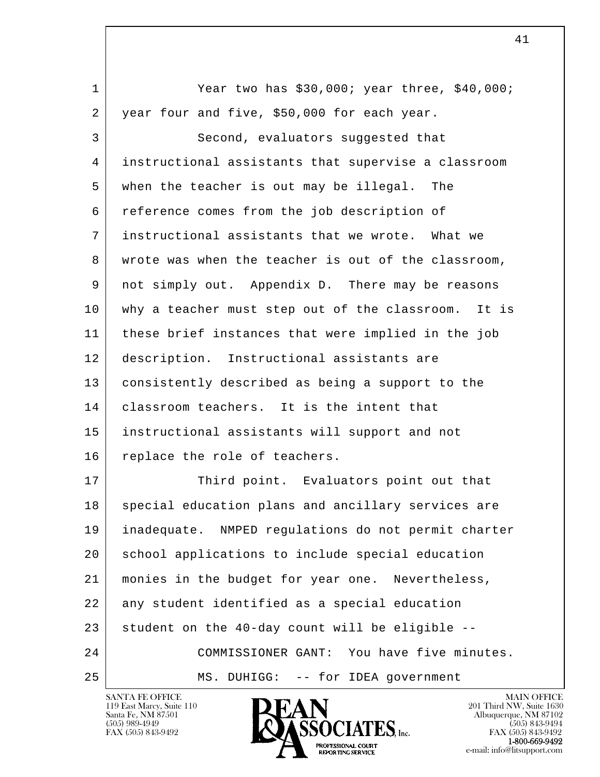l  $\overline{\phantom{a}}$  1 Year two has \$30,000; year three, \$40,000; 2 year four and five, \$50,000 for each year. 3 Second, evaluators suggested that 4 instructional assistants that supervise a classroom 5 when the teacher is out may be illegal. The 6 reference comes from the job description of 7 instructional assistants that we wrote. What we 8 wrote was when the teacher is out of the classroom, 9 not simply out. Appendix D. There may be reasons 10 why a teacher must step out of the classroom. It is 11 these brief instances that were implied in the job 12 description. Instructional assistants are 13 consistently described as being a support to the 14 | classroom teachers. It is the intent that 15 instructional assistants will support and not 16 replace the role of teachers. 17 Third point. Evaluators point out that 18 special education plans and ancillary services are 19 inadequate. NMPED regulations do not permit charter 20 | school applications to include special education 21 monies in the budget for year one. Nevertheless, 22 any student identified as a special education  $23$  student on the 40-day count will be eligible  $-$ - 24 COMMISSIONER GANT: You have five minutes. 25 | MS. DUHIGG: -- for IDEA government

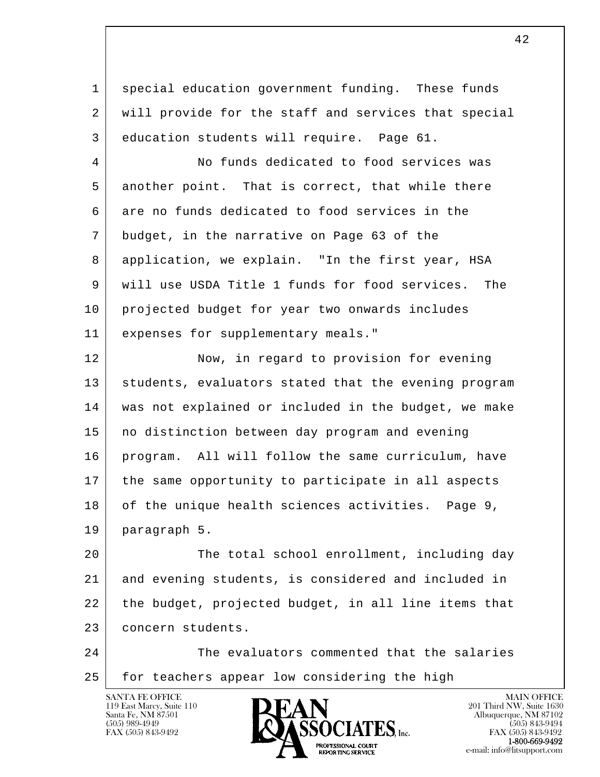1 special education government funding. These funds 2 will provide for the staff and services that special 3 education students will require. Page 61.

 4 No funds dedicated to food services was 5 another point. That is correct, that while there 6 are no funds dedicated to food services in the 7 budget, in the narrative on Page 63 of the 8 application, we explain. "In the first year, HSA 9 will use USDA Title 1 funds for food services. The 10 projected budget for year two onwards includes 11 expenses for supplementary meals."

12 Now, in regard to provision for evening 13 | students, evaluators stated that the evening program 14 was not explained or included in the budget, we make 15 no distinction between day program and evening 16 program. All will follow the same curriculum, have 17 the same opportunity to participate in all aspects 18 of the unique health sciences activities. Page 9, 19 paragraph 5.

l 20 The total school enrollment, including day 21 and evening students, is considered and included in 22 the budget, projected budget, in all line items that 23 concern students.

 $\overline{\phantom{a}}$ 24 The evaluators commented that the salaries 25 | for teachers appear low considering the high

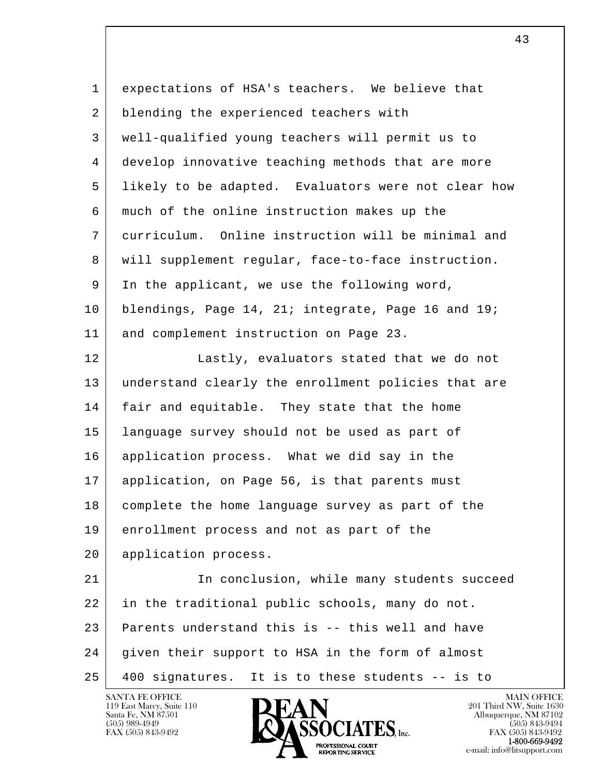| $\mathbf 1$ | expectations of HSA's teachers. We believe that     |
|-------------|-----------------------------------------------------|
| 2           | blending the experienced teachers with              |
| 3           | well-qualified young teachers will permit us to     |
| 4           | develop innovative teaching methods that are more   |
| 5           | likely to be adapted. Evaluators were not clear how |
| 6           | much of the online instruction makes up the         |
| 7           | curriculum. Online instruction will be minimal and  |
| 8           | will supplement regular, face-to-face instruction.  |
| 9           | In the applicant, we use the following word,        |
| 10          | blendings, Page 14, 21; integrate, Page 16 and 19;  |
| 11          | and complement instruction on Page 23.              |
| 12          | Lastly, evaluators stated that we do not            |
| 13          | understand clearly the enrollment policies that are |
| 14          | fair and equitable. They state that the home        |
| 15          | language survey should not be used as part of       |
| 16          | application process. What we did say in the         |
| 17          | application, on Page 56, is that parents must       |
| 18          | complete the home language survey as part of the    |
| 19          | enrollment process and not as part of the           |
| 20          | application process.                                |
| 21          | In conclusion, while many students succeed          |
| 22          | in the traditional public schools, many do not.     |
| 23          | Parents understand this is -- this well and have    |
| 24          | given their support to HSA in the form of almost    |
| 25          | 400 signatures. It is to these students -- is to    |

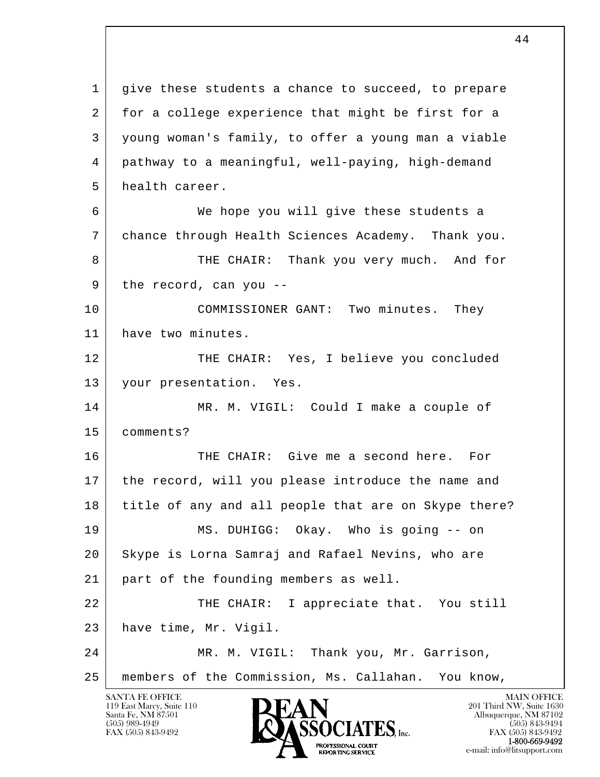l  $\overline{\phantom{a}}$ SANTA FE OFFICE MAIN OFFICE MAIN OFFICE MAIN OFFICE MAIN OFFICE 1 give these students a chance to succeed, to prepare 2 for a college experience that might be first for a 3 young woman's family, to offer a young man a viable 4 pathway to a meaningful, well-paying, high-demand 5 health career. 6 We hope you will give these students a 7 chance through Health Sciences Academy. Thank you. 8 THE CHAIR: Thank you very much. And for  $9$  the record, can you -- 10 COMMISSIONER GANT: Two minutes. They 11 have two minutes. 12 THE CHAIR: Yes, I believe you concluded 13 your presentation. Yes. 14 MR. M. VIGIL: Could I make a couple of 15 comments? 16 THE CHAIR: Give me a second here. For 17 the record, will you please introduce the name and 18 title of any and all people that are on Skype there? 19 MS. DUHIGG: Okay. Who is going -- on 20 Skype is Lorna Samraj and Rafael Nevins, who are 21 part of the founding members as well. 22 THE CHAIR: I appreciate that. You still 23 have time, Mr. Vigil. 24 MR. M. VIGIL: Thank you, Mr. Garrison, 25 members of the Commission, Ms. Callahan. You know,

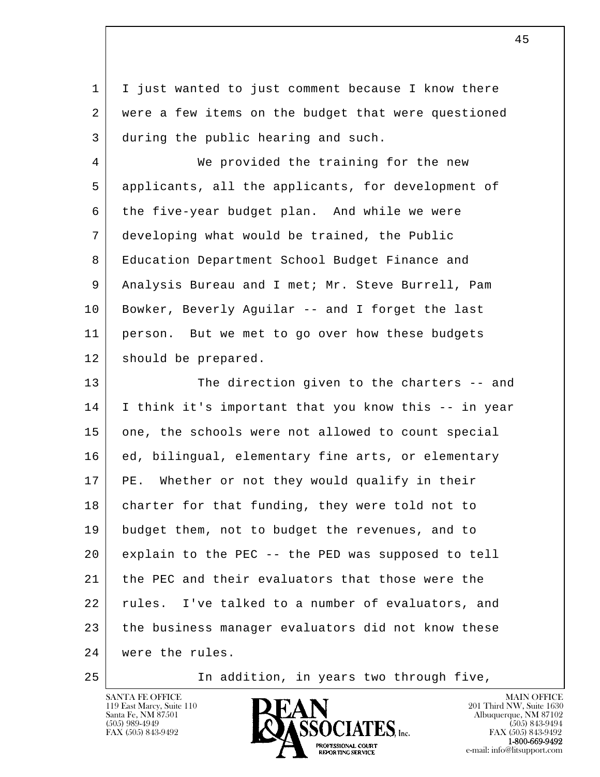1 I just wanted to just comment because I know there 2 were a few items on the budget that were questioned 3 during the public hearing and such.

 4 We provided the training for the new 5 applicants, all the applicants, for development of 6 the five-year budget plan. And while we were 7 developing what would be trained, the Public 8 Education Department School Budget Finance and 9 Analysis Bureau and I met; Mr. Steve Burrell, Pam 10 Bowker, Beverly Aguilar -- and I forget the last 11 person. But we met to go over how these budgets 12 should be prepared.

l  $\overline{\phantom{a}}$ 13 The direction given to the charters -- and 14 I think it's important that you know this -- in year 15 one, the schools were not allowed to count special 16 | ed, bilingual, elementary fine arts, or elementary 17 PE. Whether or not they would qualify in their 18 charter for that funding, they were told not to 19 budget them, not to budget the revenues, and to 20 explain to the PEC -- the PED was supposed to tell 21 the PEC and their evaluators that those were the 22 rules. I've talked to a number of evaluators, and 23 the business manager evaluators did not know these 24 were the rules.

25 In addition, in years two through five,

SANTA FE OFFICE MAIN OFFICE MAIN OFFICE MAIN OFFICE MAIN OFFICE 119 East Marcy, Suite 110 **201 Third NW**, Suite 1630<br>
Santa Fe, NM 87501 **201 Abuquerque, NM 87102** Santa Fe, NM 87501 Albuquerque, NM 87102  $\sum_{\text{FAX (505) 843-9492}}$   $\sum_{\text{FAX (505) 843-9492}}$   $\sum_{\text{FAX (505) 843-9492}}$ **1-800-669-9492**<br> **EXALTERIONAL CN BT** 

FAX (505) 843-9492<br>**1-800-669-9492** e-mail: info@litsupport.com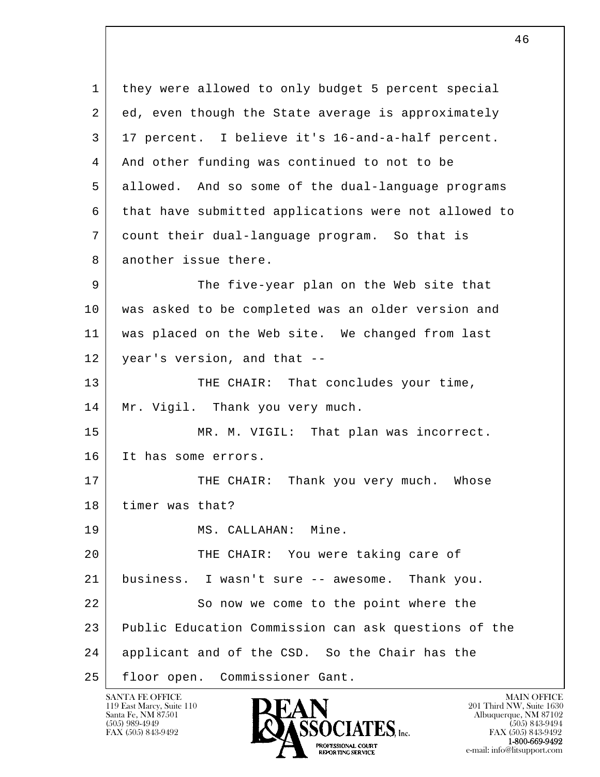l  $\overline{\phantom{a}}$  1 they were allowed to only budget 5 percent special 2 ed, even though the State average is approximately 3 17 percent. I believe it's 16-and-a-half percent. 4 And other funding was continued to not to be 5 allowed. And so some of the dual-language programs 6 that have submitted applications were not allowed to 7 count their dual-language program. So that is 8 another issue there. 9 The five-year plan on the Web site that 10 was asked to be completed was an older version and 11 was placed on the Web site. We changed from last 12 year's version, and that --13 THE CHAIR: That concludes your time, 14 | Mr. Vigil. Thank you very much. 15 MR. M. VIGIL: That plan was incorrect. 16 It has some errors. 17 THE CHAIR: Thank you very much. Whose 18 timer was that? 19 | MS. CALLAHAN: Mine. 20 THE CHAIR: You were taking care of 21 business. I wasn't sure -- awesome. Thank you. 22 So now we come to the point where the 23 Public Education Commission can ask questions of the 24 applicant and of the CSD. So the Chair has the 25 floor open. Commissioner Gant.

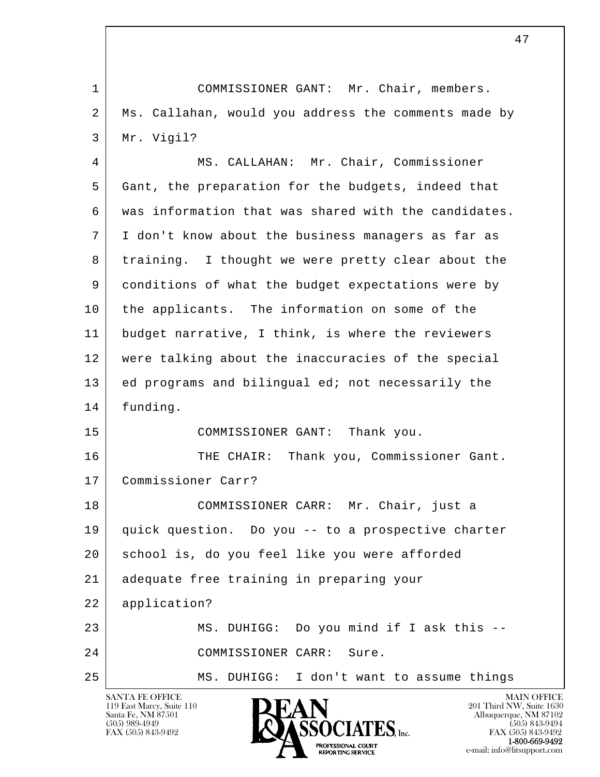l  $\overline{\phantom{a}}$  1 COMMISSIONER GANT: Mr. Chair, members. 2 | Ms. Callahan, would you address the comments made by 3 Mr. Vigil? 4 MS. CALLAHAN: Mr. Chair, Commissioner 5 Gant, the preparation for the budgets, indeed that 6 was information that was shared with the candidates. 7 I don't know about the business managers as far as 8 training. I thought we were pretty clear about the 9 conditions of what the budget expectations were by 10 the applicants. The information on some of the 11 budget narrative, I think, is where the reviewers 12 were talking about the inaccuracies of the special 13 ed programs and bilingual ed; not necessarily the 14 funding. 15 | COMMISSIONER GANT: Thank you. 16 THE CHAIR: Thank you, Commissioner Gant. 17 Commissioner Carr? 18 COMMISSIONER CARR: Mr. Chair, just a 19 quick question. Do you -- to a prospective charter 20 school is, do you feel like you were afforded 21 adequate free training in preparing your 22 application? 23 MS. DUHIGG: Do you mind if I ask this -- 24 COMMISSIONER CARR: Sure. 25 | MS. DUHIGG: I don't want to assume things

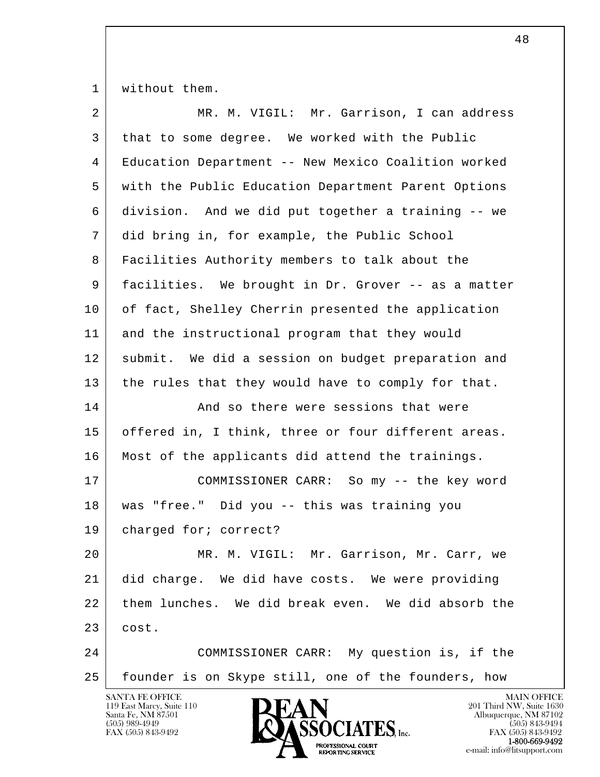1 | without them.

| $\overline{2}$ | MR. M. VIGIL: Mr. Garrison, I can address                      |
|----------------|----------------------------------------------------------------|
| 3              | that to some degree. We worked with the Public                 |
| 4              | Education Department -- New Mexico Coalition worked            |
| 5              | with the Public Education Department Parent Options            |
| 6              | division. And we did put together a training -- we             |
| 7              | did bring in, for example, the Public School                   |
| 8              | Facilities Authority members to talk about the                 |
| 9              | facilities. We brought in Dr. Grover -- as a matter            |
| 10             | of fact, Shelley Cherrin presented the application             |
| 11             | and the instructional program that they would                  |
| 12             | submit. We did a session on budget preparation and             |
| 13             | the rules that they would have to comply for that.             |
| 14             | And so there were sessions that were                           |
| 15             | offered in, I think, three or four different areas.            |
| 16             | Most of the applicants did attend the trainings.               |
| 17             | COMMISSIONER CARR: So my -- the key word                       |
| 18             | was "free." Did you -- this was training you                   |
| 19             | charged for; correct?                                          |
| 20             | MR. M. VIGIL: Mr. Garrison, Mr. Carr, we                       |
| 21             | did charge. We did have costs. We were providing               |
| 22             | them lunches. We did break even. We did absorb the             |
| 23             | cost.                                                          |
| 24             | COMMISSIONER CARR: My question is, if the                      |
| 25             | founder is on Skype still, one of the founders, how            |
|                | <b>SANTA FE OFFICE</b><br><b>MAIN OFFICE</b><br><b>TATTART</b> |

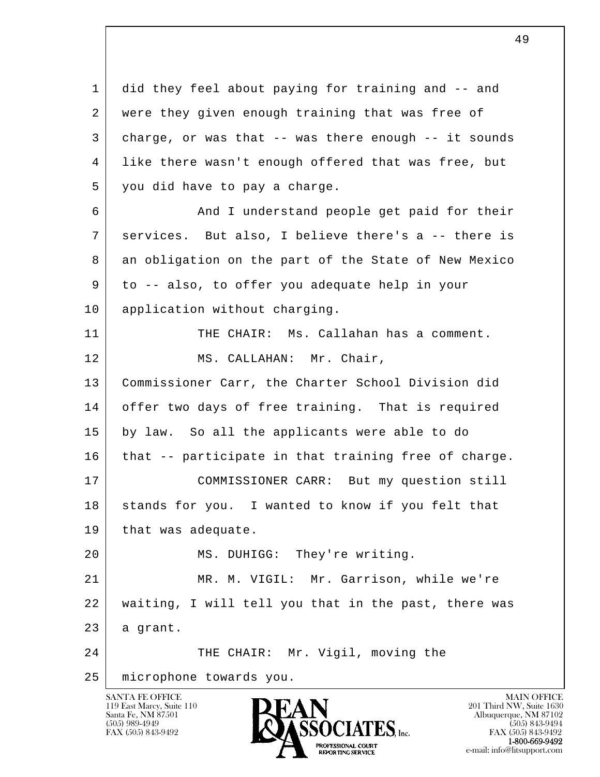l  $\overline{\phantom{a}}$  1 did they feel about paying for training and -- and 2 were they given enough training that was free of 3 charge, or was that -- was there enough -- it sounds 4 like there wasn't enough offered that was free, but 5 you did have to pay a charge. 6 And I understand people get paid for their 7 services. But also, I believe there's a -- there is 8 an obligation on the part of the State of New Mexico 9 to -- also, to offer you adequate help in your 10 | application without charging. 11 THE CHAIR: Ms. Callahan has a comment. 12 MS. CALLAHAN: Mr. Chair, 13 | Commissioner Carr, the Charter School Division did 14 offer two days of free training. That is required 15 by law. So all the applicants were able to do 16 | that -- participate in that training free of charge. 17 COMMISSIONER CARR: But my question still 18 stands for you. I wanted to know if you felt that 19 | that was adequate. 20 | MS. DUHIGG: They're writing. 21 MR. M. VIGIL: Mr. Garrison, while we're 22 waiting, I will tell you that in the past, there was  $23$  a grant. 24 THE CHAIR: Mr. Vigil, moving the 25 microphone towards you.



FAX (505) 843-9492 FAX (505) 843-9492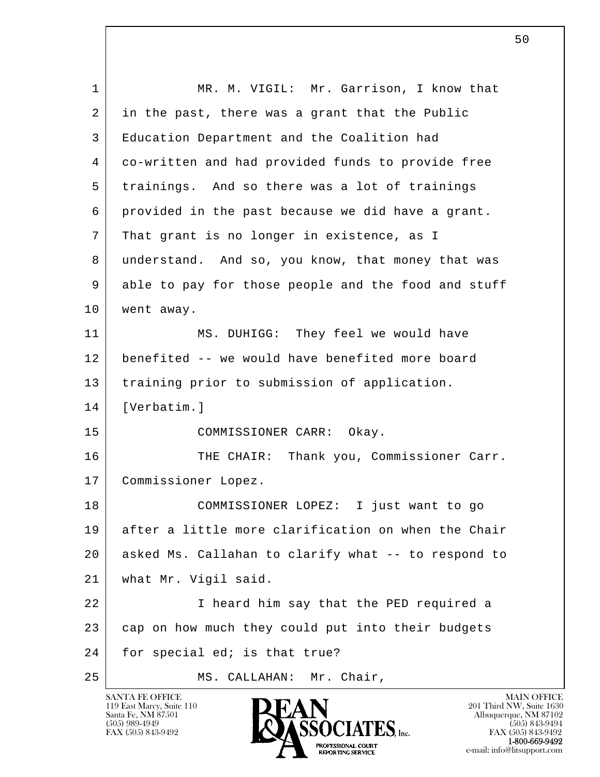| 1  | MR. M. VIGIL: Mr. Garrison, I know that             |
|----|-----------------------------------------------------|
| 2  | in the past, there was a grant that the Public      |
| 3  | Education Department and the Coalition had          |
| 4  | co-written and had provided funds to provide free   |
| 5  | trainings. And so there was a lot of trainings      |
| 6  | provided in the past because we did have a grant.   |
| 7  | That grant is no longer in existence, as I          |
| 8  | understand. And so, you know, that money that was   |
| 9  | able to pay for those people and the food and stuff |
| 10 | went away.                                          |
| 11 | MS. DUHIGG: They feel we would have                 |
| 12 | benefited -- we would have benefited more board     |
| 13 | training prior to submission of application.        |
| 14 | [Verbatim.]                                         |
| 15 | COMMISSIONER CARR: Okay.                            |
| 16 | THE CHAIR: Thank you, Commissioner Carr.            |
| 17 | Commissioner Lopez.                                 |
| 18 | COMMISSIONER LOPEZ: I just want to go               |
| 19 | after a little more clarification on when the Chair |
| 20 | asked Ms. Callahan to clarify what -- to respond to |
| 21 | what Mr. Vigil said.                                |
| 22 | I heard him say that the PED required a             |
| 23 | cap on how much they could put into their budgets   |
| 24 | for special ed; is that true?                       |
| 25 | Mr. Chair,<br>MS. CALLAHAN:                         |

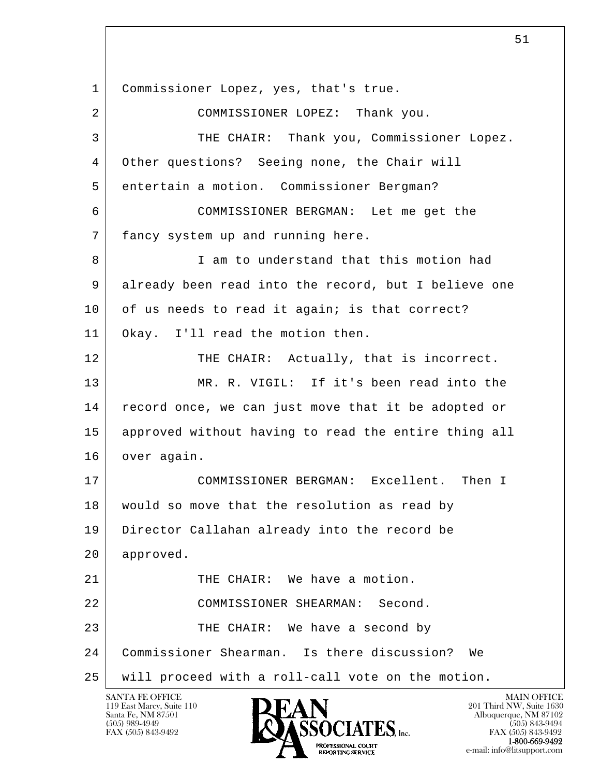l  $\overline{\phantom{a}}$  1 Commissioner Lopez, yes, that's true. 2 COMMISSIONER LOPEZ: Thank you. 3 THE CHAIR: Thank you, Commissioner Lopez. 4 Other questions? Seeing none, the Chair will 5 entertain a motion. Commissioner Bergman? 6 COMMISSIONER BERGMAN: Let me get the 7 fancy system up and running here. 8 I am to understand that this motion had 9 already been read into the record, but I believe one 10 of us needs to read it again; is that correct? 11 Okay. I'll read the motion then. 12 THE CHAIR: Actually, that is incorrect. 13 MR. R. VIGIL: If it's been read into the 14 | record once, we can just move that it be adopted or 15 approved without having to read the entire thing all 16 over again. 17 COMMISSIONER BERGMAN: Excellent. Then I 18 would so move that the resolution as read by 19 Director Callahan already into the record be 20 approved. 21 THE CHAIR: We have a motion. 22 COMMISSIONER SHEARMAN: Second. 23 THE CHAIR: We have a second by 24 Commissioner Shearman. Is there discussion? We 25 will proceed with a roll-call vote on the motion.

119 East Marcy, Suite 110<br>Santa Fe, NM 87501



 $\sim$  51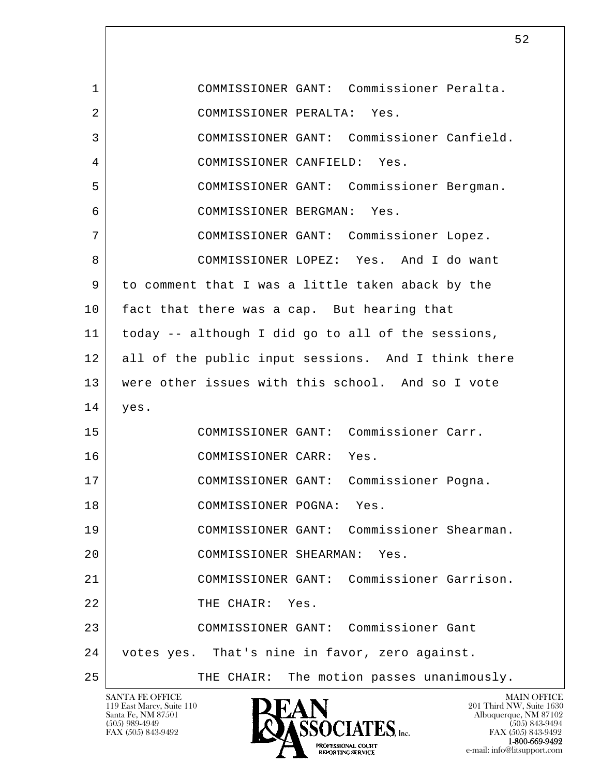l  $\overline{\phantom{a}}$  1 COMMISSIONER GANT: Commissioner Peralta. 2 COMMISSIONER PERALTA: Yes. 3 COMMISSIONER GANT: Commissioner Canfield. 4 COMMISSIONER CANFIELD: Yes. 5 COMMISSIONER GANT: Commissioner Bergman. 6 COMMISSIONER BERGMAN: Yes. 7 COMMISSIONER GANT: Commissioner Lopez. 8 COMMISSIONER LOPEZ: Yes. And I do want 9 to comment that I was a little taken aback by the 10 fact that there was a cap. But hearing that 11 today -- although I did go to all of the sessions, 12 all of the public input sessions. And I think there 13 were other issues with this school. And so I vote 14 yes. 15 COMMISSIONER GANT: Commissioner Carr. 16 | COMMISSIONER CARR: Yes. 17 COMMISSIONER GANT: Commissioner Pogna. 18 COMMISSIONER POGNA: Yes. 19 COMMISSIONER GANT: Commissioner Shearman. 20 COMMISSIONER SHEARMAN: Yes. 21 COMMISSIONER GANT: Commissioner Garrison. 22 THE CHAIR: Yes. 23 COMMISSIONER GANT: Commissioner Gant 24 votes yes. That's nine in favor, zero against. 25 | THE CHAIR: The motion passes unanimously.

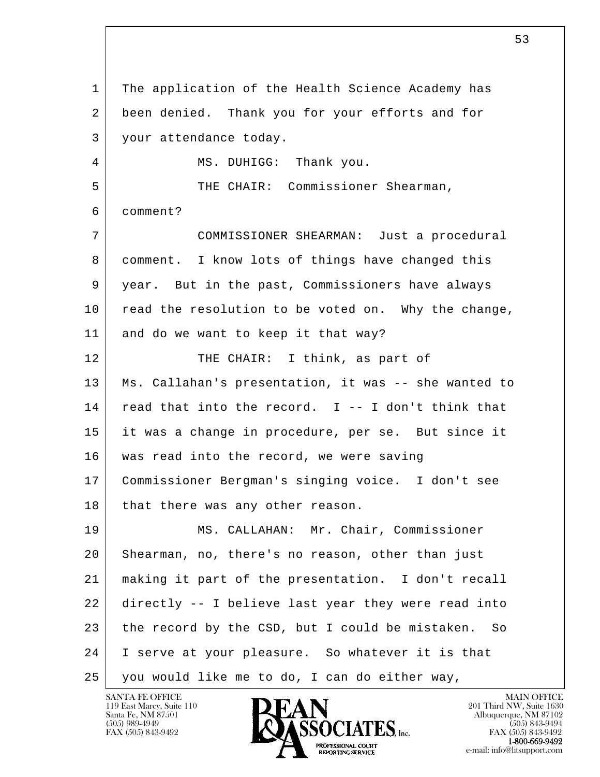l  $\overline{\phantom{a}}$  1 The application of the Health Science Academy has 2 been denied. Thank you for your efforts and for 3 your attendance today. 4 | MS. DUHIGG: Thank you. 5 THE CHAIR: Commissioner Shearman, 6 comment? 7 COMMISSIONER SHEARMAN: Just a procedural 8 comment. I know lots of things have changed this 9 year. But in the past, Commissioners have always 10 read the resolution to be voted on. Why the change, 11 and do we want to keep it that way? 12 THE CHAIR: I think, as part of 13 Ms. Callahan's presentation, it was -- she wanted to  $14$  read that into the record. I -- I don't think that 15 it was a change in procedure, per se. But since it 16 | was read into the record, we were saving 17 Commissioner Bergman's singing voice. I don't see 18 that there was any other reason. 19 MS. CALLAHAN: Mr. Chair, Commissioner 20 Shearman, no, there's no reason, other than just 21 making it part of the presentation. I don't recall 22 directly -- I believe last year they were read into 23 the record by the CSD, but I could be mistaken. So 24 I serve at your pleasure. So whatever it is that 25 you would like me to do, I can do either way,

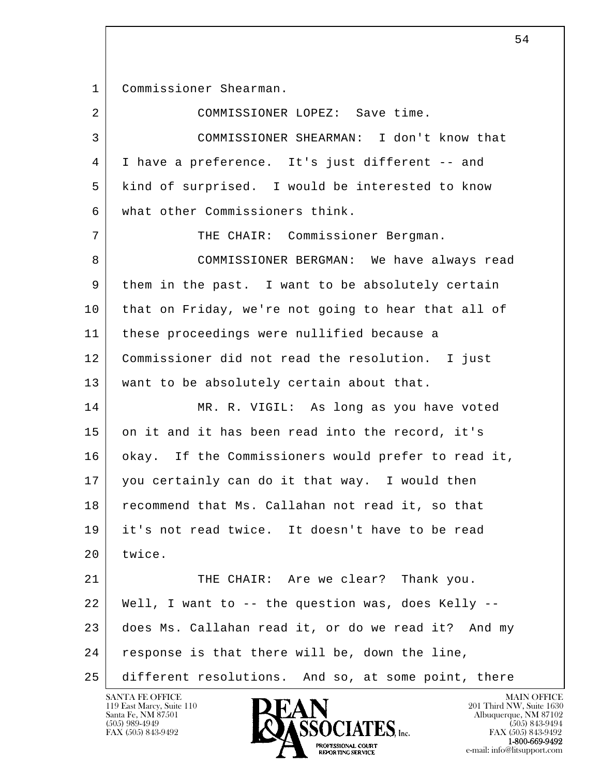1 Commissioner Shearman.

| $\overline{2}$ | COMMISSIONER LOPEZ: Save time.                      |
|----------------|-----------------------------------------------------|
| 3              | COMMISSIONER SHEARMAN: I don't know that            |
| 4              | I have a preference. It's just different -- and     |
| 5              | kind of surprised. I would be interested to know    |
| 6              | what other Commissioners think.                     |
| 7              | THE CHAIR: Commissioner Bergman.                    |
| 8              | COMMISSIONER BERGMAN: We have always read           |
| 9              | them in the past. I want to be absolutely certain   |
| 10             | that on Friday, we're not going to hear that all of |
| 11             | these proceedings were nullified because a          |
| 12             | Commissioner did not read the resolution. I just    |
| 13             | want to be absolutely certain about that.           |
| 14             | MR. R. VIGIL: As long as you have voted             |
| 15             | on it and it has been read into the record, it's    |
| 16             | okay. If the Commissioners would prefer to read it, |
| 17             | you certainly can do it that way. I would then      |
| 18             | recommend that Ms. Callahan not read it, so that    |
| 19             | it's not read twice. It doesn't have to be read     |
| 20             | twice.                                              |
| 21             | THE CHAIR: Are we clear? Thank you.                 |
| 22             | Well, I want to -- the question was, does Kelly --  |
| 23             | does Ms. Callahan read it, or do we read it? And my |
| 24             | response is that there will be, down the line,      |
| 25             | different resolutions. And so, at some point, there |

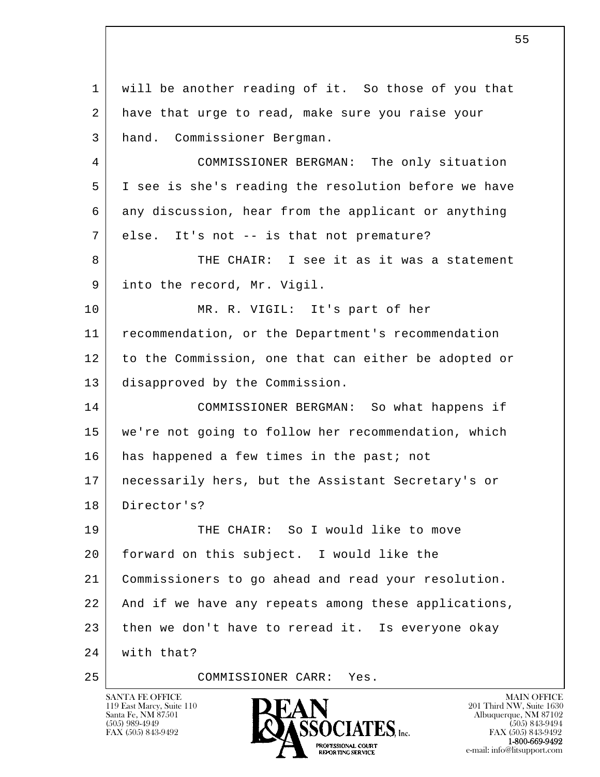l  $\overline{\phantom{a}}$  1 will be another reading of it. So those of you that 2 have that urge to read, make sure you raise your 3 hand. Commissioner Bergman. 4 COMMISSIONER BERGMAN: The only situation 5 I see is she's reading the resolution before we have 6 any discussion, hear from the applicant or anything 7 | else. It's not -- is that not premature? 8 THE CHAIR: I see it as it was a statement 9 into the record, Mr. Vigil. 10 MR. R. VIGIL: It's part of her 11 recommendation, or the Department's recommendation 12 to the Commission, one that can either be adopted or 13 disapproved by the Commission. 14 COMMISSIONER BERGMAN: So what happens if 15 we're not going to follow her recommendation, which 16 has happened a few times in the past; not 17 necessarily hers, but the Assistant Secretary's or 18 Director's? 19 THE CHAIR: So I would like to move 20 forward on this subject. I would like the 21 Commissioners to go ahead and read your resolution. 22 And if we have any repeats among these applications, 23 then we don't have to reread it. Is everyone okay 24 with that? 25 COMMISSIONER CARR: Yes.

119 East Marcy, Suite 110<br>Santa Fe, NM 87501



FAX (505) 843-9492<br>**1-800-669-9492**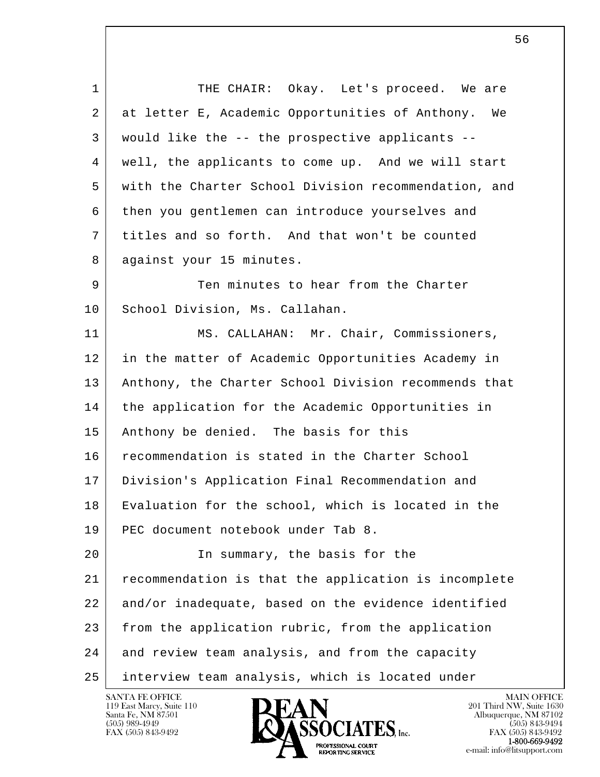l  $\overline{\phantom{a}}$ 1 THE CHAIR: Okay. Let's proceed. We are 2 at letter E, Academic Opportunities of Anthony. We 3 would like the -- the prospective applicants -- 4 well, the applicants to come up. And we will start 5 with the Charter School Division recommendation, and 6 then you gentlemen can introduce yourselves and 7 titles and so forth. And that won't be counted 8 against your 15 minutes. 9 Ten minutes to hear from the Charter 10 | School Division, Ms. Callahan. 11 | MS. CALLAHAN: Mr. Chair, Commissioners, 12 in the matter of Academic Opportunities Academy in 13 | Anthony, the Charter School Division recommends that 14 the application for the Academic Opportunities in 15 | Anthony be denied. The basis for this 16 recommendation is stated in the Charter School 17 Division's Application Final Recommendation and 18 Evaluation for the school, which is located in the 19 PEC document notebook under Tab 8. 20 | The summary, the basis for the 21 recommendation is that the application is incomplete 22 and/or inadequate, based on the evidence identified 23 from the application rubric, from the application 24 and review team analysis, and from the capacity 25 interview team analysis, which is located under

119 East Marcy, Suite 110<br>Santa Fe, NM 87501

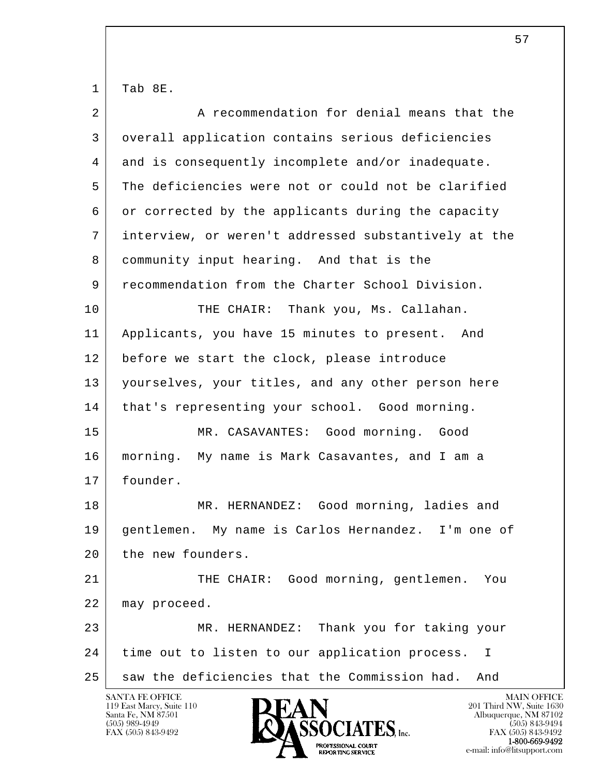$1$  Tab 8E.

| $\overline{2}$ | A recommendation for denial means that the           |
|----------------|------------------------------------------------------|
| 3              | overall application contains serious deficiencies    |
| 4              | and is consequently incomplete and/or inadequate.    |
| 5              | The deficiencies were not or could not be clarified  |
| 6              | or corrected by the applicants during the capacity   |
| 7              | interview, or weren't addressed substantively at the |
| 8              | community input hearing. And that is the             |
| 9              | recommendation from the Charter School Division.     |
| 10             | Thank you, Ms. Callahan.<br>THE CHAIR:               |
| 11             | Applicants, you have 15 minutes to present. And      |
| 12             | before we start the clock, please introduce          |
| 13             | yourselves, your titles, and any other person here   |
| 14             | that's representing your school. Good morning.       |
| 15             | MR. CASAVANTES: Good morning. Good                   |
| 16             | morning. My name is Mark Casavantes, and I am a      |
| 17             | founder.                                             |
| 18             | MR. HERNANDEZ: Good morning, ladies and              |
| 19             | gentlemen. My name is Carlos Hernandez. I'm one of   |
| 20             | the new founders.                                    |
| 21             | THE CHAIR: Good morning, gentlemen.<br>You           |
| 22             | may proceed.                                         |
| 23             | Thank you for taking your<br>MR. HERNANDEZ:          |
| 24             | time out to listen to our application process.<br>I  |
| 25             | saw the deficiencies that the Commission had.<br>And |
|                | SANTA FE OFFICE<br><b>MAIN OFFICE</b>                |

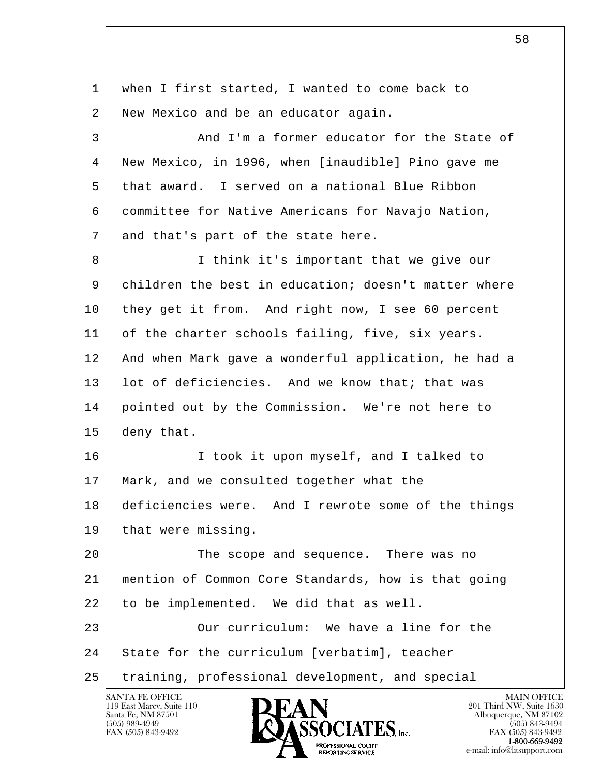l  $\overline{\phantom{a}}$  1 when I first started, I wanted to come back to 2 New Mexico and be an educator again. 3 And I'm a former educator for the State of 4 New Mexico, in 1996, when [inaudible] Pino gave me 5 that award. I served on a national Blue Ribbon 6 committee for Native Americans for Navajo Nation, 7 and that's part of the state here. 8 I think it's important that we give our 9 children the best in education; doesn't matter where 10 they get it from. And right now, I see 60 percent 11 of the charter schools failing, five, six years. 12 And when Mark gave a wonderful application, he had a 13 | lot of deficiencies. And we know that; that was 14 pointed out by the Commission. We're not here to 15 deny that. 16 | The I took it upon myself, and I talked to 17 | Mark, and we consulted together what the 18 deficiencies were. And I rewrote some of the things 19 that were missing. 20 The scope and sequence. There was no 21 mention of Common Core Standards, how is that going 22 to be implemented. We did that as well. 23 Our curriculum: We have a line for the 24 State for the curriculum [verbatim], teacher 25 training, professional development, and special

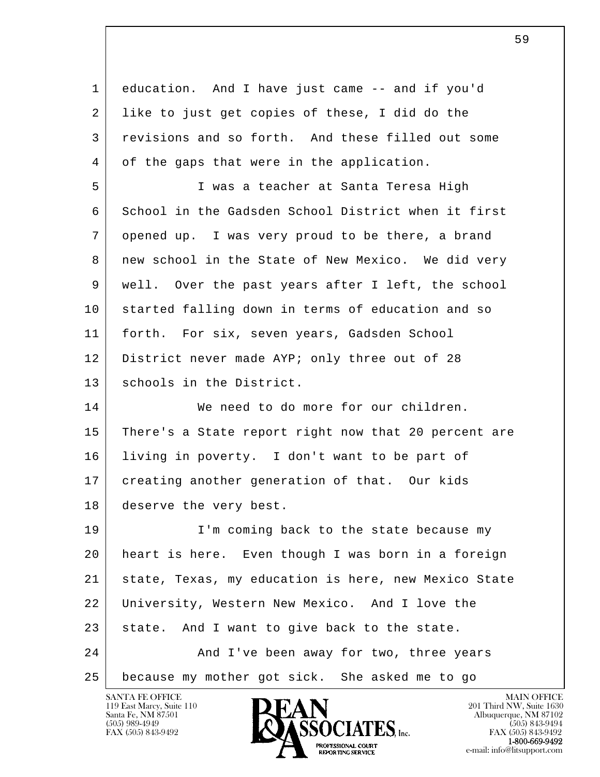l  $\overline{\phantom{a}}$  1 education. And I have just came -- and if you'd 2 | like to just get copies of these, I did do the 3 revisions and so forth. And these filled out some 4 of the gaps that were in the application. 5 I was a teacher at Santa Teresa High 6 School in the Gadsden School District when it first 7 opened up. I was very proud to be there, a brand 8 | new school in the State of New Mexico. We did very 9 well. Over the past years after I left, the school 10 started falling down in terms of education and so 11 forth. For six, seven years, Gadsden School 12 District never made AYP; only three out of 28 13 schools in the District. 14 We need to do more for our children. 15 There's a State report right now that 20 percent are 16 living in poverty. I don't want to be part of 17 creating another generation of that. Our kids 18 deserve the very best. 19 I'm coming back to the state because my 20 heart is here. Even though I was born in a foreign 21 state, Texas, my education is here, new Mexico State 22 University, Western New Mexico. And I love the  $23$  state. And I want to give back to the state. 24 And I've been away for two, three years 25 because my mother got sick. She asked me to go

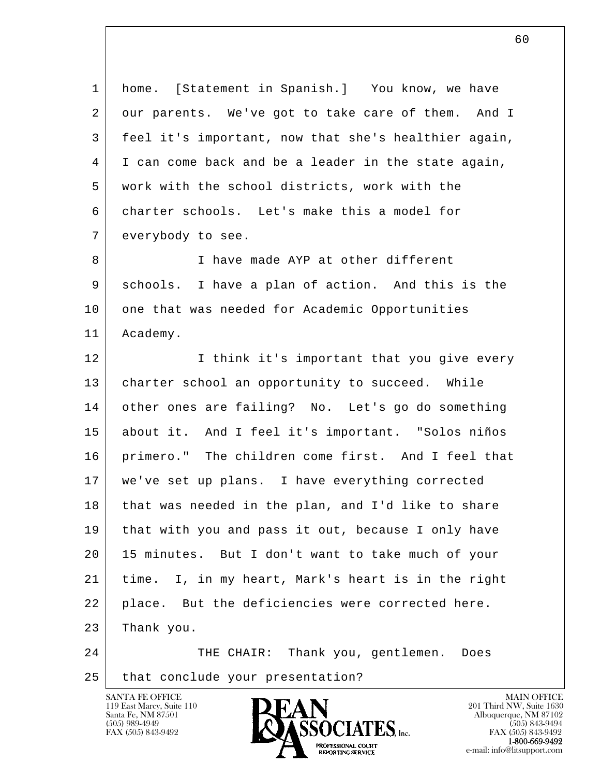l  $\overline{\phantom{a}}$  1 home. [Statement in Spanish.] You know, we have 2 our parents. We've got to take care of them. And I 3 feel it's important, now that she's healthier again, 4 I can come back and be a leader in the state again, 5 work with the school districts, work with the 6 charter schools. Let's make this a model for 7 everybody to see. 8 I have made AYP at other different 9 schools. I have a plan of action. And this is the 10 one that was needed for Academic Opportunities 11 | Academy. 12 I think it's important that you give every 13 | charter school an opportunity to succeed. While 14 other ones are failing? No. Let's go do something 15 about it. And I feel it's important. "Solos niños 16 primero." The children come first. And I feel that 17 we've set up plans. I have everything corrected 18 that was needed in the plan, and I'd like to share 19 that with you and pass it out, because I only have 20 15 minutes. But I don't want to take much of your 21 time. I, in my heart, Mark's heart is in the right 22 place. But the deficiencies were corrected here. 23 Thank you. 24 THE CHAIR: Thank you, gentlemen. Does 25 | that conclude your presentation?

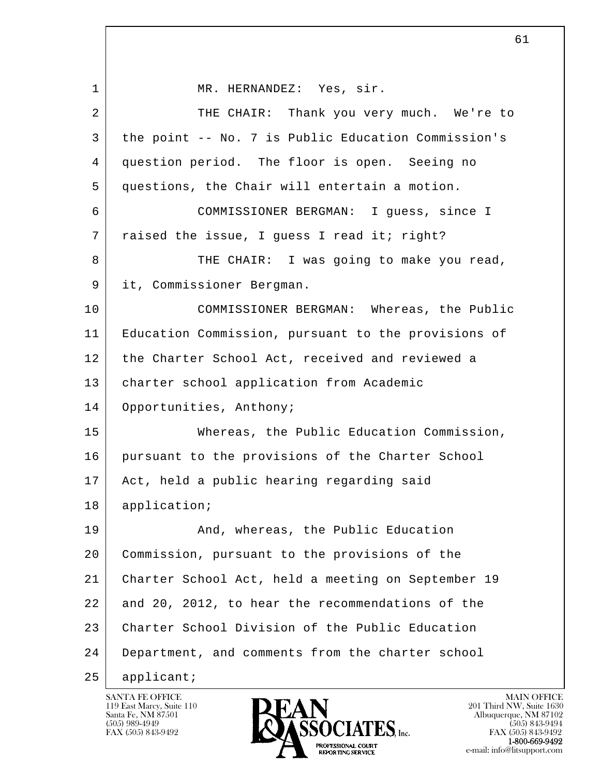l  $\overline{\phantom{a}}$ 1 | MR. HERNANDEZ: Yes, sir. 2 THE CHAIR: Thank you very much. We're to 3 the point -- No. 7 is Public Education Commission's 4 question period. The floor is open. Seeing no 5 questions, the Chair will entertain a motion. 6 COMMISSIONER BERGMAN: I guess, since I 7 | raised the issue, I guess I read it; right? 8 THE CHAIR: I was going to make you read, 9 it, Commissioner Bergman. 10 COMMISSIONER BERGMAN: Whereas, the Public 11 Education Commission, pursuant to the provisions of 12 the Charter School Act, received and reviewed a 13 charter school application from Academic 14 Opportunities, Anthony; 15 Whereas, the Public Education Commission, 16 pursuant to the provisions of the Charter School 17 | Act, held a public hearing regarding said 18 | application; 19 | And, whereas, the Public Education 20 Commission, pursuant to the provisions of the 21 Charter School Act, held a meeting on September 19 22 and 20, 2012, to hear the recommendations of the 23 Charter School Division of the Public Education 24 Department, and comments from the charter school 25 | applicant;

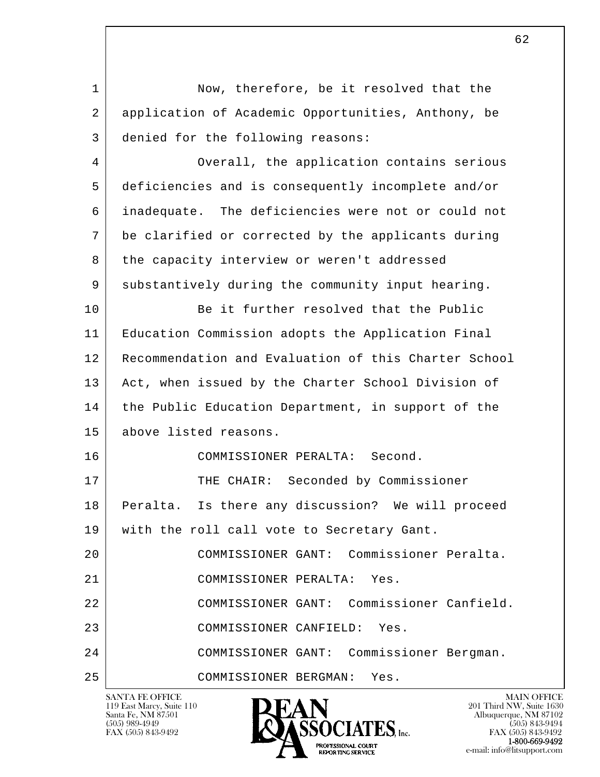l  $\overline{\phantom{a}}$ SANTA FE OFFICE MAIN OFFICE MAIN OFFICE MAIN OFFICE MAIN OFFICE 1 Now, therefore, be it resolved that the 2 application of Academic Opportunities, Anthony, be 3 denied for the following reasons: 4 Overall, the application contains serious 5 deficiencies and is consequently incomplete and/or 6 inadequate. The deficiencies were not or could not 7 be clarified or corrected by the applicants during 8 the capacity interview or weren't addressed 9 substantively during the community input hearing. 10 Be it further resolved that the Public 11 Education Commission adopts the Application Final 12 Recommendation and Evaluation of this Charter School 13 | Act, when issued by the Charter School Division of 14 | the Public Education Department, in support of the 15 above listed reasons. 16 COMMISSIONER PERALTA: Second. 17 | THE CHAIR: Seconded by Commissioner 18 Peralta. Is there any discussion? We will proceed 19 | with the roll call vote to Secretary Gant. 20 COMMISSIONER GANT: Commissioner Peralta. 21 COMMISSIONER PERALTA: Yes. 22 COMMISSIONER GANT: Commissioner Canfield. 23 COMMISSIONER CANFIELD: Yes. 24 COMMISSIONER GANT: Commissioner Bergman. 25 COMMISSIONER BERGMAN: Yes.

119 East Marcy, Suite 110<br>Santa Fe, NM 87501

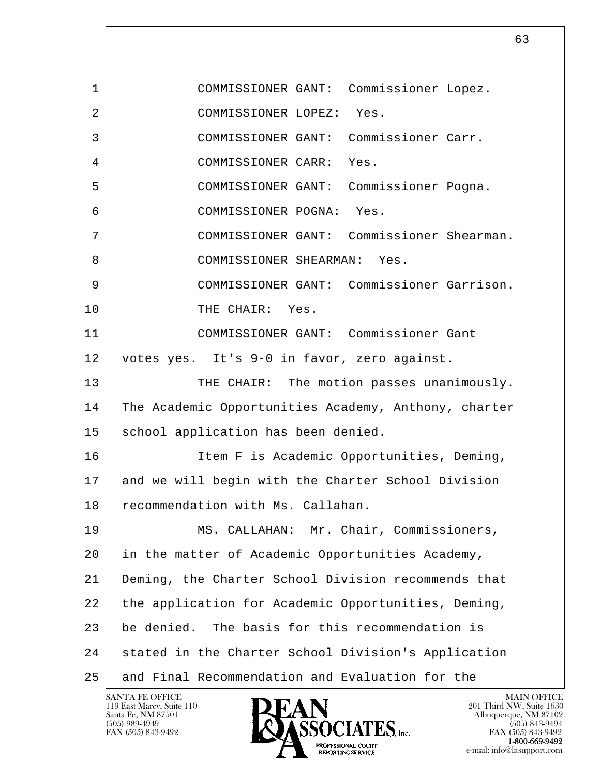l  $\overline{\phantom{a}}$  1 COMMISSIONER GANT: Commissioner Lopez. 2 COMMISSIONER LOPEZ: Yes. 3 COMMISSIONER GANT: Commissioner Carr. 4 COMMISSIONER CARR: Yes. 5 COMMISSIONER GANT: Commissioner Pogna. 6 COMMISSIONER POGNA: Yes. 7 COMMISSIONER GANT: Commissioner Shearman. 8 COMMISSIONER SHEARMAN: Yes. 9 COMMISSIONER GANT: Commissioner Garrison. 10 THE CHAIR: Yes. 11 COMMISSIONER GANT: Commissioner Gant 12 votes yes. It's 9-0 in favor, zero against. 13 THE CHAIR: The motion passes unanimously. 14 The Academic Opportunities Academy, Anthony, charter 15 | school application has been denied. 16 Item F is Academic Opportunities, Deming, 17 and we will begin with the Charter School Division 18 recommendation with Ms. Callahan. 19 MS. CALLAHAN: Mr. Chair, Commissioners, 20 in the matter of Academic Opportunities Academy, 21 Deming, the Charter School Division recommends that 22 the application for Academic Opportunities, Deming, 23 be denied. The basis for this recommendation is 24 stated in the Charter School Division's Application 25 and Final Recommendation and Evaluation for the

119 East Marcy, Suite 110<br>Santa Fe, NM 87501

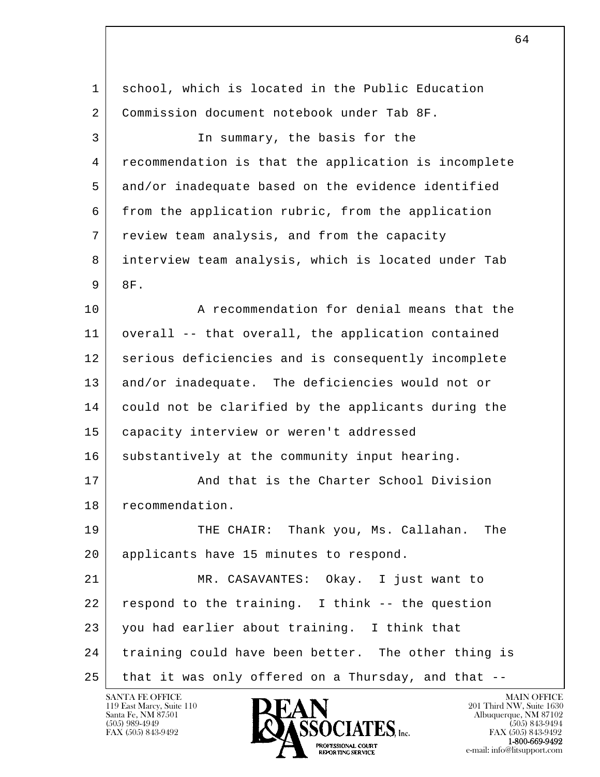l  $\overline{\phantom{a}}$  1 school, which is located in the Public Education 2 Commission document notebook under Tab 8F. 3 In summary, the basis for the 4 recommendation is that the application is incomplete 5 and/or inadequate based on the evidence identified 6 from the application rubric, from the application 7 review team analysis, and from the capacity 8 interview team analysis, which is located under Tab  $9$   $8F.$ 10 A recommendation for denial means that the 11 overall -- that overall, the application contained 12 serious deficiencies and is consequently incomplete 13 and/or inadequate. The deficiencies would not or 14 could not be clarified by the applicants during the 15 | capacity interview or weren't addressed 16 substantively at the community input hearing. 17 | And that is the Charter School Division 18 recommendation. 19 THE CHAIR: Thank you, Ms. Callahan. The 20 applicants have 15 minutes to respond. 21 MR. CASAVANTES: Okay. I just want to  $22$  respond to the training. I think  $-$ - the question 23 you had earlier about training. I think that 24 training could have been better. The other thing is 25 that it was only offered on a Thursday, and that --

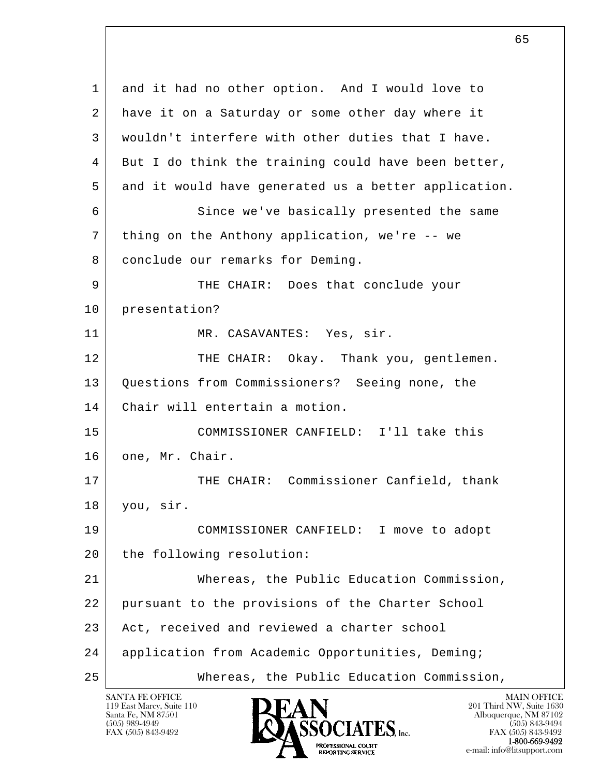l  $\overline{\phantom{a}}$  1 and it had no other option. And I would love to 2 have it on a Saturday or some other day where it 3 wouldn't interfere with other duties that I have. 4 But I do think the training could have been better, 5 and it would have generated us a better application. 6 Since we've basically presented the same 7 thing on the Anthony application, we're -- we 8 conclude our remarks for Deming. 9 THE CHAIR: Does that conclude your 10 presentation? 11 MR. CASAVANTES: Yes, sir. 12 THE CHAIR: Okay. Thank you, gentlemen. 13 Questions from Commissioners? Seeing none, the 14 Chair will entertain a motion. 15 COMMISSIONER CANFIELD: I'll take this 16 one, Mr. Chair. 17 THE CHAIR: Commissioner Canfield, thank 18 you, sir. 19 COMMISSIONER CANFIELD: I move to adopt 20 the following resolution: 21 Whereas, the Public Education Commission, 22 pursuant to the provisions of the Charter School 23 Act, received and reviewed a charter school 24 application from Academic Opportunities, Deming; 25 Whereas, the Public Education Commission,

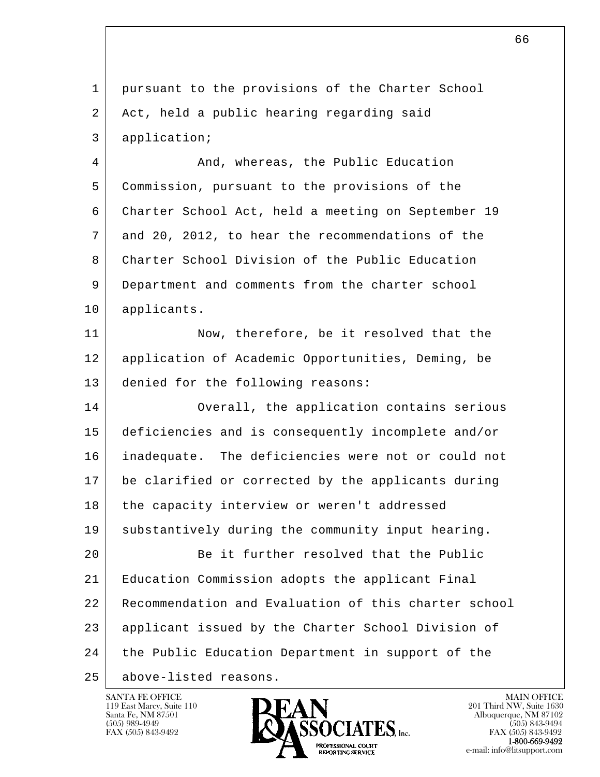l  $\overline{\phantom{a}}$  1 pursuant to the provisions of the Charter School 2 Act, held a public hearing regarding said 3 application; 4 And, whereas, the Public Education 5 Commission, pursuant to the provisions of the 6 Charter School Act, held a meeting on September 19 7 and 20, 2012, to hear the recommendations of the 8 Charter School Division of the Public Education 9 Department and comments from the charter school 10 applicants. 11 Now, therefore, be it resolved that the 12 application of Academic Opportunities, Deming, be 13 denied for the following reasons: 14 Overall, the application contains serious 15 deficiencies and is consequently incomplete and/or 16 inadequate. The deficiencies were not or could not 17 be clarified or corrected by the applicants during 18 the capacity interview or weren't addressed 19 substantively during the community input hearing. 20 Be it further resolved that the Public 21 Education Commission adopts the applicant Final 22 Recommendation and Evaluation of this charter school 23 applicant issued by the Charter School Division of 24 the Public Education Department in support of the 25 above-listed reasons.

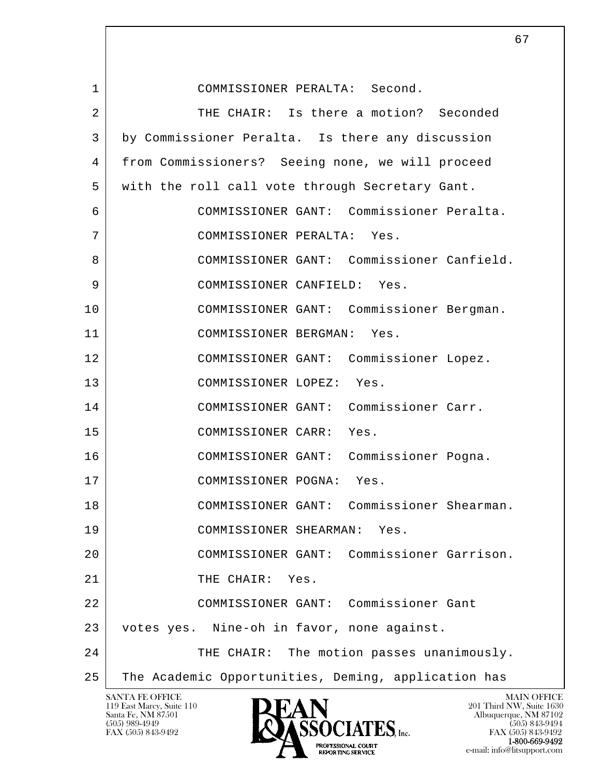l  $\overline{\phantom{a}}$ SANTA FE OFFICE MAIN OFFICE MAIN OFFICE MAIN OFFICE MAIN OFFICE 1 COMMISSIONER PERALTA: Second. 2 THE CHAIR: Is there a motion? Seconded 3 by Commissioner Peralta. Is there any discussion 4 from Commissioners? Seeing none, we will proceed 5 with the roll call vote through Secretary Gant. 6 COMMISSIONER GANT: Commissioner Peralta. 7 COMMISSIONER PERALTA: Yes. 8 COMMISSIONER GANT: Commissioner Canfield. 9 COMMISSIONER CANFIELD: Yes. 10 COMMISSIONER GANT: Commissioner Bergman. 11 COMMISSIONER BERGMAN: Yes. 12 COMMISSIONER GANT: Commissioner Lopez. 13 COMMISSIONER LOPEZ: Yes. 14 COMMISSIONER GANT: Commissioner Carr. 15 COMMISSIONER CARR: Yes. 16 COMMISSIONER GANT: Commissioner Pogna. 17 | COMMISSIONER POGNA: Yes. 18 COMMISSIONER GANT: Commissioner Shearman. 19 COMMISSIONER SHEARMAN: Yes. 20 COMMISSIONER GANT: Commissioner Garrison. 21 THE CHAIR: Yes. 22 COMMISSIONER GANT: Commissioner Gant 23 votes yes. Nine-oh in favor, none against. 24 THE CHAIR: The motion passes unanimously. 25 The Academic Opportunities, Deming, application has

119 East Marcy, Suite 110<br>Santa Fe, NM 87501

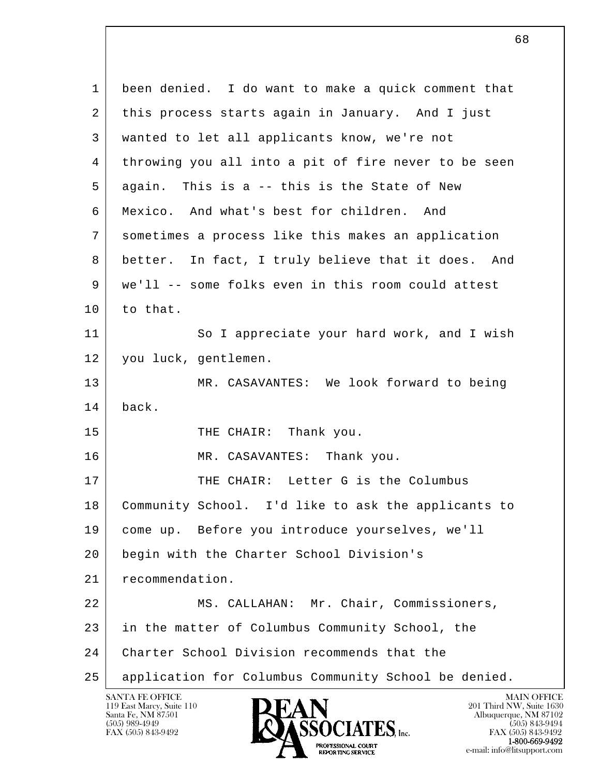l  $\overline{\phantom{a}}$  1 been denied. I do want to make a quick comment that 2 this process starts again in January. And I just 3 wanted to let all applicants know, we're not 4 | throwing you all into a pit of fire never to be seen 5 again. This is a -- this is the State of New 6 Mexico. And what's best for children. And 7 sometimes a process like this makes an application 8 better. In fact, I truly believe that it does. And 9 we'll -- some folks even in this room could attest 10 to that. 11 So I appreciate your hard work, and I wish 12 | you luck, gentlemen. 13 MR. CASAVANTES: We look forward to being 14 back. 15 THE CHAIR: Thank you. 16 MR. CASAVANTES: Thank you. 17 THE CHAIR: Letter G is the Columbus 18 Community School. I'd like to ask the applicants to 19 come up. Before you introduce yourselves, we'll 20 begin with the Charter School Division's 21 recommendation. 22 | MS. CALLAHAN: Mr. Chair, Commissioners, 23 in the matter of Columbus Community School, the 24 Charter School Division recommends that the 25 application for Columbus Community School be denied.

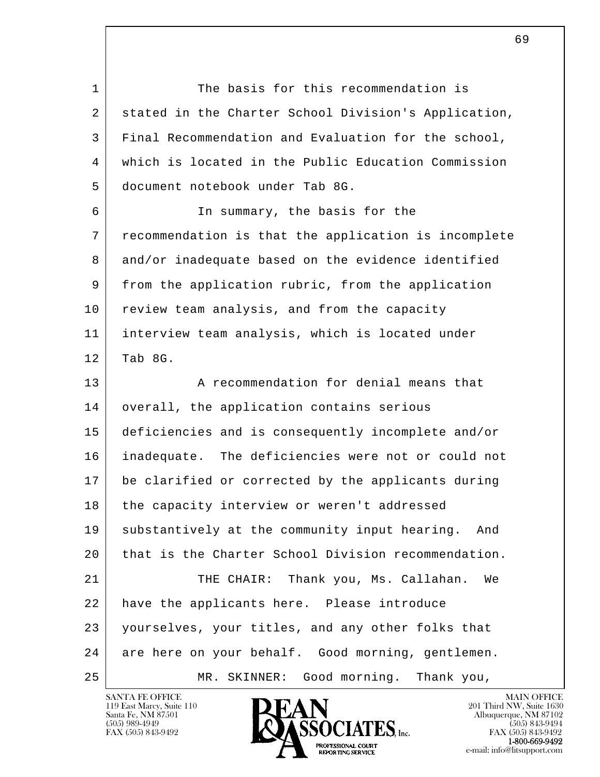l  $\overline{\phantom{a}}$ 1 The basis for this recommendation is 2 stated in the Charter School Division's Application, 3 Final Recommendation and Evaluation for the school, 4 which is located in the Public Education Commission 5 document notebook under Tab 8G. 6 In summary, the basis for the 7 recommendation is that the application is incomplete 8 and/or inadequate based on the evidence identified 9 from the application rubric, from the application 10 review team analysis, and from the capacity 11 interview team analysis, which is located under  $12$  Tab 8G. 13 A recommendation for denial means that 14 | overall, the application contains serious 15 deficiencies and is consequently incomplete and/or 16 inadequate. The deficiencies were not or could not 17 be clarified or corrected by the applicants during 18 the capacity interview or weren't addressed 19 substantively at the community input hearing. And 20 that is the Charter School Division recommendation. 21 THE CHAIR: Thank you, Ms. Callahan. We 22 | have the applicants here. Please introduce 23 yourselves, your titles, and any other folks that 24 are here on your behalf. Good morning, gentlemen. 25 MR. SKINNER: Good morning. Thank you,

119 East Marcy, Suite 110<br>Santa Fe, NM 87501

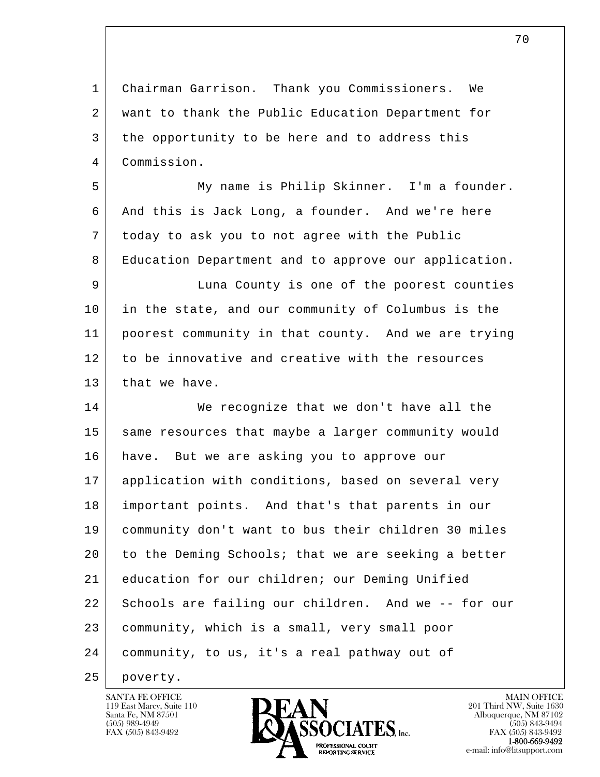l  $\overline{\phantom{a}}$  1 Chairman Garrison. Thank you Commissioners. We 2 want to thank the Public Education Department for 3 the opportunity to be here and to address this 4 Commission. 5 My name is Philip Skinner. I'm a founder. 6 And this is Jack Long, a founder. And we're here 7 today to ask you to not agree with the Public 8 Education Department and to approve our application. 9 Luna County is one of the poorest counties 10 in the state, and our community of Columbus is the 11 poorest community in that county. And we are trying 12 to be innovative and creative with the resources 13 that we have. 14 We recognize that we don't have all the 15 same resources that maybe a larger community would 16 have. But we are asking you to approve our 17 application with conditions, based on several very 18 important points. And that's that parents in our 19 community don't want to bus their children 30 miles 20 to the Deming Schools; that we are seeking a better 21 education for our children; our Deming Unified 22 Schools are failing our children. And we -- for our 23 community, which is a small, very small poor 24 community, to us, it's a real pathway out of

25 poverty.



FAX (505) 843-9492<br>**1-800-669-9492**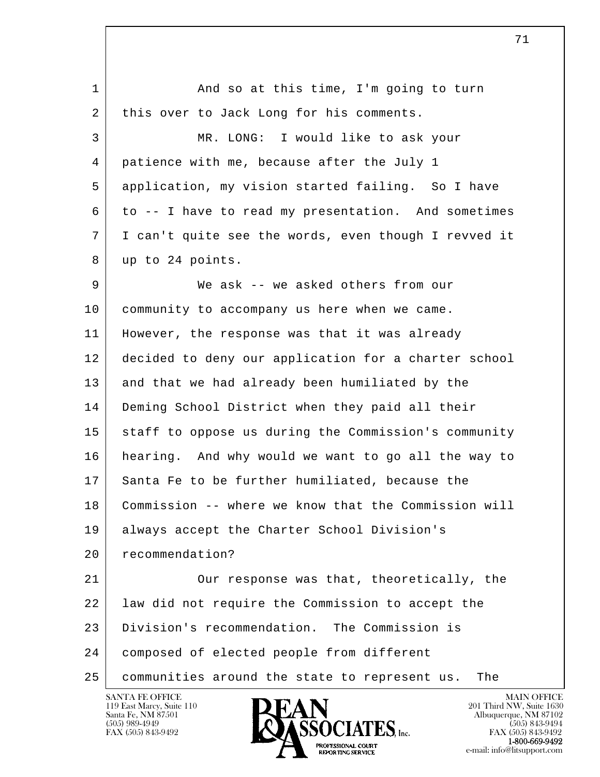l  $\overline{\phantom{a}}$ 1 and so at this time, I'm going to turn 2 | this over to Jack Long for his comments. 3 MR. LONG: I would like to ask your 4 patience with me, because after the July 1 5 application, my vision started failing. So I have  $6$  to -- I have to read my presentation. And sometimes 7 I can't quite see the words, even though I revved it 8 up to 24 points. 9 We ask -- we asked others from our 10 community to accompany us here when we came. 11 However, the response was that it was already 12 decided to deny our application for a charter school 13 and that we had already been humiliated by the 14 Deming School District when they paid all their 15 staff to oppose us during the Commission's community 16 hearing. And why would we want to go all the way to 17 Santa Fe to be further humiliated, because the 18 Commission -- where we know that the Commission will 19 always accept the Charter School Division's 20 recommendation? 21 | Our response was that, theoretically, the 22 | law did not require the Commission to accept the 23 Division's recommendation. The Commission is 24 composed of elected people from different 25 communities around the state to represent us. The



FAX (505) 843-9492<br>**1-800-669-9492**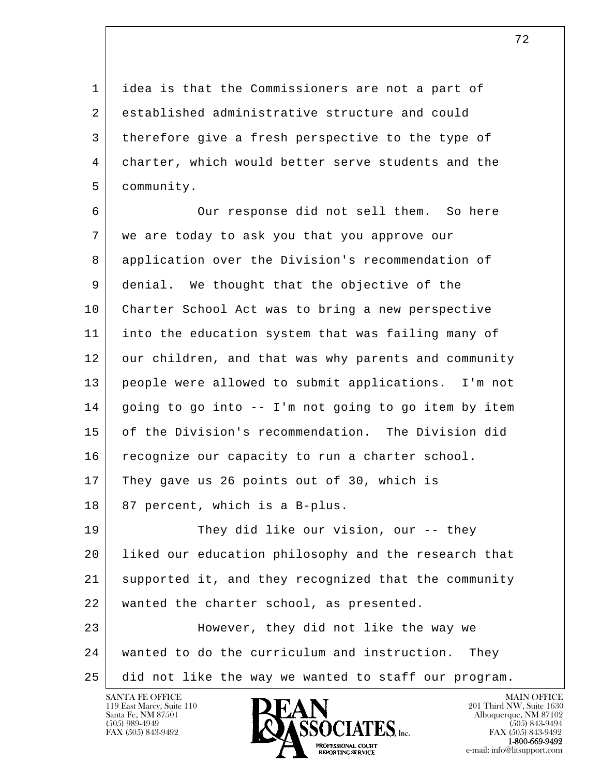1 idea is that the Commissioners are not a part of 2 established administrative structure and could 3 therefore give a fresh perspective to the type of 4 charter, which would better serve students and the 5 community.

l  $\overline{\phantom{a}}$  6 Our response did not sell them. So here 7 we are today to ask you that you approve our 8 application over the Division's recommendation of 9 denial. We thought that the objective of the 10 Charter School Act was to bring a new perspective 11 into the education system that was failing many of 12 our children, and that was why parents and community 13 people were allowed to submit applications. I'm not 14 going to go into -- I'm not going to go item by item 15 of the Division's recommendation. The Division did 16 | recognize our capacity to run a charter school. 17 They gave us 26 points out of 30, which is  $18$  87 percent, which is a B-plus. 19 They did like our vision, our -- they 20 liked our education philosophy and the research that 21 supported it, and they recognized that the community 22 | wanted the charter school, as presented. 23 However, they did not like the way we 24 wanted to do the curriculum and instruction. They

25 did not like the way we wanted to staff our program.

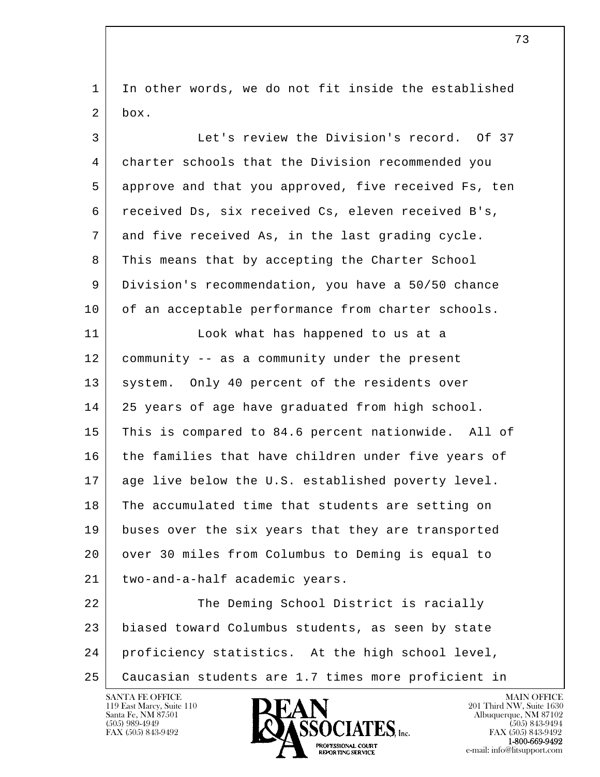1 In other words, we do not fit inside the established  $2 \mid box.$ 

| 3  | Let's review the Division's record. Of 37            |
|----|------------------------------------------------------|
| 4  | charter schools that the Division recommended you    |
| 5  | approve and that you approved, five received Fs, ten |
| 6  | received Ds, six received Cs, eleven received B's,   |
| 7  | and five received As, in the last grading cycle.     |
| 8  | This means that by accepting the Charter School      |
| 9  | Division's recommendation, you have a 50/50 chance   |
| 10 | of an acceptable performance from charter schools.   |
| 11 | Look what has happened to us at a                    |
| 12 | community -- as a community under the present        |
| 13 | system. Only 40 percent of the residents over        |
| 14 | 25 years of age have graduated from high school.     |
| 15 | This is compared to 84.6 percent nationwide. All of  |
| 16 | the families that have children under five years of  |
| 17 | age live below the U.S. established poverty level.   |
| 18 | The accumulated time that students are setting on    |
| 19 | buses over the six years that they are transported   |
| 20 | over 30 miles from Columbus to Deming is equal to    |
| 21 | two-and-a-half academic years.                       |
| 22 | The Deming School District is racially               |
| 23 | biased toward Columbus students, as seen by state    |
| 24 | proficiency statistics. At the high school level,    |
| 25 | Caucasian students are 1.7 times more proficient in  |

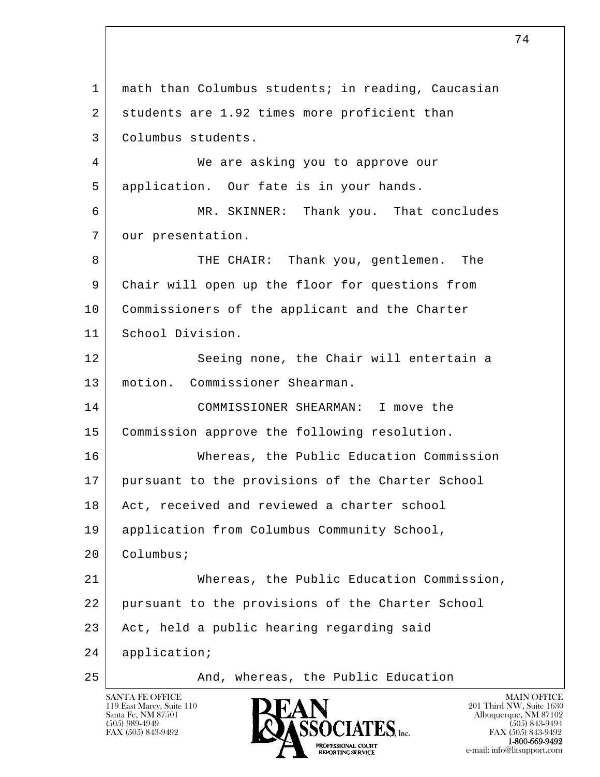l  $\overline{\phantom{a}}$  1 math than Columbus students; in reading, Caucasian 2 students are 1.92 times more proficient than 3 Columbus students. 4 We are asking you to approve our 5 application. Our fate is in your hands. 6 MR. SKINNER: Thank you. That concludes 7 | our presentation. 8 THE CHAIR: Thank you, gentlemen. The 9 Chair will open up the floor for questions from 10 | Commissioners of the applicant and the Charter 11 School Division. 12 Seeing none, the Chair will entertain a 13 motion. Commissioner Shearman. 14 COMMISSIONER SHEARMAN: I move the 15 Commission approve the following resolution. 16 Whereas, the Public Education Commission 17 pursuant to the provisions of the Charter School 18 Act, received and reviewed a charter school 19 | application from Columbus Community School, 20 Columbus; 21 Whereas, the Public Education Commission, 22 pursuant to the provisions of the Charter School 23 | Act, held a public hearing regarding said 24 application; 25 | Rand, whereas, the Public Education



FAX (505) 843-9492 FAX (505) 843-9492 **EXPORTING SERVICE**<br>REPORTING SERVICE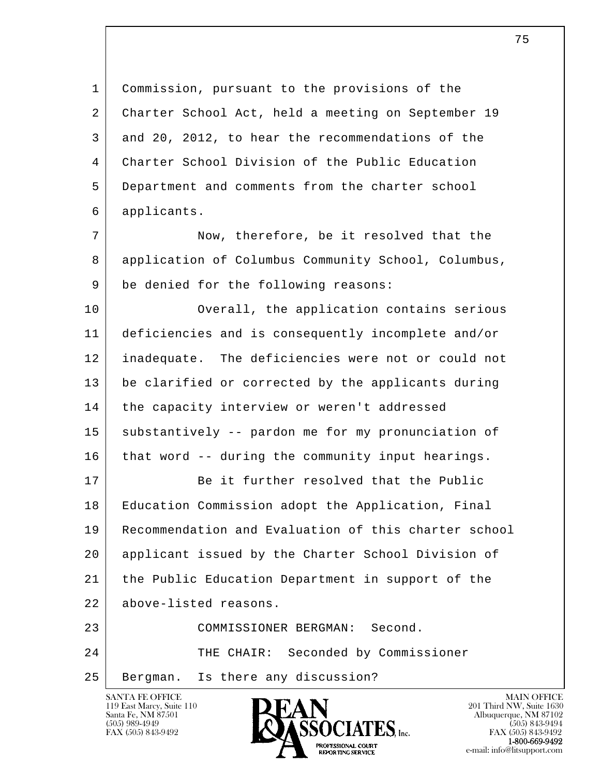l  $\overline{\phantom{a}}$  1 Commission, pursuant to the provisions of the 2 | Charter School Act, held a meeting on September 19 3 and 20, 2012, to hear the recommendations of the 4 Charter School Division of the Public Education 5 Department and comments from the charter school 6 applicants. 7 Now, therefore, be it resolved that the 8 application of Columbus Community School, Columbus, 9 be denied for the following reasons: 10 Overall, the application contains serious 11 deficiencies and is consequently incomplete and/or 12 inadequate. The deficiencies were not or could not 13 be clarified or corrected by the applicants during 14 | the capacity interview or weren't addressed 15 substantively -- pardon me for my pronunciation of 16 that word -- during the community input hearings. 17 Be it further resolved that the Public 18 Education Commission adopt the Application, Final 19 Recommendation and Evaluation of this charter school 20 applicant issued by the Charter School Division of 21 the Public Education Department in support of the 22 above-listed reasons. 23 COMMISSIONER BERGMAN: Second. 24 THE CHAIR: Seconded by Commissioner 25 Bergman. Is there any discussion?

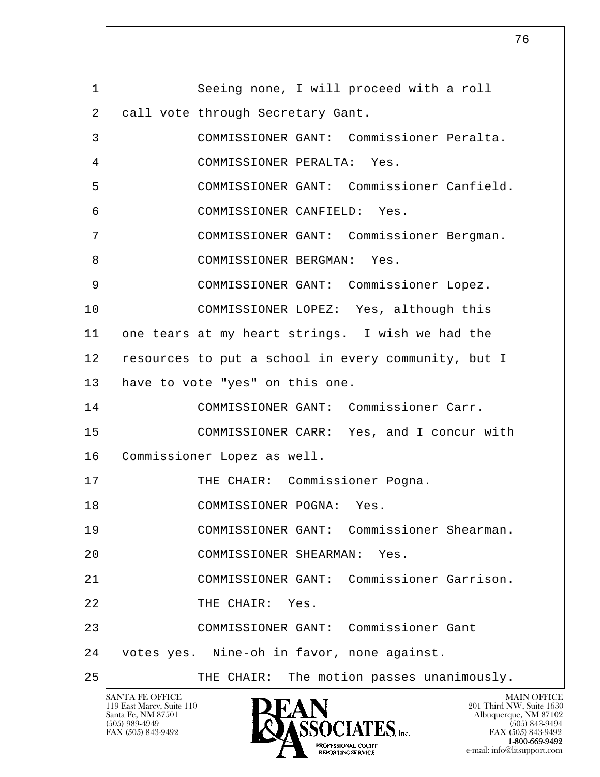l  $\overline{\phantom{a}}$ 1 Seeing none, I will proceed with a roll 2 call vote through Secretary Gant. 3 COMMISSIONER GANT: Commissioner Peralta. 4 COMMISSIONER PERALTA: Yes. 5 COMMISSIONER GANT: Commissioner Canfield. 6 COMMISSIONER CANFIELD: Yes. 7 COMMISSIONER GANT: Commissioner Bergman. 8 | COMMISSIONER BERGMAN: Yes. 9 COMMISSIONER GANT: Commissioner Lopez. 10 COMMISSIONER LOPEZ: Yes, although this 11 one tears at my heart strings. I wish we had the 12 resources to put a school in every community, but I 13 have to vote "yes" on this one. 14 COMMISSIONER GANT: Commissioner Carr. 15 COMMISSIONER CARR: Yes, and I concur with 16 Commissioner Lopez as well. 17 | THE CHAIR: Commissioner Pogna. 18 COMMISSIONER POGNA: Yes. 19 COMMISSIONER GANT: Commissioner Shearman. 20 COMMISSIONER SHEARMAN: Yes. 21 COMMISSIONER GANT: Commissioner Garrison. 22 THE CHAIR: Yes. 23 COMMISSIONER GANT: Commissioner Gant 24 votes yes. Nine-oh in favor, none against. 25 | THE CHAIR: The motion passes unanimously.

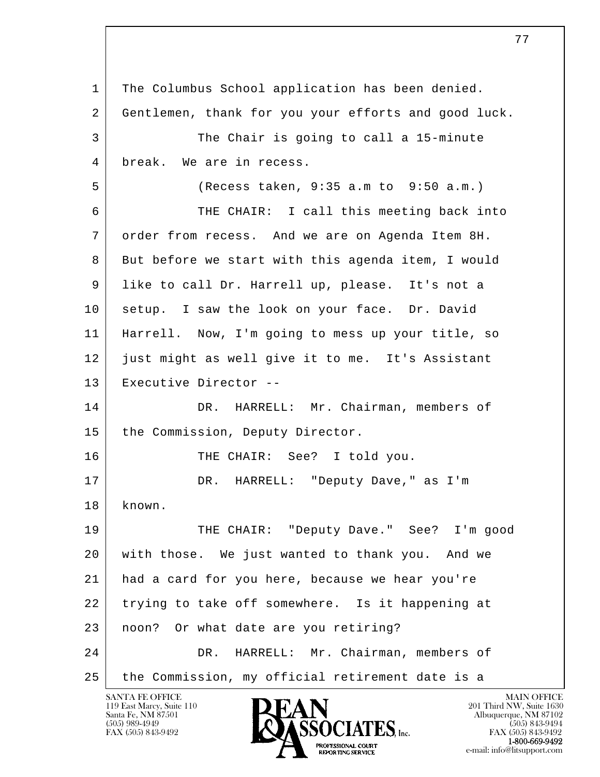l  $\overline{\phantom{a}}$  1 The Columbus School application has been denied. 2 Gentlemen, thank for you your efforts and good luck. 3 The Chair is going to call a 15-minute 4 break. We are in recess. 5 (Recess taken, 9:35 a.m to 9:50 a.m.) 6 THE CHAIR: I call this meeting back into 7 order from recess. And we are on Agenda Item 8H. 8 But before we start with this agenda item, I would 9 like to call Dr. Harrell up, please. It's not a 10 | setup. I saw the look on your face. Dr. David 11 Harrell. Now, I'm going to mess up your title, so 12 just might as well give it to me. It's Assistant 13 Executive Director -- 14 DR. HARRELL: Mr. Chairman, members of 15 the Commission, Deputy Director. 16 THE CHAIR: See? I told you. 17 | DR. HARRELL: "Deputy Dave," as I'm 18 known. 19 THE CHAIR: "Deputy Dave." See? I'm good 20 with those. We just wanted to thank you. And we 21 had a card for you here, because we hear you're 22 trying to take off somewhere. Is it happening at 23 noon? Or what date are you retiring? 24 DR. HARRELL: Mr. Chairman, members of 25 the Commission, my official retirement date is a

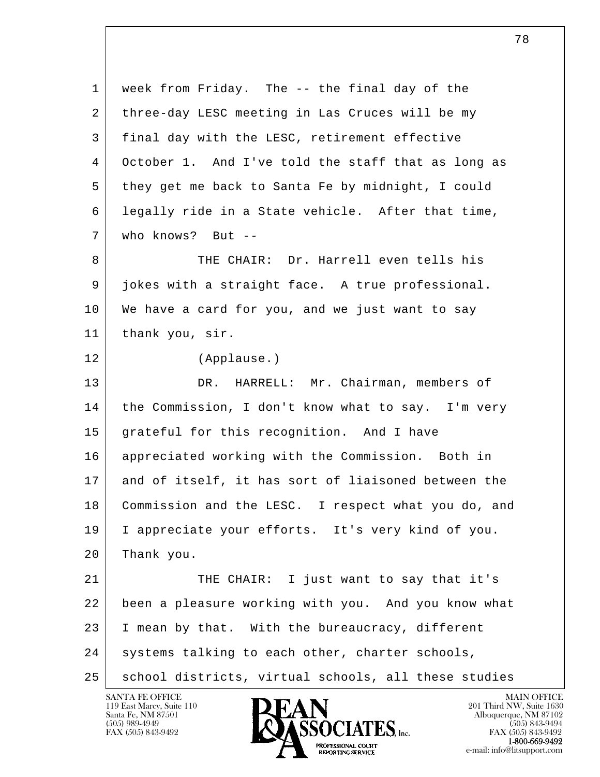l  $\overline{\phantom{a}}$  1 week from Friday. The -- the final day of the 2 three-day LESC meeting in Las Cruces will be my 3 final day with the LESC, retirement effective 4 October 1. And I've told the staff that as long as 5 they get me back to Santa Fe by midnight, I could 6 legally ride in a State vehicle. After that time, 7 who knows? But -- 8 THE CHAIR: Dr. Harrell even tells his 9 jokes with a straight face. A true professional. 10 We have a card for you, and we just want to say 11 thank you, sir. 12 (Applause.) 13 DR. HARRELL: Mr. Chairman, members of 14 | the Commission, I don't know what to say. I'm very 15 grateful for this recognition. And I have 16 appreciated working with the Commission. Both in 17 and of itself, it has sort of liaisoned between the 18 Commission and the LESC. I respect what you do, and 19 I appreciate your efforts. It's very kind of you. 20 Thank you. 21 THE CHAIR: I just want to say that it's 22 been a pleasure working with you. And you know what 23 I mean by that. With the bureaucracy, different 24 systems talking to each other, charter schools, 25 | school districts, virtual schools, all these studies

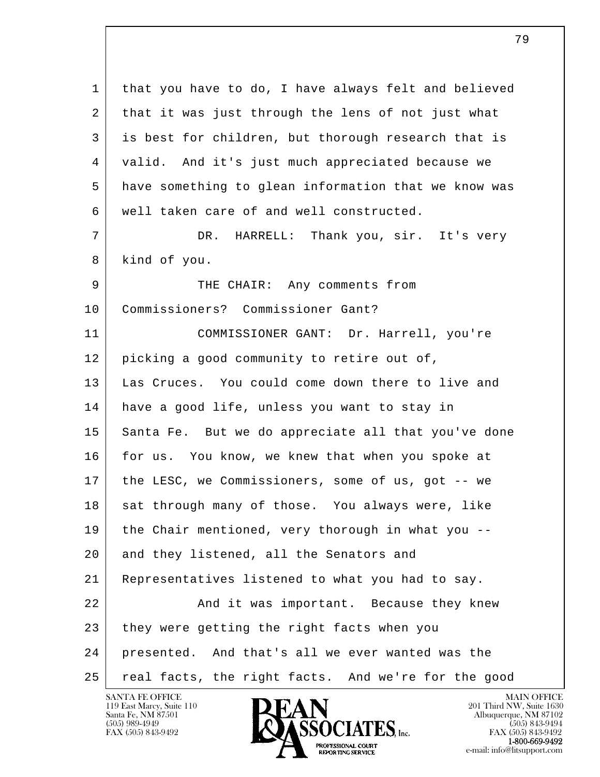l  $\overline{\phantom{a}}$ 1 | that you have to do, I have always felt and believed 2 that it was just through the lens of not just what 3 is best for children, but thorough research that is 4 valid. And it's just much appreciated because we 5 have something to glean information that we know was 6 well taken care of and well constructed. 7 DR. HARRELL: Thank you, sir. It's very 8 kind of you. 9 | THE CHAIR: Any comments from 10 Commissioners? Commissioner Gant? 11 COMMISSIONER GANT: Dr. Harrell, you're 12 picking a good community to retire out of, 13 Las Cruces. You could come down there to live and 14 have a good life, unless you want to stay in 15 Santa Fe. But we do appreciate all that you've done 16 for us. You know, we knew that when you spoke at 17 the LESC, we Commissioners, some of us, got -- we 18 sat through many of those. You always were, like 19 the Chair mentioned, very thorough in what you -- 20 and they listened, all the Senators and 21 Representatives listened to what you had to say. 22 | And it was important. Because they knew 23 they were getting the right facts when you 24 presented. And that's all we ever wanted was the 25 | real facts, the right facts. And we're for the good

е производите последници представителни представителни представителни представителни представителни представит<br>В 1990 године представително представително представително представително представително представително предст

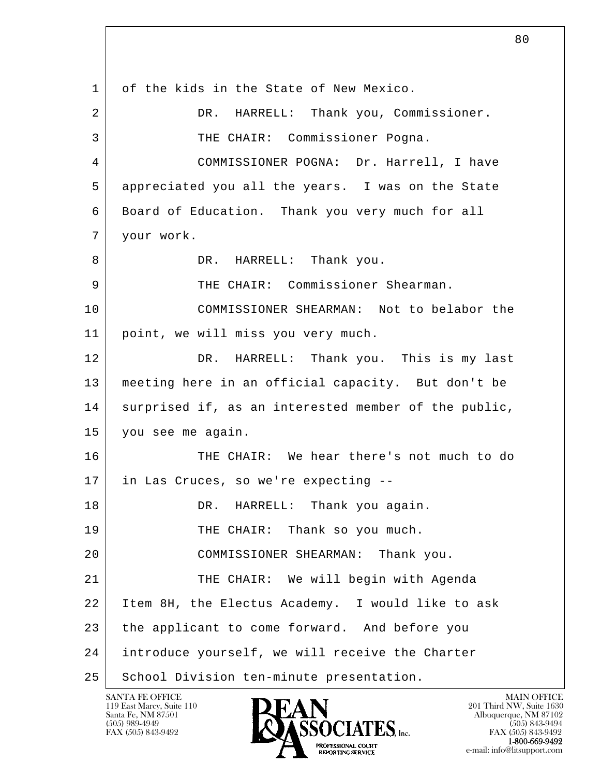l  $\overline{\phantom{a}}$  1 of the kids in the State of New Mexico. 2 DR. HARRELL: Thank you, Commissioner. 3 | THE CHAIR: Commissioner Pogna. 4 COMMISSIONER POGNA: Dr. Harrell, I have 5 appreciated you all the years. I was on the State 6 Board of Education. Thank you very much for all 7 your work. 8 DR. HARRELL: Thank you. 9 THE CHAIR: Commissioner Shearman. 10 COMMISSIONER SHEARMAN: Not to belabor the 11 point, we will miss you very much. 12 DR. HARRELL: Thank you. This is my last 13 meeting here in an official capacity. But don't be 14 surprised if, as an interested member of the public, 15 you see me again. 16 THE CHAIR: We hear there's not much to do 17 in Las Cruces, so we're expecting --18 DR. HARRELL: Thank you again. 19 THE CHAIR: Thank so you much. 20 COMMISSIONER SHEARMAN: Thank you. 21 THE CHAIR: We will begin with Agenda 22 Item 8H, the Electus Academy. I would like to ask 23 the applicant to come forward. And before you 24 introduce yourself, we will receive the Charter 25 | School Division ten-minute presentation.

119 East Marcy, Suite 110<br>Santa Fe, NM 87501

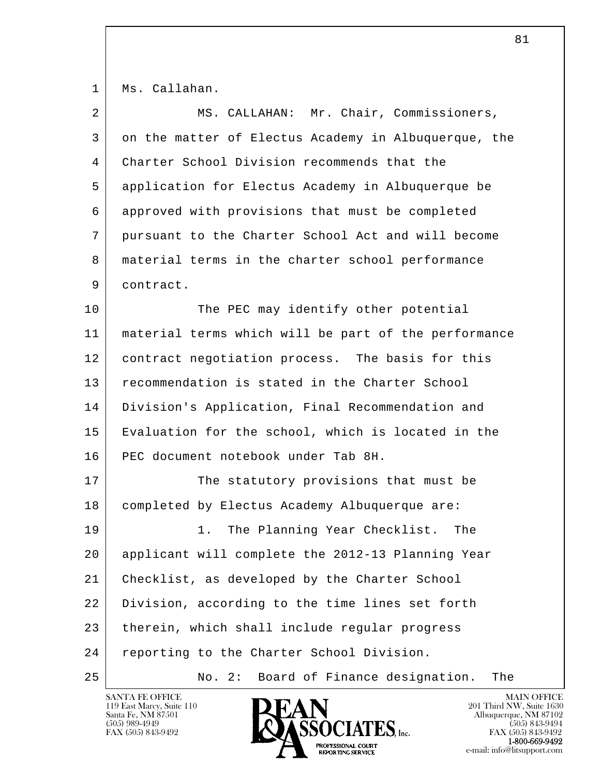1 Ms. Callahan.

| $\overline{2}$ | MS. CALLAHAN: Mr. Chair, Commissioners,              |
|----------------|------------------------------------------------------|
| 3              | on the matter of Electus Academy in Albuquerque, the |
| 4              | Charter School Division recommends that the          |
| 5              | application for Electus Academy in Albuquerque be    |
| 6              | approved with provisions that must be completed      |
| 7              | pursuant to the Charter School Act and will become   |
| 8              | material terms in the charter school performance     |
| 9              | contract.                                            |
| 10             | The PEC may identify other potential                 |
| 11             | material terms which will be part of the performance |
| 12             | contract negotiation process. The basis for this     |
| 13             | recommendation is stated in the Charter School       |
| 14             | Division's Application, Final Recommendation and     |
| 15             | Evaluation for the school, which is located in the   |
| 16             | PEC document notebook under Tab 8H.                  |
| 17             | The statutory provisions that must be                |
| 18             | completed by Electus Academy Albuquerque are:        |
| 19             | The Planning Year Checklist.<br>1.<br>The            |
| 20             | applicant will complete the 2012-13 Planning Year    |
| 21             | Checklist, as developed by the Charter School        |
| 22             | Division, according to the time lines set forth      |
| 23             | therein, which shall include regular progress        |
| 24             | reporting to the Charter School Division.            |
| 25             | Board of Finance designation.<br>No. 2:<br>The       |

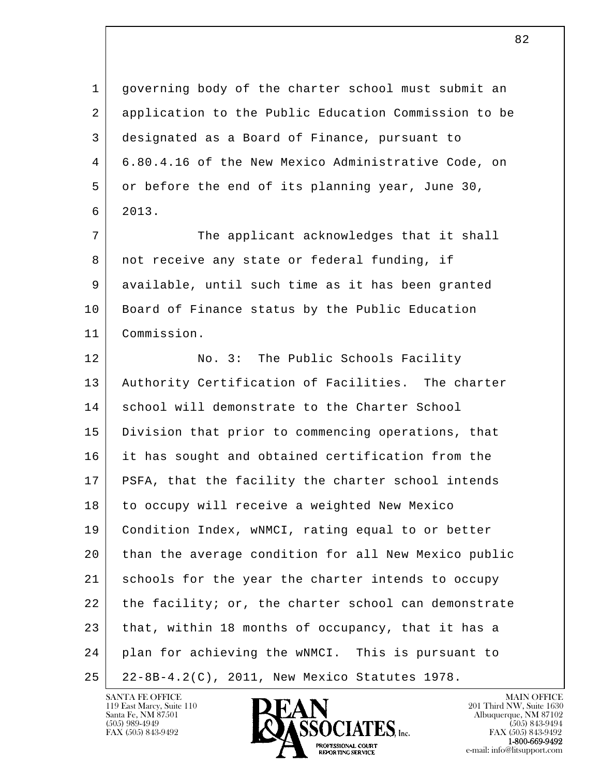l  $\overline{\phantom{a}}$  1 governing body of the charter school must submit an 2 application to the Public Education Commission to be 3 designated as a Board of Finance, pursuant to 4 6.80.4.16 of the New Mexico Administrative Code, on 5 or before the end of its planning year, June 30, 6 2013. 7 The applicant acknowledges that it shall 8 | not receive any state or federal funding, if 9 available, until such time as it has been granted 10 | Board of Finance status by the Public Education 11 Commission. 12 No. 3: The Public Schools Facility 13 | Authority Certification of Facilities. The charter 14 | school will demonstrate to the Charter School 15 Division that prior to commencing operations, that 16 it has sought and obtained certification from the 17 | PSFA, that the facility the charter school intends 18 to occupy will receive a weighted New Mexico 19 Condition Index, wNMCI, rating equal to or better 20 than the average condition for all New Mexico public 21 schools for the year the charter intends to occupy 22 the facility; or, the charter school can demonstrate 23 that, within 18 months of occupancy, that it has a 24 plan for achieving the wNMCI. This is pursuant to 25 22-8B-4.2(C), 2011, New Mexico Statutes 1978.

119 East Marcy, Suite 110<br>Santa Fe, NM 87501



FAX (505) 843-9492<br>**1-800-669-9492**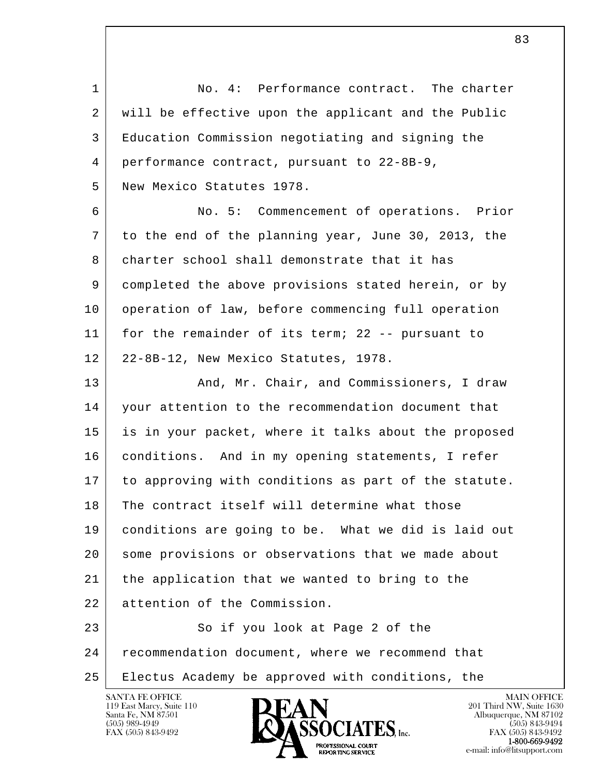| $\mathbf{1}$ | No. 4: Performance contract. The charter             |
|--------------|------------------------------------------------------|
| 2            | will be effective upon the applicant and the Public  |
| 3            | Education Commission negotiating and signing the     |
| 4            | performance contract, pursuant to 22-8B-9,           |
| 5            | New Mexico Statutes 1978.                            |
| 6            | No. 5: Commencement of operations. Prior             |
| 7            | to the end of the planning year, June 30, 2013, the  |
| 8            | charter school shall demonstrate that it has         |
| 9            | completed the above provisions stated herein, or by  |
| 10           | operation of law, before commencing full operation   |
| 11           | for the remainder of its term; 22 -- pursuant to     |
| 12           | 22-8B-12, New Mexico Statutes, 1978.                 |
| 13           | And, Mr. Chair, and Commissioners, I draw            |
| 14           | your attention to the recommendation document that   |
| 15           | is in your packet, where it talks about the proposed |
| 16           | conditions. And in my opening statements, I refer    |
| 17           | to approving with conditions as part of the statute. |
| 18           | The contract itself will determine what those        |
| 19           | conditions are going to be. What we did is laid out  |
| 20           | some provisions or observations that we made about   |
| 21           | the application that we wanted to bring to the       |
| 22           | attention of the Commission.                         |
| 23           | So if you look at Page 2 of the                      |
| 24           | recommendation document, where we recommend that     |
| 25           | Electus Academy be approved with conditions, the     |

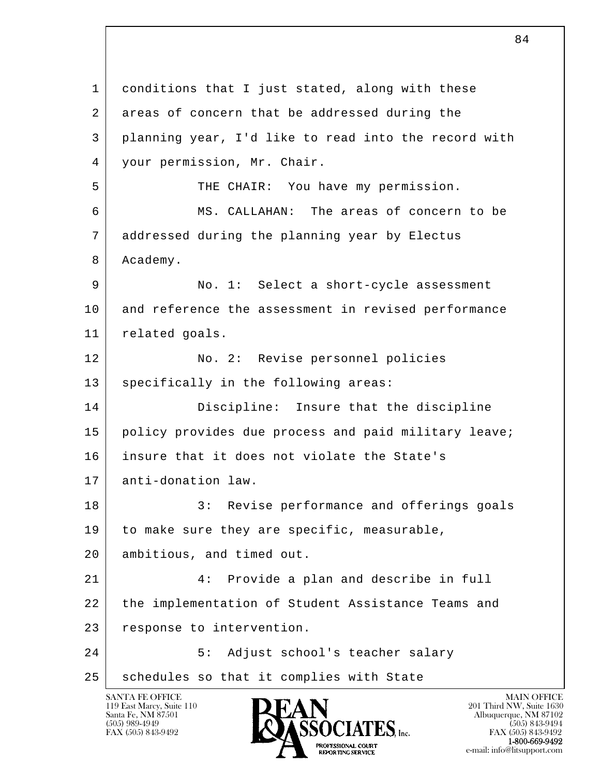l  $\overline{\phantom{a}}$ 1 conditions that I just stated, along with these 2 areas of concern that be addressed during the 3 planning year, I'd like to read into the record with 4 your permission, Mr. Chair. 5 THE CHAIR: You have my permission. 6 MS. CALLAHAN: The areas of concern to be 7 addressed during the planning year by Electus 8 Academy. 9 No. 1: Select a short-cycle assessment 10 and reference the assessment in revised performance 11 related goals. 12 No. 2: Revise personnel policies 13 specifically in the following areas: 14 Discipline: Insure that the discipline 15 policy provides due process and paid military leave; 16 insure that it does not violate the State's 17 | anti-donation law. 18 3: Revise performance and offerings goals 19 to make sure they are specific, measurable, 20 ambitious, and timed out. 21 4: Provide a plan and describe in full 22 the implementation of Student Assistance Teams and 23 response to intervention. 24 | S: Adjust school's teacher salary 25 | schedules so that it complies with State

119 East Marcy, Suite 110<br>Santa Fe, NM 87501

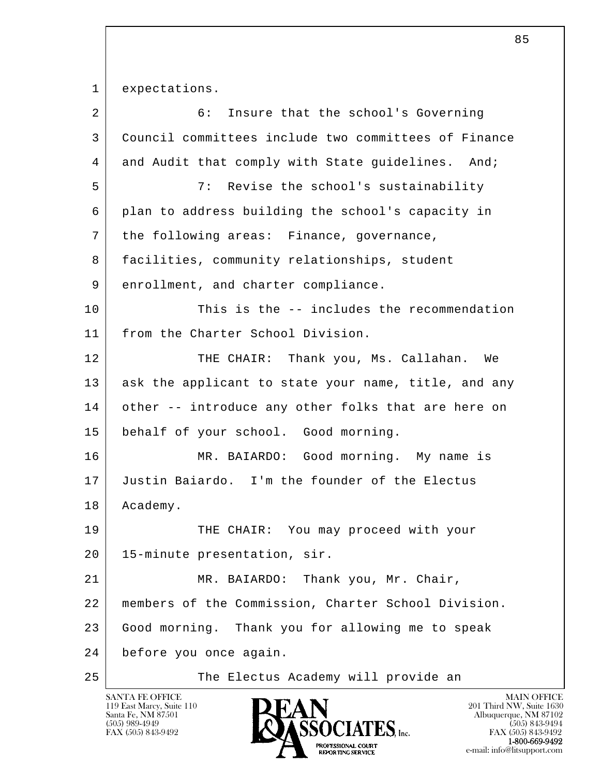1 expectations.

| $\overline{2}$ | 6 :<br>Insure that the school's Governing            |
|----------------|------------------------------------------------------|
| 3              | Council committees include two committees of Finance |
| 4              | and Audit that comply with State guidelines. And;    |
| 5              | Revise the school's sustainability<br>7:             |
| 6              | plan to address building the school's capacity in    |
| 7              | the following areas: Finance, governance,            |
| 8              | facilities, community relationships, student         |
| 9              | enrollment, and charter compliance.                  |
| 10             | This is the -- includes the recommendation           |
| 11             | from the Charter School Division.                    |
| 12             | THE CHAIR: Thank you, Ms. Callahan. We               |
| 13             | ask the applicant to state your name, title, and any |
| 14             | other -- introduce any other folks that are here on  |
| 15             | behalf of your school. Good morning.                 |
| 16             | MR. BAIARDO: Good morning. My name is                |
| 17             | Justin Baiardo. I'm the founder of the Electus       |
| 18             | Academy.                                             |
| 19             | THE CHAIR: You may proceed with your                 |
| 20             | 15-minute presentation, sir.                         |
| 21             | Thank you, Mr. Chair,<br>MR. BAIARDO:                |
| 22             | members of the Commission, Charter School Division.  |
| 23             | Good morning. Thank you for allowing me to speak     |
| 24             | before you once again.                               |
| 25             | The Electus Academy will provide an                  |

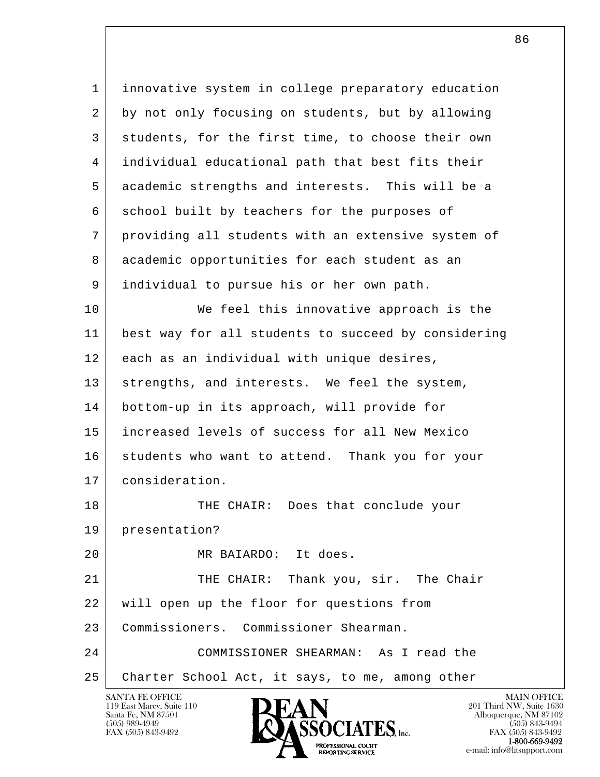| $\mathbf 1$ | innovative system in college preparatory education             |
|-------------|----------------------------------------------------------------|
| 2           | by not only focusing on students, but by allowing              |
| 3           | students, for the first time, to choose their own              |
| 4           | individual educational path that best fits their               |
| 5           | academic strengths and interests. This will be a               |
| 6           | school built by teachers for the purposes of                   |
| 7           | providing all students with an extensive system of             |
| 8           | academic opportunities for each student as an                  |
| 9           | individual to pursue his or her own path.                      |
| 10          | We feel this innovative approach is the                        |
| 11          | best way for all students to succeed by considering            |
| 12          | each as an individual with unique desires,                     |
| 13          | strengths, and interests. We feel the system,                  |
| 14          | bottom-up in its approach, will provide for                    |
| 15          | increased levels of success for all New Mexico                 |
| 16          | students who want to attend. Thank you for your                |
| 17          | consideration.                                                 |
| 18          | THE CHAIR: Does that conclude your                             |
| 19          | presentation?                                                  |
| 20          | MR BAIARDO: It does.                                           |
| 21          | THE CHAIR: Thank you, sir. The Chair                           |
| 22          | will open up the floor for questions from                      |
| 23          | Commissioners. Commissioner Shearman.                          |
| 24          | COMMISSIONER SHEARMAN: As I read the                           |
| 25          | Charter School Act, it says, to me, among other                |
|             | <b>SANTA FE OFFICE</b><br><b>MAIN OFFICE</b><br><b>INTIANT</b> |

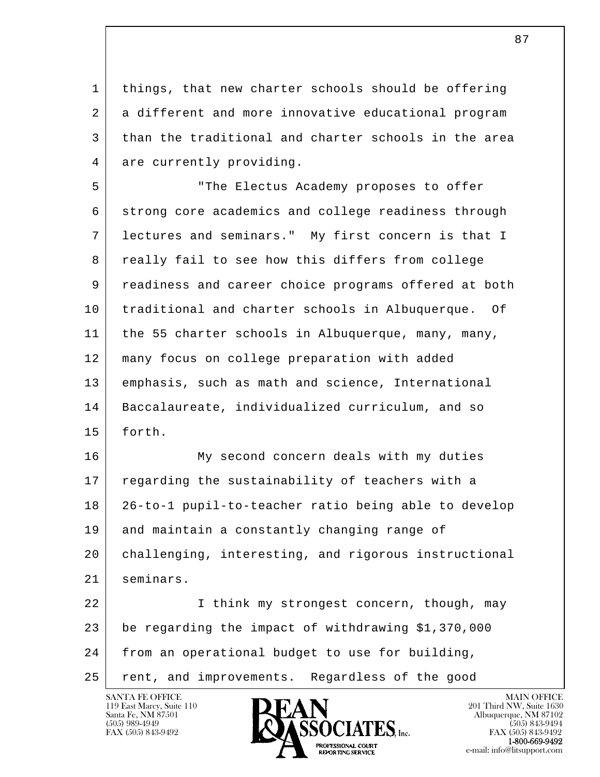1 things, that new charter schools should be offering 2 a different and more innovative educational program 3 than the traditional and charter schools in the area 4 are currently providing.

 5 "The Electus Academy proposes to offer 6 strong core academics and college readiness through 7 lectures and seminars." My first concern is that I 8 | really fail to see how this differs from college 9 readiness and career choice programs offered at both 10 traditional and charter schools in Albuquerque. Of 11 | the 55 charter schools in Albuquerque, many, many, 12 many focus on college preparation with added 13 emphasis, such as math and science, International 14 Baccalaureate, individualized curriculum, and so 15 forth.

16 My second concern deals with my duties 17 regarding the sustainability of teachers with a 18 26-to-1 pupil-to-teacher ratio being able to develop 19 and maintain a constantly changing range of 20 challenging, interesting, and rigorous instructional 21 seminars.

l  $\overline{\phantom{a}}$ 22 | I think my strongest concern, though, may 23 be regarding the impact of withdrawing \$1,370,000 24 from an operational budget to use for building, 25 rent, and improvements. Regardless of the good



FAX (505) 843-9492<br>**1-800-669-9492**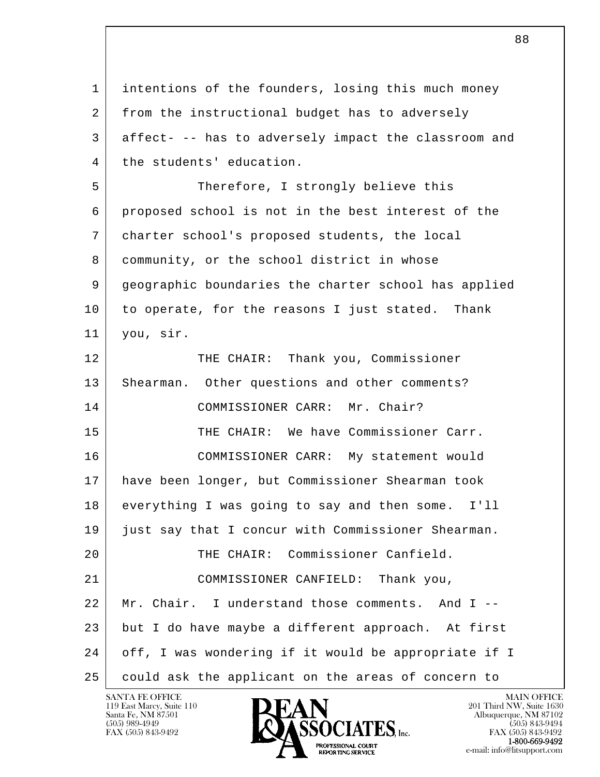l  $\overline{\phantom{a}}$  1 intentions of the founders, losing this much money 2 from the instructional budget has to adversely 3 affect- -- has to adversely impact the classroom and 4 | the students' education. 5 Therefore, I strongly believe this 6 proposed school is not in the best interest of the 7 charter school's proposed students, the local 8 community, or the school district in whose 9 geographic boundaries the charter school has applied 10 to operate, for the reasons I just stated. Thank 11 you, sir. 12 THE CHAIR: Thank you, Commissioner 13 | Shearman. Other questions and other comments? 14 COMMISSIONER CARR: Mr. Chair? 15 THE CHAIR: We have Commissioner Carr. 16 COMMISSIONER CARR: My statement would 17 have been longer, but Commissioner Shearman took 18 everything I was going to say and then some. I'll 19 just say that I concur with Commissioner Shearman. 20 THE CHAIR: Commissioner Canfield. 21 COMMISSIONER CANFIELD: Thank you, 22 Mr. Chair. I understand those comments. And I -- 23 but I do have maybe a different approach. At first 24 off, I was wondering if it would be appropriate if I 25 could ask the applicant on the areas of concern to

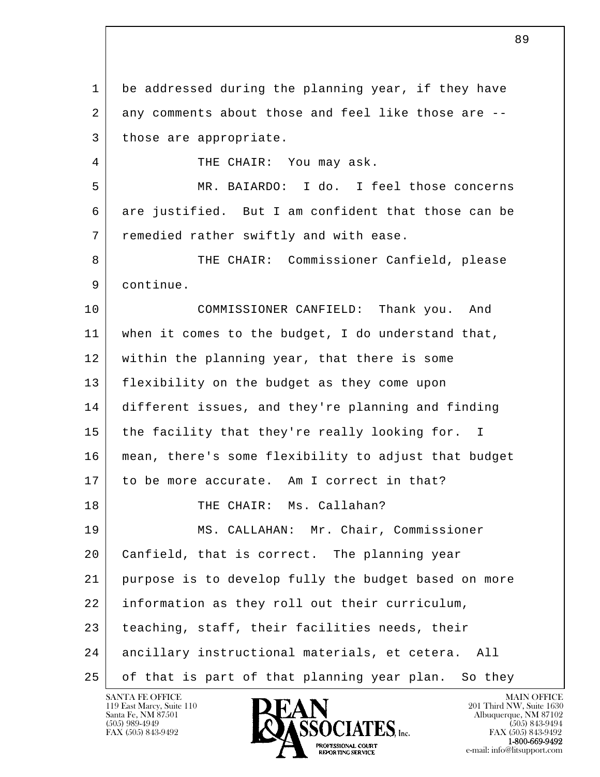l  $\overline{\phantom{a}}$  1 be addressed during the planning year, if they have 2 any comments about those and feel like those are --3 those are appropriate. 4 THE CHAIR: You may ask. 5 MR. BAIARDO: I do. I feel those concerns 6 are justified. But I am confident that those can be 7 remedied rather swiftly and with ease. 8 THE CHAIR: Commissioner Canfield, please 9 continue. 10 COMMISSIONER CANFIELD: Thank you. And 11 when it comes to the budget, I do understand that, 12 within the planning year, that there is some 13 flexibility on the budget as they come upon 14 different issues, and they're planning and finding 15 the facility that they're really looking for. I 16 mean, there's some flexibility to adjust that budget 17 to be more accurate. Am I correct in that? 18 THE CHAIR: Ms. Callahan? 19 MS. CALLAHAN: Mr. Chair, Commissioner 20 Canfield, that is correct. The planning year 21 purpose is to develop fully the budget based on more 22 information as they roll out their curriculum, 23 teaching, staff, their facilities needs, their 24 ancillary instructional materials, et cetera. All 25 of that is part of that planning year plan. So they

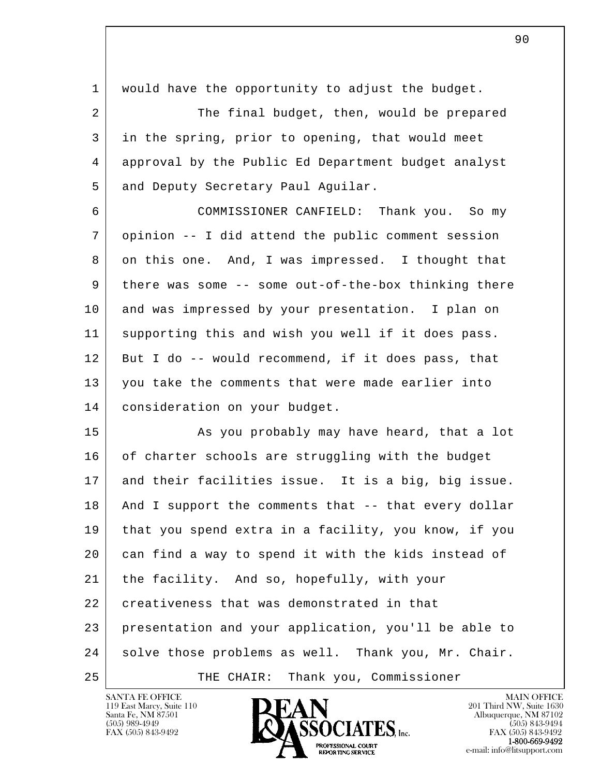| 1  | would have the opportunity to adjust the budget.     |
|----|------------------------------------------------------|
| 2  | The final budget, then, would be prepared            |
| 3  | in the spring, prior to opening, that would meet     |
| 4  | approval by the Public Ed Department budget analyst  |
| 5  | and Deputy Secretary Paul Aguilar.                   |
| 6  | COMMISSIONER CANFIELD: Thank you. So my              |
| 7  | opinion -- I did attend the public comment session   |
| 8  | on this one. And, I was impressed. I thought that    |
| 9  | there was some -- some out-of-the-box thinking there |
| 10 | and was impressed by your presentation. I plan on    |
| 11 | supporting this and wish you well if it does pass.   |
| 12 | But I do -- would recommend, if it does pass, that   |
| 13 | you take the comments that were made earlier into    |
| 14 | consideration on your budget.                        |
| 15 | As you probably may have heard, that a lot           |
| 16 | of charter schools are struggling with the budget    |
| 17 | and their facilities issue. It is a big, big issue.  |
| 18 | And I support the comments that -- that every dollar |
| 19 | that you spend extra in a facility, you know, if you |
| 20 | can find a way to spend it with the kids instead of  |
| 21 | the facility. And so, hopefully, with your           |
| 22 | creativeness that was demonstrated in that           |
| 23 | presentation and your application, you'll be able to |
| 24 | solve those problems as well. Thank you, Mr. Chair.  |
| 25 | Thank you, Commissioner<br>THE CHAIR:                |

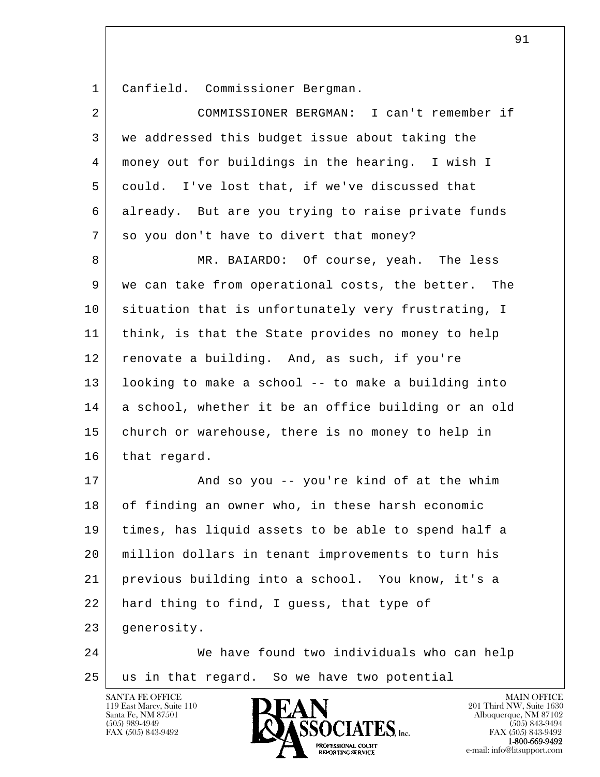1 Canfield. Commissioner Bergman.

| $\overline{2}$ | COMMISSIONER BERGMAN: I can't remember if            |
|----------------|------------------------------------------------------|
| 3              | we addressed this budget issue about taking the      |
| 4              | money out for buildings in the hearing. I wish I     |
| 5              | could. I've lost that, if we've discussed that       |
| 6              | already. But are you trying to raise private funds   |
| 7              | so you don't have to divert that money?              |
| 8              | MR. BAIARDO: Of course, yeah. The less               |
| 9              | we can take from operational costs, the better. The  |
| 10             | situation that is unfortunately very frustrating, I  |
| 11             | think, is that the State provides no money to help   |
| 12             | renovate a building. And, as such, if you're         |
| 13             | looking to make a school -- to make a building into  |
| 14             | a school, whether it be an office building or an old |
| 15             | church or warehouse, there is no money to help in    |
| 16             | that regard.                                         |
| 17             | And so you -- you're kind of at the whim             |
| 18             | of finding an owner who, in these harsh economic     |
| 19             | times, has liquid assets to be able to spend half a  |
| 20             | million dollars in tenant improvements to turn his   |
| 21             | previous building into a school. You know, it's a    |
| 22             | hard thing to find, I guess, that type of            |
| 23             | generosity.                                          |
| 24             | We have found two individuals who can help           |
| 25             | us in that regard. So we have two potential          |

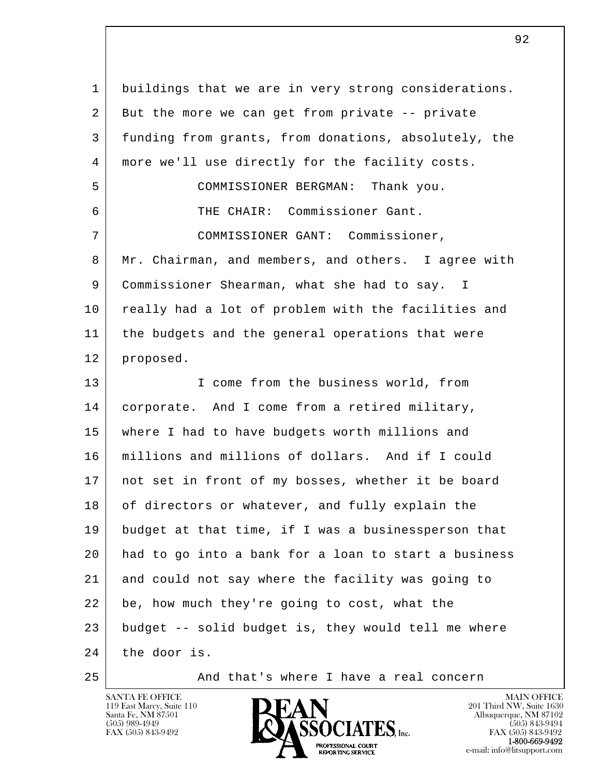l  $\overline{\phantom{a}}$  1 buildings that we are in very strong considerations. 2 But the more we can get from private -- private 3 funding from grants, from donations, absolutely, the 4 more we'll use directly for the facility costs. 5 COMMISSIONER BERGMAN: Thank you. 6 THE CHAIR: Commissioner Gant. 7 COMMISSIONER GANT: Commissioner, 8 Mr. Chairman, and members, and others. I agree with 9 Commissioner Shearman, what she had to say. I 10 really had a lot of problem with the facilities and 11 the budgets and the general operations that were 12 proposed. 13 I come from the business world, from 14 | corporate. And I come from a retired military, 15 where I had to have budgets worth millions and 16 millions and millions of dollars. And if I could 17 not set in front of my bosses, whether it be board 18 of directors or whatever, and fully explain the 19 budget at that time, if I was a businessperson that 20 had to go into a bank for a loan to start a business 21 and could not say where the facility was going to 22 be, how much they're going to cost, what the 23 budget -- solid budget is, they would tell me where 24 the door is.

25 And that's where I have a real concern

SANTA FE OFFICE MAIN OFFICE MAIN OFFICE MAIN OFFICE MAIN OFFICE 119 East Marcy, Suite 110 **201 Third NW**, Suite 1630<br>
Santa Fe, NM 87501 **201 Abuquerque, NM 87102** Santa Fe, NM 87501 Albuquerque, NM 87102  $\sum_{\text{FAX (505) 843-9492}}$   $\sum_{\text{FAX (505) 843-9492}}$   $\sum_{\text{FAX (505) 843-9492}}$ **1-800-669-9492**<br> **EXALTERIONAL CN BT** 

FAX (505) 843-9492<br>1-800-669-9492 e-mail: info@litsupport.com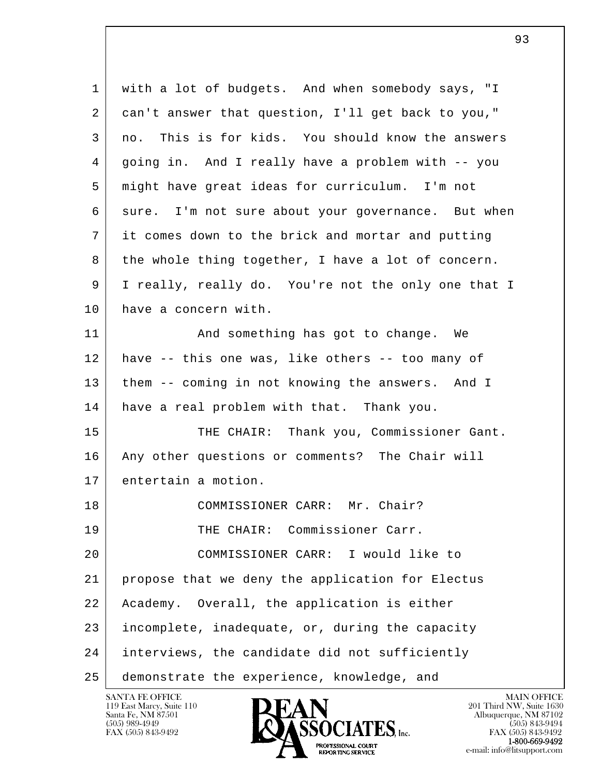l  $\overline{\phantom{a}}$  1 with a lot of budgets. And when somebody says, "I 2 can't answer that question, I'll get back to you," 3 no. This is for kids. You should know the answers 4 going in. And I really have a problem with -- you 5 might have great ideas for curriculum. I'm not 6 sure. I'm not sure about your governance. But when 7 it comes down to the brick and mortar and putting 8 the whole thing together, I have a lot of concern. 9 I really, really do. You're not the only one that I 10 have a concern with. 11 | And something has got to change. We 12 have -- this one was, like others -- too many of 13 | them -- coming in not knowing the answers. And I 14 have a real problem with that. Thank you. 15 THE CHAIR: Thank you, Commissioner Gant. 16 | Any other questions or comments? The Chair will 17 entertain a motion. 18 COMMISSIONER CARR: Mr. Chair? 19 THE CHAIR: Commissioner Carr. 20 COMMISSIONER CARR: I would like to 21 propose that we deny the application for Electus 22 Academy. Overall, the application is either 23 incomplete, inadequate, or, during the capacity 24 interviews, the candidate did not sufficiently 25 demonstrate the experience, knowledge, and

119 East Marcy, Suite 110<br>Santa Fe, NM 87501

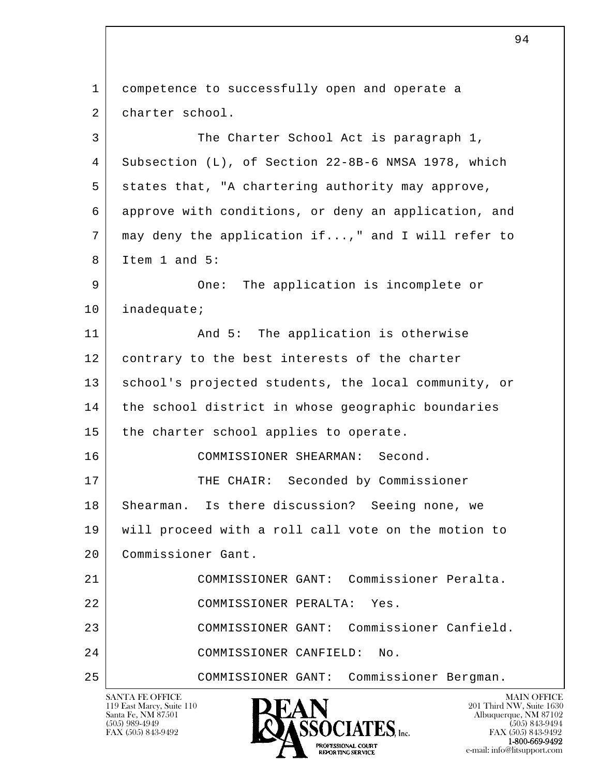l  $\overline{\phantom{a}}$ SANTA FE OFFICE MAIN OFFICE MAIN OFFICE MAIN OFFICE MAIN OFFICE 119 East Marcy, Suite 110<br>Santa Fe, NM 87501 1 competence to successfully open and operate a 2 charter school. 3 The Charter School Act is paragraph 1, 4 Subsection (L), of Section 22-8B-6 NMSA 1978, which 5 states that, "A chartering authority may approve, 6 approve with conditions, or deny an application, and 7 may deny the application if...," and I will refer to 8 Item 1 and 5: 9 One: The application is incomplete or 10 | inadequate; 11 | And 5: The application is otherwise 12 contrary to the best interests of the charter 13 | school's projected students, the local community, or 14 the school district in whose geographic boundaries 15 the charter school applies to operate. 16 COMMISSIONER SHEARMAN: Second. 17 THE CHAIR: Seconded by Commissioner 18 Shearman. Is there discussion? Seeing none, we 19 will proceed with a roll call vote on the motion to 20 Commissioner Gant. 21 COMMISSIONER GANT: Commissioner Peralta. 22 COMMISSIONER PERALTA: Yes. 23 COMMISSIONER GANT: Commissioner Canfield. 24 COMMISSIONER CANFIELD: No. 25 COMMISSIONER GANT: Commissioner Bergman.

Santa Fe, NM 87501 Albuquerque, NM 87102  $\sum_{\text{FAX (505) 843-9492}}$   $\sum_{\text{FAX (505) 843-9492}}$   $\sum_{\text{FAX (505) 843-9492}}$ **1-800-669-9492**<br> **EXALTERIONAL CN BT**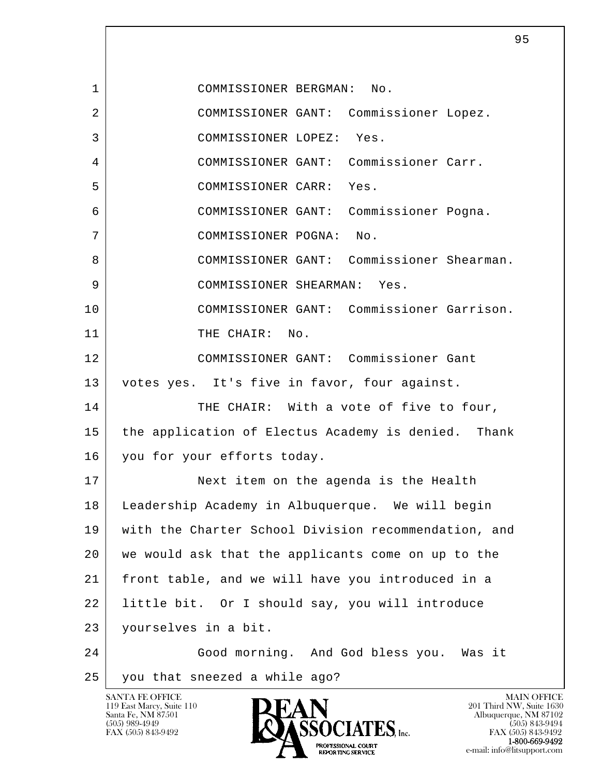l  $\overline{\phantom{a}}$ <u>and the set of the set of the set of the set of the set of the set of the set of the set of the set of the set of the set of the set of the set of the set of the set of the set of the set of the set of the set of the set </u> 1 COMMISSIONER BERGMAN: No. 2 COMMISSIONER GANT: Commissioner Lopez. 3 COMMISSIONER LOPEZ: Yes. 4 COMMISSIONER GANT: Commissioner Carr. 5 COMMISSIONER CARR: Yes. 6 COMMISSIONER GANT: Commissioner Pogna. 7 COMMISSIONER POGNA: No. 8 COMMISSIONER GANT: Commissioner Shearman. 9 COMMISSIONER SHEARMAN: Yes. 10 COMMISSIONER GANT: Commissioner Garrison. 11 THE CHAIR: No. 12 COMMISSIONER GANT: Commissioner Gant 13 votes yes. It's five in favor, four against. 14 THE CHAIR: With a vote of five to four, 15 the application of Electus Academy is denied. Thank 16 you for your efforts today. 17 Next item on the agenda is the Health 18 Leadership Academy in Albuquerque. We will begin 19 with the Charter School Division recommendation, and 20 we would ask that the applicants come on up to the 21 front table, and we will have you introduced in a 22 little bit. Or I should say, you will introduce 23 yourselves in a bit. 24 Good morning. And God bless you. Was it 25 you that sneezed a while ago?

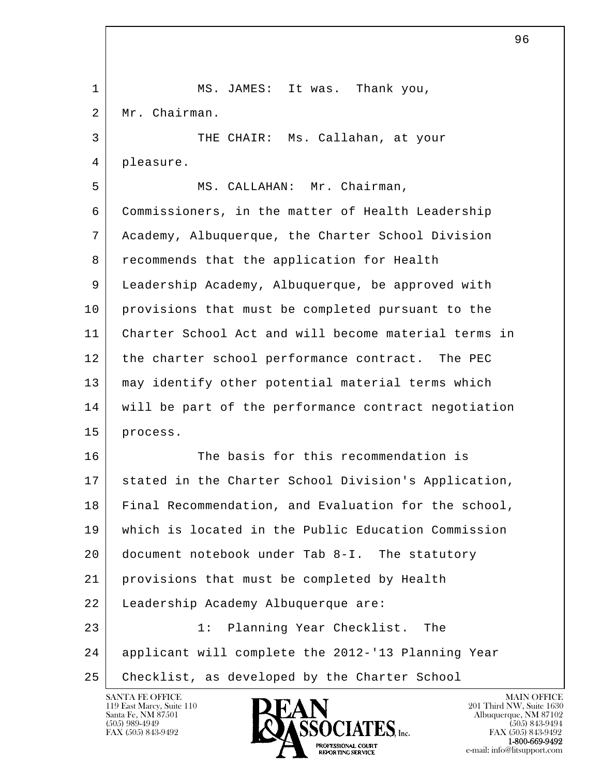l  $\overline{\phantom{a}}$ 1 | MS. JAMES: It was. Thank you, 2 Mr. Chairman. 3 THE CHAIR: Ms. Callahan, at your 4 pleasure. 5 | MS. CALLAHAN: Mr. Chairman, 6 Commissioners, in the matter of Health Leadership 7 Academy, Albuquerque, the Charter School Division 8 recommends that the application for Health 9 Leadership Academy, Albuquerque, be approved with 10 provisions that must be completed pursuant to the 11 Charter School Act and will become material terms in 12 the charter school performance contract. The PEC 13 may identify other potential material terms which 14 will be part of the performance contract negotiation 15 process. 16 The basis for this recommendation is 17 stated in the Charter School Division's Application, 18 Final Recommendation, and Evaluation for the school, 19 which is located in the Public Education Commission 20 document notebook under Tab 8-I. The statutory 21 provisions that must be completed by Health 22 Leadership Academy Albuquerque are: 23 1: Planning Year Checklist. The 24 applicant will complete the 2012-'13 Planning Year 25 Checklist, as developed by the Charter School

 $\sim$  96

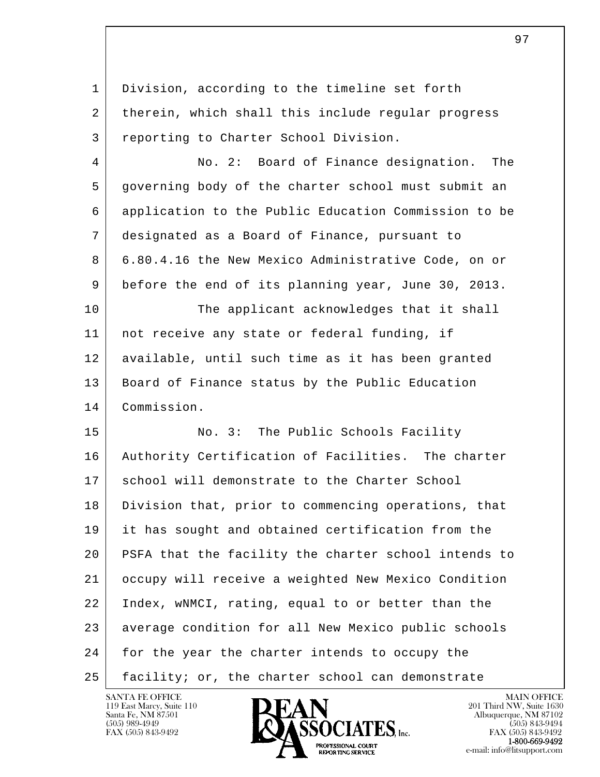l  $\overline{\phantom{a}}$  1 Division, according to the timeline set forth 2 | therein, which shall this include regular progress 3 reporting to Charter School Division. 4 No. 2: Board of Finance designation. The 5 governing body of the charter school must submit an 6 application to the Public Education Commission to be 7 designated as a Board of Finance, pursuant to 8 6.80.4.16 the New Mexico Administrative Code, on or 9 before the end of its planning year, June 30, 2013. 10 The applicant acknowledges that it shall 11 not receive any state or federal funding, if 12 available, until such time as it has been granted 13 | Board of Finance status by the Public Education 14 Commission. 15 No. 3: The Public Schools Facility 16 Authority Certification of Facilities. The charter 17 | school will demonstrate to the Charter School 18 Division that, prior to commencing operations, that 19 it has sought and obtained certification from the 20 PSFA that the facility the charter school intends to 21 occupy will receive a weighted New Mexico Condition 22 Index, wNMCI, rating, equal to or better than the 23 average condition for all New Mexico public schools 24 for the year the charter intends to occupy the 25 facility; or, the charter school can demonstrate

е произведения в произведении в совмести в совмести в совмести в совмести в совмести в совмести в совмести в с<br>В 2011 году в совмести в совмести в совмести в совмести в совмести в совмести в совмести в совмести в совмести

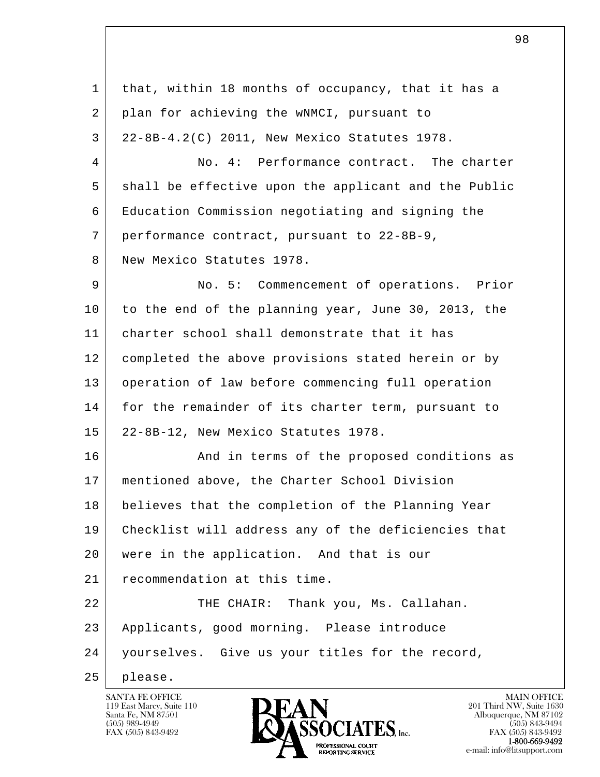| $\mathbf 1$ | that, within 18 months of occupancy, that it has a   |
|-------------|------------------------------------------------------|
| 2           | plan for achieving the wNMCI, pursuant to            |
| 3           | 22-8B-4.2(C) 2011, New Mexico Statutes 1978.         |
| 4           | No. 4: Performance contract. The charter             |
| 5           | shall be effective upon the applicant and the Public |
| 6           | Education Commission negotiating and signing the     |
| 7           | performance contract, pursuant to 22-8B-9,           |
| 8           | New Mexico Statutes 1978.                            |
| 9           | No. 5: Commencement of operations. Prior             |
| 10          | to the end of the planning year, June 30, 2013, the  |
| 11          | charter school shall demonstrate that it has         |
| 12          | completed the above provisions stated herein or by   |
| 13          | operation of law before commencing full operation    |
| 14          | for the remainder of its charter term, pursuant to   |
| 15          | 22-8B-12, New Mexico Statutes 1978.                  |
| 16          | And in terms of the proposed conditions as           |
| 17          | mentioned above, the Charter School Division         |
| 18          | believes that the completion of the Planning Year    |
| 19          | Checklist will address any of the deficiencies that  |
| 20          | were in the application. And that is our             |
| 21          | recommendation at this time.                         |
| 22          | Thank you, Ms. Callahan.<br>THE CHAIR:               |
| 23          | Applicants, good morning. Please introduce           |
| 24          | yourselves. Give us your titles for the record,      |
| 25          | please.                                              |

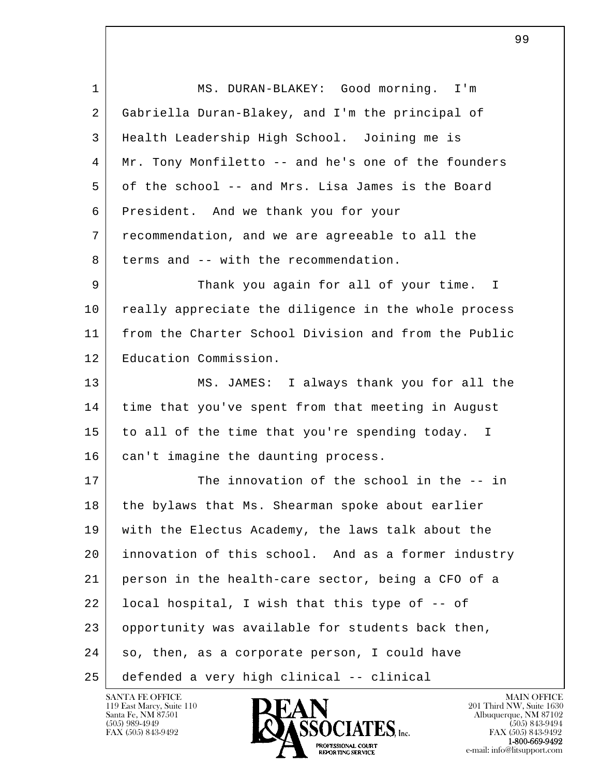| 1  | MS. DURAN-BLAKEY: Good morning. I'm                  |
|----|------------------------------------------------------|
| 2  | Gabriella Duran-Blakey, and I'm the principal of     |
| 3  | Health Leadership High School. Joining me is         |
| 4  | Mr. Tony Monfiletto -- and he's one of the founders  |
| 5  | of the school -- and Mrs. Lisa James is the Board    |
| 6  | President. And we thank you for your                 |
| 7  | recommendation, and we are agreeable to all the      |
| 8  | terms and -- with the recommendation.                |
| 9  | Thank you again for all of your time. I              |
| 10 | really appreciate the diligence in the whole process |
| 11 | from the Charter School Division and from the Public |
| 12 | Education Commission.                                |
| 13 | MS. JAMES: I always thank you for all the            |
| 14 | time that you've spent from that meeting in August   |
| 15 | to all of the time that you're spending today. I     |
| 16 | can't imagine the daunting process.                  |
| 17 | The innovation of the school in the -- in            |
| 18 | the bylaws that Ms. Shearman spoke about earlier     |
| 19 | with the Electus Academy, the laws talk about the    |
| 20 | innovation of this school. And as a former industry  |
| 21 | person in the health-care sector, being a CFO of a   |
| 22 | local hospital, I wish that this type of -- of       |
| 23 | opportunity was available for students back then,    |
| 24 | so, then, as a corporate person, I could have        |
| 25 | defended a very high clinical -- clinical            |

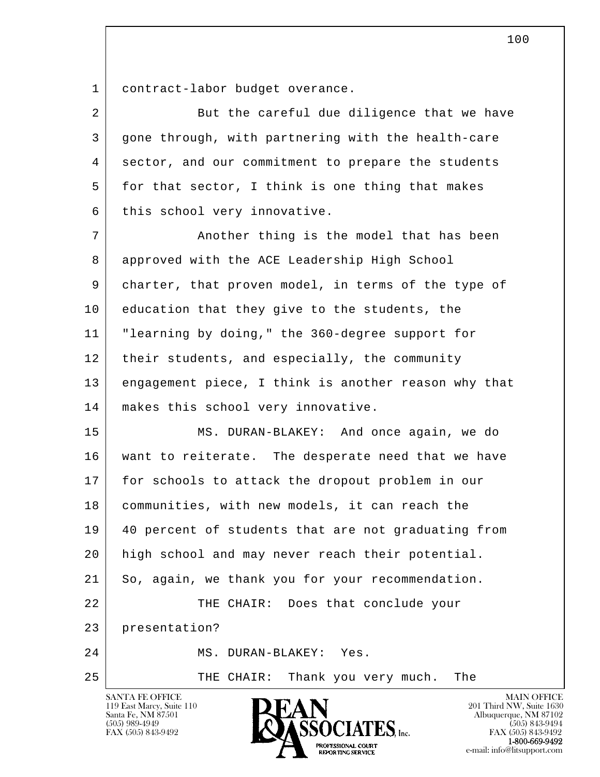1 contract-labor budget overance.

| $\overline{a}$ | But the careful due diligence that we have           |
|----------------|------------------------------------------------------|
| 3              | gone through, with partnering with the health-care   |
| 4              | sector, and our commitment to prepare the students   |
| 5              | for that sector, I think is one thing that makes     |
| 6              | this school very innovative.                         |
| 7              | Another thing is the model that has been             |
| 8              | approved with the ACE Leadership High School         |
| 9              | charter, that proven model, in terms of the type of  |
| 10             | education that they give to the students, the        |
| 11             | "learning by doing," the 360-degree support for      |
| 12             | their students, and especially, the community        |
| 13             | engagement piece, I think is another reason why that |
| 14             | makes this school very innovative.                   |
| 15             | MS. DURAN-BLAKEY: And once again, we do              |
| 16             | want to reiterate. The desperate need that we have   |
| 17             | for schools to attack the dropout problem in our     |
| 18             | communities, with new models, it can reach the       |
| 19             | 40 percent of students that are not graduating from  |
| 20             | high school and may never reach their potential.     |
| 21             | So, again, we thank you for your recommendation.     |
| 22             | THE CHAIR: Does that conclude your                   |
| 23             | presentation?                                        |
| 24             | MS. DURAN-BLAKEY: Yes.                               |
| 25             | THE CHAIR: Thank you very much.<br>The               |

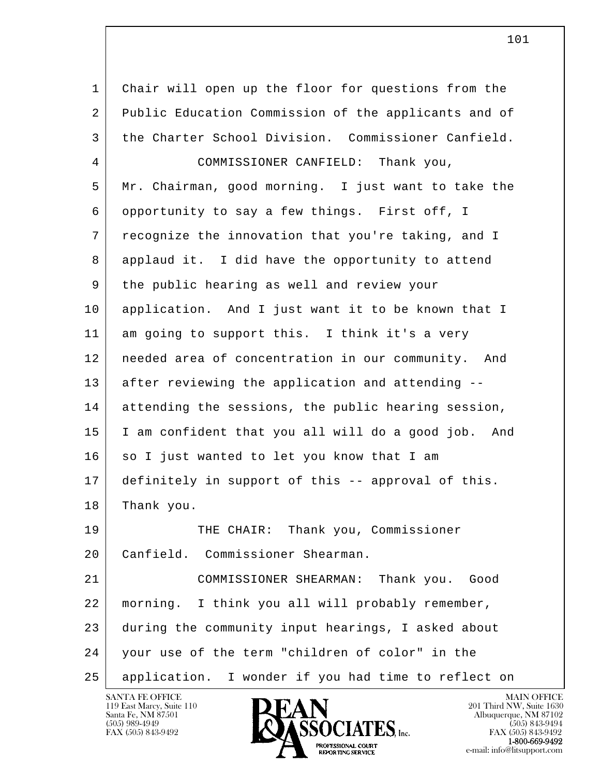l  $\overline{\phantom{a}}$  1 Chair will open up the floor for questions from the 2 | Public Education Commission of the applicants and of 3 the Charter School Division. Commissioner Canfield. 4 COMMISSIONER CANFIELD: Thank you, 5 Mr. Chairman, good morning. I just want to take the 6 opportunity to say a few things. First off, I 7 recognize the innovation that you're taking, and I 8 applaud it. I did have the opportunity to attend 9 the public hearing as well and review your 10 application. And I just want it to be known that I 11 am going to support this. I think it's a very 12 needed area of concentration in our community. And 13 after reviewing the application and attending -- 14 attending the sessions, the public hearing session, 15 I am confident that you all will do a good job. And 16 so I just wanted to let you know that I am 17 definitely in support of this -- approval of this. 18 Thank you. 19 THE CHAIR: Thank you, Commissioner 20 Canfield. Commissioner Shearman. 21 COMMISSIONER SHEARMAN: Thank you. Good 22 morning. I think you all will probably remember, 23 during the community input hearings, I asked about 24 your use of the term "children of color" in the 25 application. I wonder if you had time to reflect on

119 East Marcy, Suite 110<br>Santa Fe, NM 87501

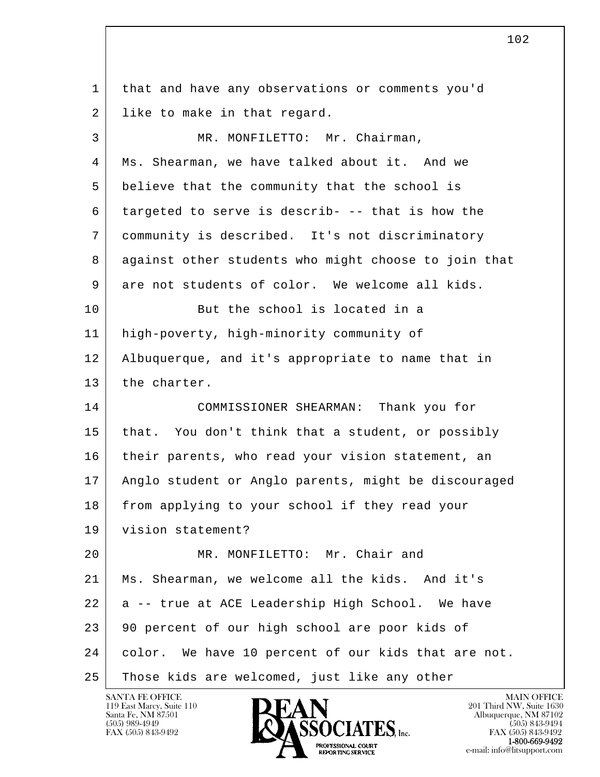l  $\overline{\phantom{a}}$ 1 | that and have any observations or comments you'd 2 like to make in that regard. 3 MR. MONFILETTO: Mr. Chairman, 4 Ms. Shearman, we have talked about it. And we 5 believe that the community that the school is 6 targeted to serve is describ- -- that is how the 7 community is described. It's not discriminatory 8 against other students who might choose to join that 9 are not students of color. We welcome all kids. 10 But the school is located in a 11 high-poverty, high-minority community of 12 Albuquerque, and it's appropriate to name that in 13 the charter. 14 COMMISSIONER SHEARMAN: Thank you for 15 that. You don't think that a student, or possibly 16 | their parents, who read your vision statement, an 17 Anglo student or Anglo parents, might be discouraged 18 from applying to your school if they read your 19 vision statement? 20 MR. MONFILETTO: Mr. Chair and 21 Ms. Shearman, we welcome all the kids. And it's  $22$  a -- true at ACE Leadership High School. We have 23 | 90 percent of our high school are poor kids of 24 color. We have 10 percent of our kids that are not. 25 Those kids are welcomed, just like any other

119 East Marcy, Suite 110<br>Santa Fe, NM 87501

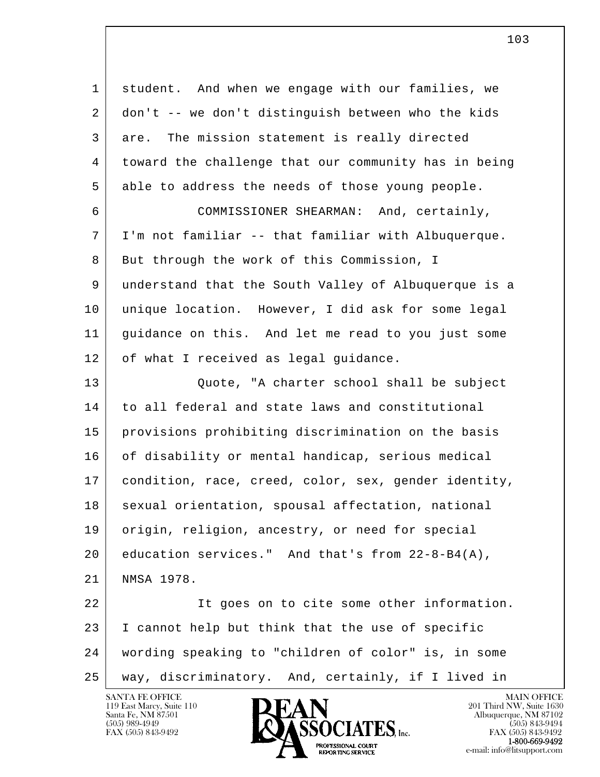| 1  | student. And when we engage with our families, we    |
|----|------------------------------------------------------|
| 2  | don't -- we don't distinguish between who the kids   |
| 3  | The mission statement is really directed<br>are.     |
| 4  | toward the challenge that our community has in being |
| 5  | able to address the needs of those young people.     |
| 6  | COMMISSIONER SHEARMAN: And, certainly,               |
| 7  | I'm not familiar -- that familiar with Albuquerque.  |
| 8  | But through the work of this Commission, I           |
| 9  | understand that the South Valley of Albuquerque is a |
| 10 | unique location. However, I did ask for some legal   |
| 11 | guidance on this. And let me read to you just some   |
| 12 | of what I received as legal guidance.                |
| 13 | Quote, "A charter school shall be subject            |
| 14 | to all federal and state laws and constitutional     |
| 15 | provisions prohibiting discrimination on the basis   |
| 16 | of disability or mental handicap, serious medical    |
| 17 | condition, race, creed, color, sex, gender identity, |
| 18 | sexual orientation, spousal affectation, national    |
| 19 | origin, religion, ancestry, or need for special      |
| 20 | education services." And that's from $22-8-B4(A)$ ,  |
| 21 | NMSA 1978.                                           |
| 22 | It goes on to cite some other information.           |
| 23 | I cannot help but think that the use of specific     |
| 24 | wording speaking to "children of color" is, in some  |
| 25 | way, discriminatory. And, certainly, if I lived in   |

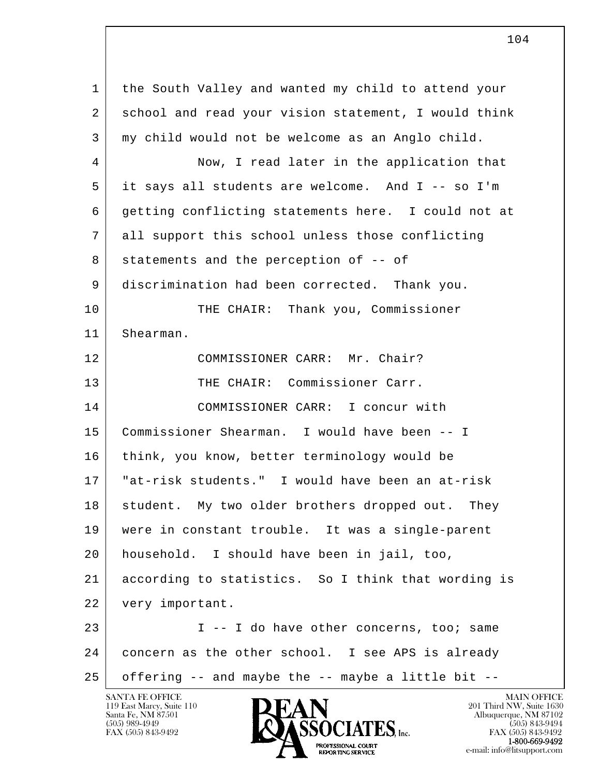l  $\overline{\phantom{a}}$  1 the South Valley and wanted my child to attend your 2 school and read your vision statement, I would think 3 my child would not be welcome as an Anglo child. 4 Now, I read later in the application that 5 it says all students are welcome. And I -- so I'm 6 getting conflicting statements here. I could not at 7 all support this school unless those conflicting 8 statements and the perception of -- of 9 discrimination had been corrected. Thank you. 10 THE CHAIR: Thank you, Commissioner 11 Shearman. 12 | COMMISSIONER CARR: Mr. Chair? 13 THE CHAIR: Commissioner Carr. 14 COMMISSIONER CARR: I concur with 15 Commissioner Shearman. I would have been -- I 16 think, you know, better terminology would be 17 "at-risk students." I would have been an at-risk 18 student. My two older brothers dropped out. They 19 were in constant trouble. It was a single-parent 20 household. I should have been in jail, too, 21 according to statistics. So I think that wording is 22 very important. 23 | T -- I do have other concerns, too; same 24 concern as the other school. I see APS is already  $25$  offering  $-$  and maybe the  $-$  maybe a little bit  $-$ 

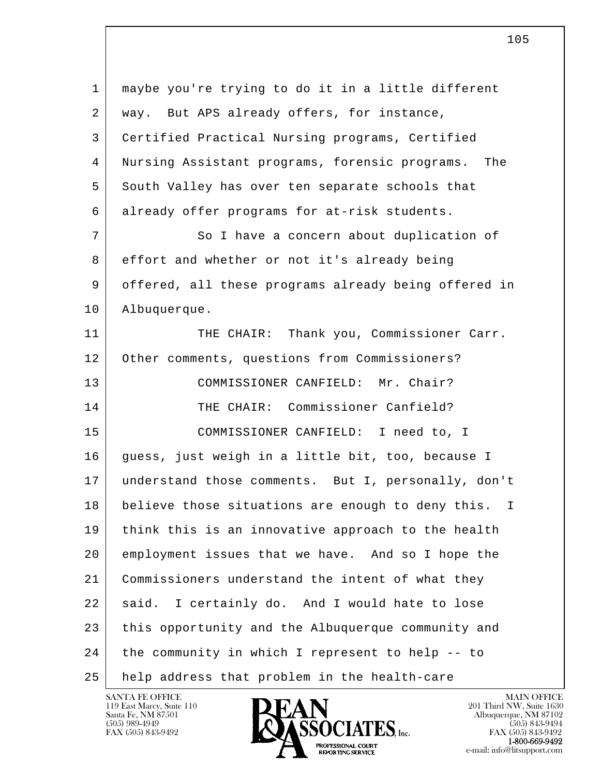| $\mathbf{1}$ | maybe you're trying to do it in a little different      |
|--------------|---------------------------------------------------------|
| 2            | way. But APS already offers, for instance,              |
| 3            | Certified Practical Nursing programs, Certified         |
| 4            | Nursing Assistant programs, forensic programs.<br>The   |
| 5            | South Valley has over ten separate schools that         |
| 6            | already offer programs for at-risk students.            |
| 7            | So I have a concern about duplication of                |
| 8            | effort and whether or not it's already being            |
| 9            | offered, all these programs already being offered in    |
| 10           | Albuquerque.                                            |
| 11           | THE CHAIR: Thank you, Commissioner Carr.                |
| 12           | Other comments, questions from Commissioners?           |
| 13           | COMMISSIONER CANFIELD: Mr. Chair?                       |
| 14           | THE CHAIR: Commissioner Canfield?                       |
| 15           | COMMISSIONER CANFIELD: I need to, I                     |
| 16           | guess, just weigh in a little bit, too, because I       |
| 17           | understand those comments. But I, personally, don't     |
| 18           | believe those situations are enough to deny this.<br>I. |
| 19           | think this is an innovative approach to the health      |
| 20           | employment issues that we have. And so I hope the       |
| 21           | Commissioners understand the intent of what they        |
| 22           | I certainly do. And I would hate to lose<br>said.       |
| 23           | this opportunity and the Albuquerque community and      |
| 24           | the community in which I represent to help -- to        |
| 25           | help address that problem in the health-care            |

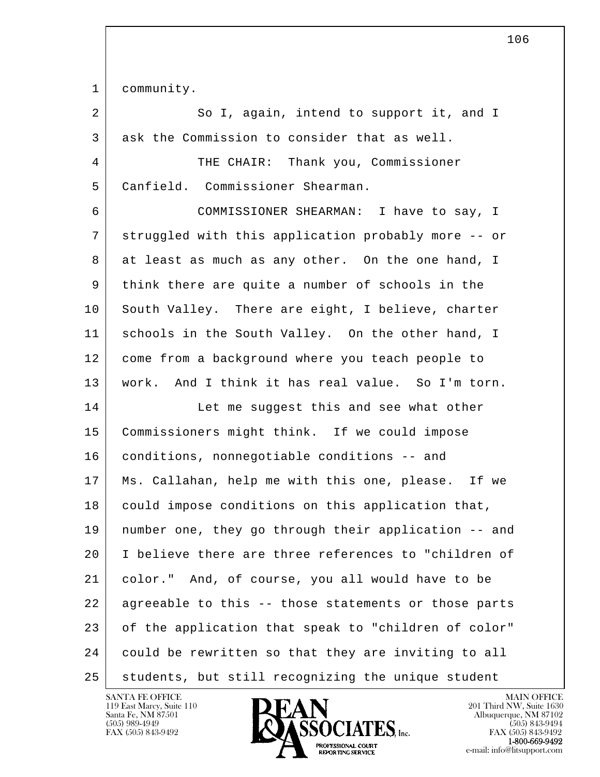1 community.

| 2 | So I, again, intend to support it, and I            |
|---|-----------------------------------------------------|
| 3 | ask the Commission to consider that as well.        |
| 4 | THE CHAIR: Thank you, Commissioner                  |
| 5 | Canfield. Commissioner Shearman.                    |
| 6 | COMMISSIONER SHEARMAN: I have to say, I             |
| 7 | struggled with this application probably more -- or |
| 8 | at least as much as any other. On the one hand, I   |

 9 think there are quite a number of schools in the 10 South Valley. There are eight, I believe, charter 11 schools in the South Valley. On the other hand, I 12 come from a background where you teach people to 13 work. And I think it has real value. So I'm torn.

l  $\overline{\phantom{a}}$ 14 Let me suggest this and see what other 15 Commissioners might think. If we could impose 16 conditions, nonnegotiable conditions -- and 17 Ms. Callahan, help me with this one, please. If we 18 could impose conditions on this application that, 19 number one, they go through their application -- and 20 I believe there are three references to "children of 21 | color." And, of course, you all would have to be 22 agreeable to this -- those statements or those parts 23 | of the application that speak to "children of color" 24 could be rewritten so that they are inviting to all 25 students, but still recognizing the unique student

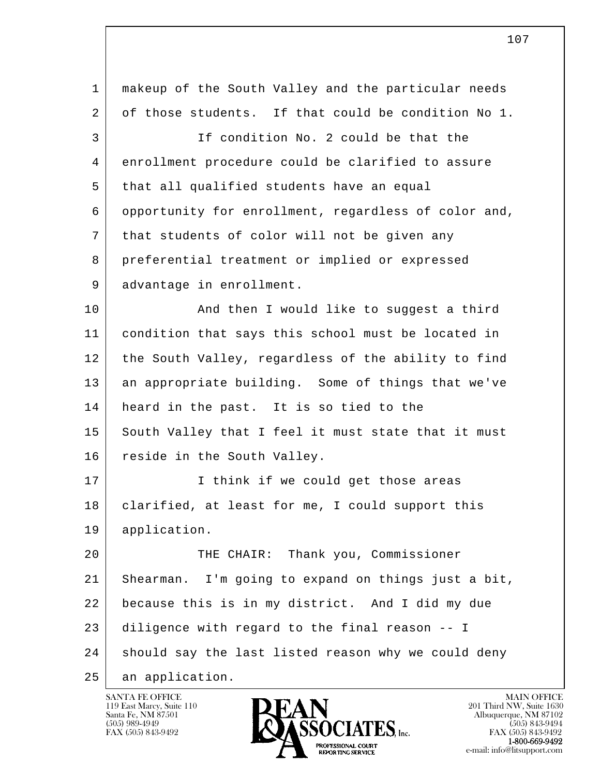| $\mathbf{1}$ | makeup of the South Valley and the particular needs  |
|--------------|------------------------------------------------------|
| 2            | of those students. If that could be condition No 1.  |
| 3            | If condition No. 2 could be that the                 |
| 4            | enrollment procedure could be clarified to assure    |
| 5            | that all qualified students have an equal            |
| 6            | opportunity for enrollment, regardless of color and, |
| 7            | that students of color will not be given any         |
| 8            | preferential treatment or implied or expressed       |
| 9            | advantage in enrollment.                             |
| 10           | And then I would like to suggest a third             |
| 11           | condition that says this school must be located in   |
| 12           | the South Valley, regardless of the ability to find  |
| 13           | an appropriate building. Some of things that we've   |
| 14           | heard in the past. It is so tied to the              |
| 15           | South Valley that I feel it must state that it must  |
| 16           | reside in the South Valley.                          |
| 17           | I think if we could get those areas                  |
| 18           | clarified, at least for me, I could support this     |
| 19           | application.                                         |
| 20           | THE CHAIR: Thank you, Commissioner                   |
| 21           | Shearman. I'm going to expand on things just a bit,  |
| 22           | because this is in my district. And I did my due     |
| 23           | diligence with regard to the final reason -- I       |
| 24           | should say the last listed reason why we could deny  |
| 25           | an application.                                      |

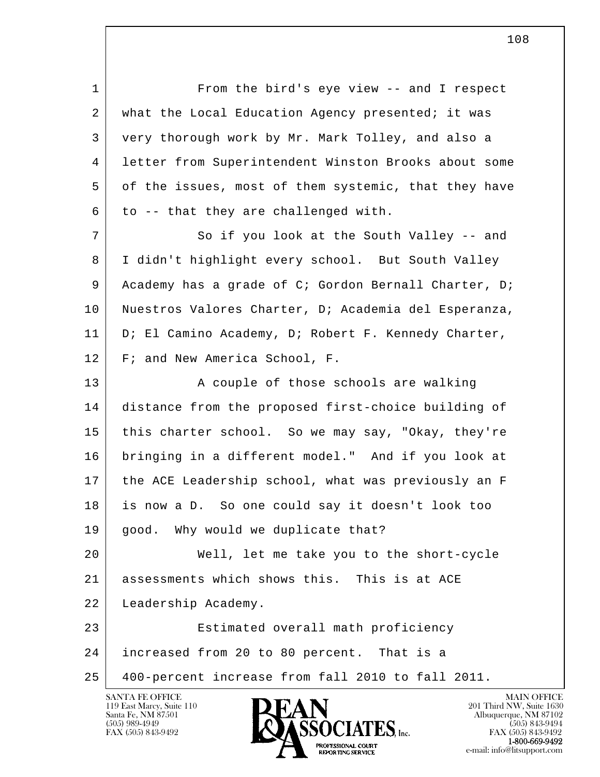1 From the bird's eye view -- and I respect 2 | what the Local Education Agency presented; it was 3 very thorough work by Mr. Mark Tolley, and also a 4 letter from Superintendent Winston Brooks about some 5 of the issues, most of them systemic, that they have  $6$  to -- that they are challenged with.

7 So if you look at the South Valley -- and 8 I didn't highlight every school. But South Valley 9 Academy has a grade of C; Gordon Bernall Charter, D; 10 Nuestros Valores Charter, D; Academia del Esperanza, 11 D; El Camino Academy, D; Robert F. Kennedy Charter, 12 F; and New America School, F.

13 A couple of those schools are walking 14 distance from the proposed first-choice building of 15 this charter school. So we may say, "Okay, they're 16 bringing in a different model." And if you look at 17 the ACE Leadership school, what was previously an F 18 is now a D. So one could say it doesn't look too 19 | good. Why would we duplicate that?

 20 Well, let me take you to the short-cycle 21 assessments which shows this. This is at ACE 22 Leadership Academy.

l  $\overline{\phantom{a}}$  23 Estimated overall math proficiency 24 increased from 20 to 80 percent. That is a 25 400-percent increase from fall 2010 to fall 2011.



FAX (505) 843-9492<br>1-800-669-9492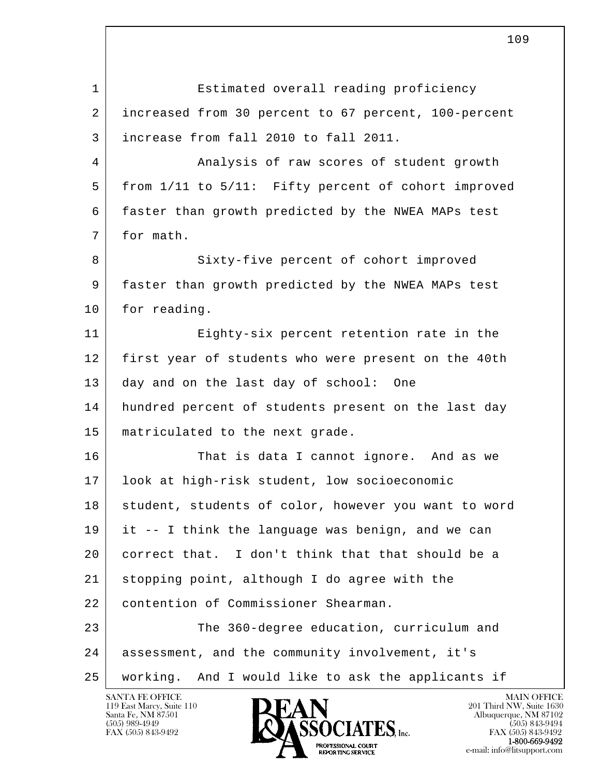| $\mathbf{1}$ | Estimated overall reading proficiency                |
|--------------|------------------------------------------------------|
| 2            | increased from 30 percent to 67 percent, 100-percent |
| 3            | increase from fall 2010 to fall 2011.                |
| 4            | Analysis of raw scores of student growth             |
| 5            | from 1/11 to 5/11: Fifty percent of cohort improved  |
| 6            | faster than growth predicted by the NWEA MAPs test   |
| 7            | for math.                                            |
| 8            | Sixty-five percent of cohort improved                |
| 9            | faster than growth predicted by the NWEA MAPs test   |
| 10           | for reading.                                         |
| 11           | Eighty-six percent retention rate in the             |
| 12           | first year of students who were present on the 40th  |
| 13           | day and on the last day of school:<br>One            |
| 14           | hundred percent of students present on the last day  |
| 15           | matriculated to the next grade.                      |
| 16           | That is data I cannot ignore. And as we              |
| 17           | look at high-risk student, low socioeconomic         |
| 18           | student, students of color, however you want to word |
| 19           | it -- I think the language was benign, and we can    |
| 20           | correct that. I don't think that that should be a    |
| 21           | stopping point, although I do agree with the         |
| 22           | contention of Commissioner Shearman.                 |
| 23           | The 360-degree education, curriculum and             |
| 24           | assessment, and the community involvement, it's      |
| 25           | working. And I would like to ask the applicants if   |

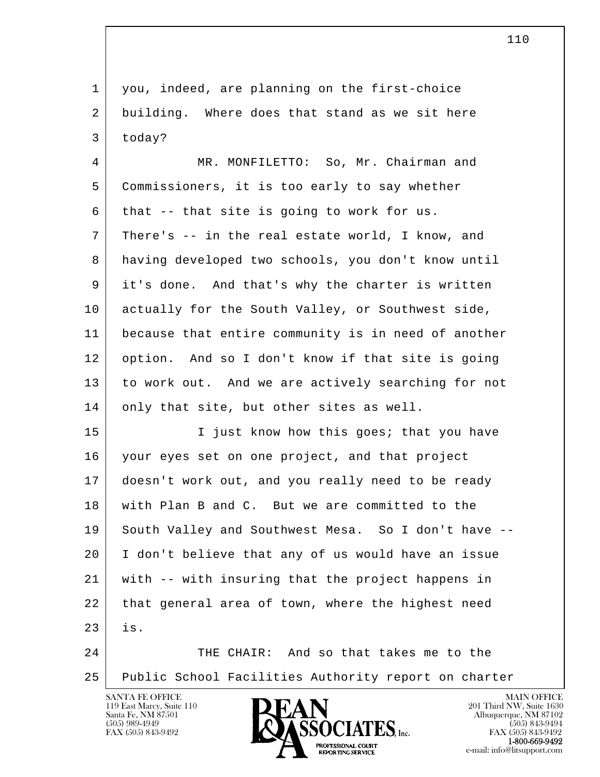l  $\overline{\phantom{a}}$  1 you, indeed, are planning on the first-choice 2 building. Where does that stand as we sit here  $3$  today? 4 MR. MONFILETTO: So, Mr. Chairman and 5 Commissioners, it is too early to say whether 6 that  $-$  that site is going to work for us. 7 There's -- in the real estate world, I know, and 8 having developed two schools, you don't know until 9 it's done. And that's why the charter is written 10 | actually for the South Valley, or Southwest side, 11 because that entire community is in need of another 12 option. And so I don't know if that site is going 13 to work out. And we are actively searching for not 14 only that site, but other sites as well. 15 I just know how this goes; that you have 16 your eyes set on one project, and that project 17 doesn't work out, and you really need to be ready 18 with Plan B and C. But we are committed to the 19 South Valley and Southwest Mesa. So I don't have -- 20 I don't believe that any of us would have an issue 21 with -- with insuring that the project happens in 22 that general area of town, where the highest need 23 is. 24 THE CHAIR: And so that takes me to the 25 Public School Facilities Authority report on charter

119 East Marcy, Suite 110<br>Santa Fe, NM 87501



FAX (505) 843-9492<br>**1-800-669-9492**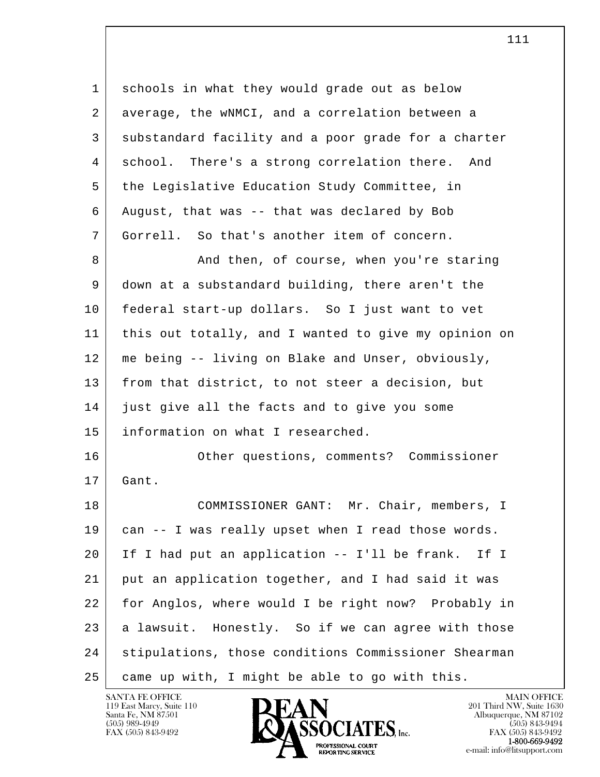| 1  | schools in what they would grade out as below         |
|----|-------------------------------------------------------|
| 2  | average, the wNMCI, and a correlation between a       |
| 3  | substandard facility and a poor grade for a charter   |
| 4  | school. There's a strong correlation there. And       |
| 5  | the Legislative Education Study Committee, in         |
| 6  | August, that was -- that was declared by Bob          |
| 7  | Gorrell. So that's another item of concern.           |
| 8  | And then, of course, when you're staring              |
| 9  | down at a substandard building, there aren't the      |
| 10 | federal start-up dollars. So I just want to vet       |
| 11 | this out totally, and I wanted to give my opinion on  |
| 12 | me being -- living on Blake and Unser, obviously,     |
| 13 | from that district, to not steer a decision, but      |
| 14 | just give all the facts and to give you some          |
| 15 | information on what I researched.                     |
| 16 | Other questions, comments? Commissioner               |
| 17 | Gant.                                                 |
| 18 | COMMISSIONER GANT: Mr. Chair, members, I              |
| 19 | can -- I was really upset when I read those words.    |
| 20 | If I had put an application -- I'll be frank.<br>If I |
| 21 | put an application together, and I had said it was    |
| 22 | for Anglos, where would I be right now? Probably in   |
| 23 | a lawsuit. Honestly. So if we can agree with those    |
| 24 | stipulations, those conditions Commissioner Shearman  |
| 25 | came up with, I might be able to go with this.        |

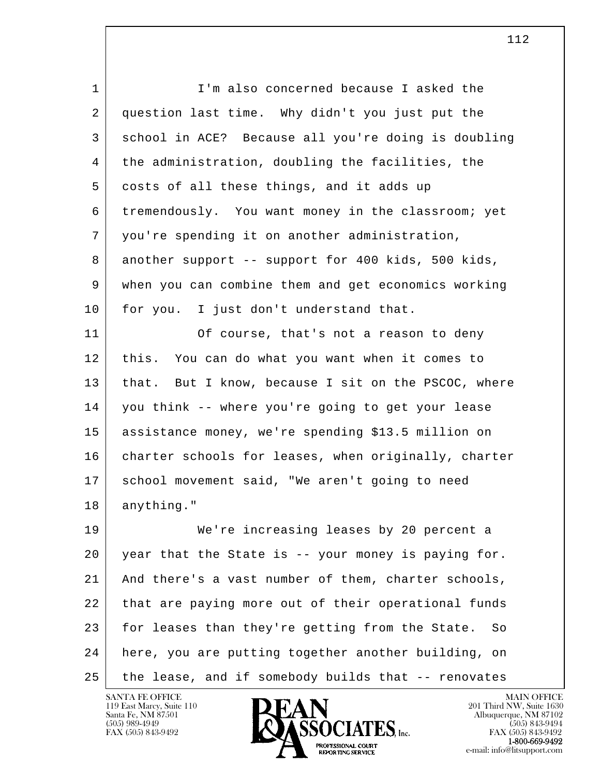| $\mathbf{1}$ | I'm also concerned because I asked the                |
|--------------|-------------------------------------------------------|
| 2            | question last time. Why didn't you just put the       |
| 3            | school in ACE? Because all you're doing is doubling   |
| 4            | the administration, doubling the facilities, the      |
| 5            | costs of all these things, and it adds up             |
| 6            | tremendously. You want money in the classroom; yet    |
| 7            | you're spending it on another administration,         |
| 8            | another support -- support for 400 kids, 500 kids,    |
| 9            | when you can combine them and get economics working   |
| 10           | for you. I just don't understand that.                |
| 11           | Of course, that's not a reason to deny                |
| 12           | this. You can do what you want when it comes to       |
| 13           | that. But I know, because I sit on the PSCOC, where   |
| 14           | you think -- where you're going to get your lease     |
| 15           | assistance money, we're spending \$13.5 million on    |
| 16           | charter schools for leases, when originally, charter  |
| 17           | school movement said, "We aren't going to need        |
| 18           | anything."                                            |
| 19           | We're increasing leases by 20 percent a               |
| 20           | year that the State is -- your money is paying for.   |
| 21           | And there's a vast number of them, charter schools,   |
| 22           | that are paying more out of their operational funds   |
| 23           | for leases than they're getting from the State.<br>So |
| 24           | here, you are putting together another building, on   |
| 25           | the lease, and if somebody builds that -- renovates   |

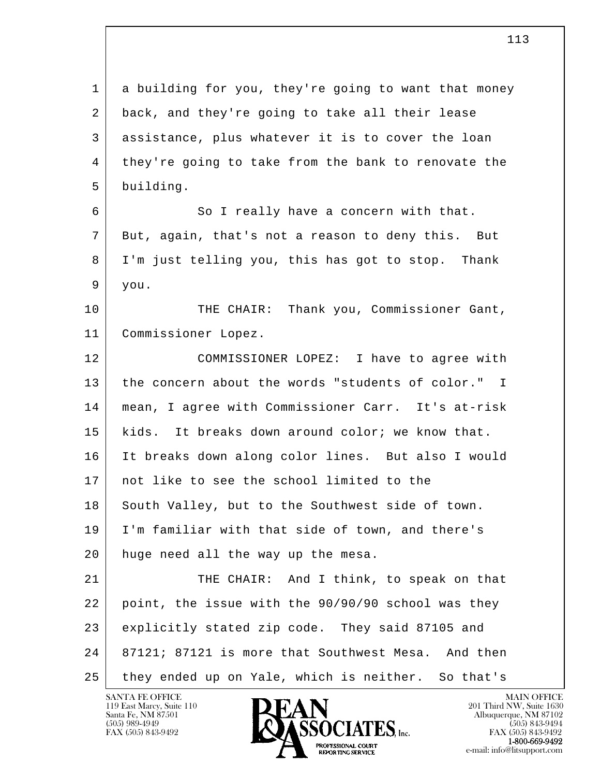l  $\overline{\phantom{a}}$  1 a building for you, they're going to want that money 2 back, and they're going to take all their lease 3 assistance, plus whatever it is to cover the loan 4 they're going to take from the bank to renovate the 5 building. 6 So I really have a concern with that. 7 But, again, that's not a reason to deny this. But 8 I'm just telling you, this has got to stop. Thank  $9$  you. 10 THE CHAIR: Thank you, Commissioner Gant, 11 Commissioner Lopez. 12 COMMISSIONER LOPEZ: I have to agree with 13 the concern about the words "students of color." I 14 mean, I agree with Commissioner Carr. It's at-risk 15 kids. It breaks down around color; we know that. 16 It breaks down along color lines. But also I would 17 | not like to see the school limited to the 18 South Valley, but to the Southwest side of town. 19 I'm familiar with that side of town, and there's 20 huge need all the way up the mesa. 21 THE CHAIR: And I think, to speak on that 22 point, the issue with the 90/90/90 school was they 23 explicitly stated zip code. They said 87105 and  $24$  87121; 87121 is more that Southwest Mesa. And then 25 they ended up on Yale, which is neither. So that's

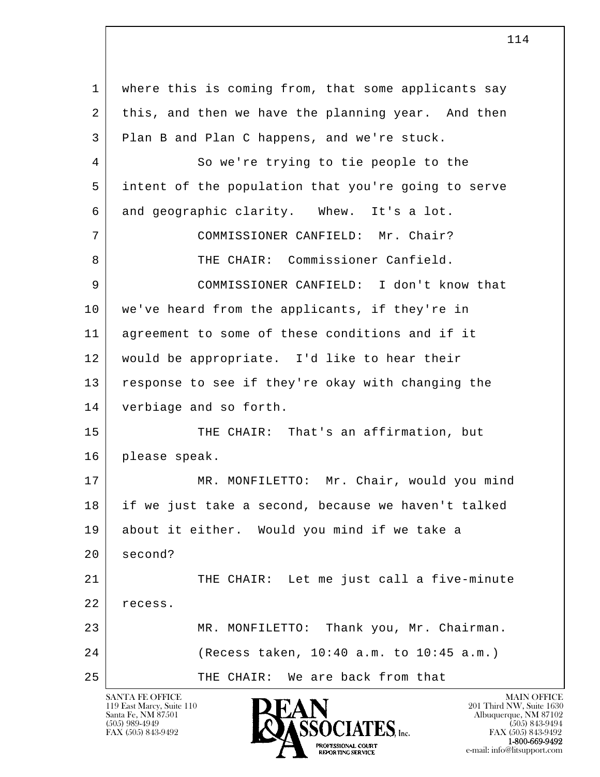l  $\overline{\phantom{a}}$  1 where this is coming from, that some applicants say 2 this, and then we have the planning year. And then 3 Plan B and Plan C happens, and we're stuck. 4 So we're trying to tie people to the 5 intent of the population that you're going to serve 6 and geographic clarity. Whew. It's a lot. 7 COMMISSIONER CANFIELD: Mr. Chair? 8 THE CHAIR: Commissioner Canfield. 9 COMMISSIONER CANFIELD: I don't know that 10 we've heard from the applicants, if they're in 11 agreement to some of these conditions and if it 12 would be appropriate. I'd like to hear their 13 response to see if they're okay with changing the 14 verbiage and so forth. 15 THE CHAIR: That's an affirmation, but 16 please speak. 17 MR. MONFILETTO: Mr. Chair, would you mind 18 if we just take a second, because we haven't talked 19 about it either. Would you mind if we take a 20 second? 21 THE CHAIR: Let me just call a five-minute 22 recess. 23 MR. MONFILETTO: Thank you, Mr. Chairman. 24 (Recess taken, 10:40 a.m. to 10:45 a.m.) 25 THE CHAIR: We are back from that

114

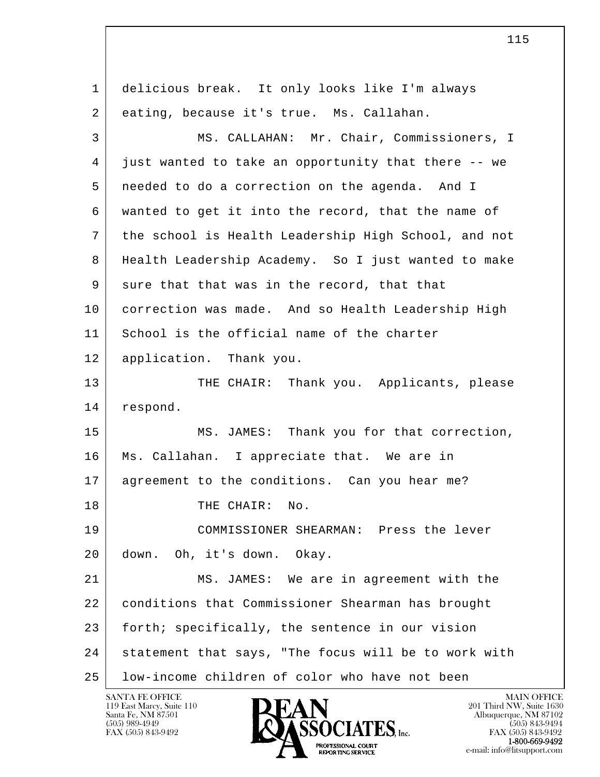l  $\overline{\phantom{a}}$  1 delicious break. It only looks like I'm always 2 eating, because it's true. Ms. Callahan. 3 MS. CALLAHAN: Mr. Chair, Commissioners, I 4 just wanted to take an opportunity that there -- we 5 needed to do a correction on the agenda. And I 6 wanted to get it into the record, that the name of 7 the school is Health Leadership High School, and not 8 Health Leadership Academy. So I just wanted to make 9 sure that that was in the record, that that 10 correction was made. And so Health Leadership High 11 School is the official name of the charter 12 application. Thank you. 13 THE CHAIR: Thank you. Applicants, please 14 respond. 15 MS. JAMES: Thank you for that correction, 16 Ms. Callahan. I appreciate that. We are in 17 agreement to the conditions. Can you hear me? 18 THE CHAIR: No. 19 COMMISSIONER SHEARMAN: Press the lever 20 down. Oh, it's down. Okay. 21 MS. JAMES: We are in agreement with the 22 conditions that Commissioner Shearman has brought 23 forth; specifically, the sentence in our vision 24 statement that says, "The focus will be to work with 25 low-income children of color who have not been

115

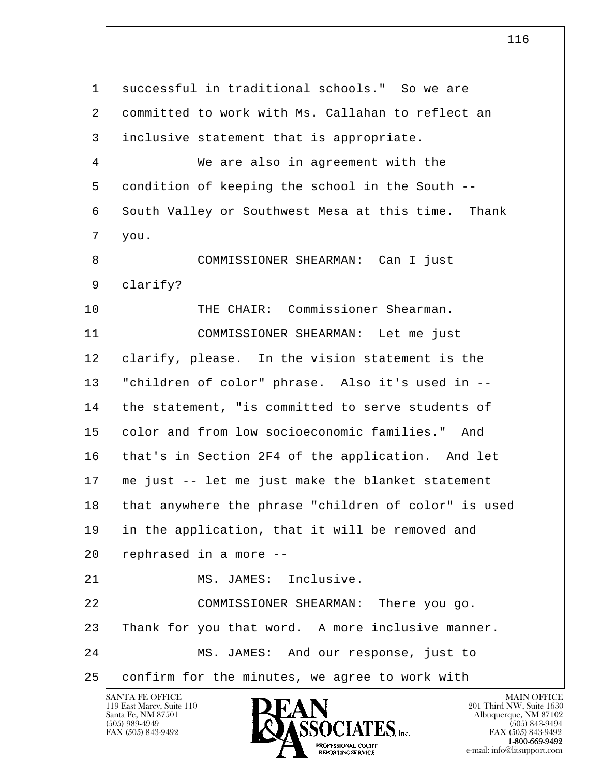l  $\overline{\phantom{a}}$  1 successful in traditional schools." So we are 2 committed to work with Ms. Callahan to reflect an 3 inclusive statement that is appropriate. 4 We are also in agreement with the 5 condition of keeping the school in the South -- 6 South Valley or Southwest Mesa at this time. Thank 7 you. 8 COMMISSIONER SHEARMAN: Can I just 9 clarify? 10 THE CHAIR: Commissioner Shearman. 11 COMMISSIONER SHEARMAN: Let me just 12 clarify, please. In the vision statement is the 13 "children of color" phrase. Also it's used in -- 14 | the statement, "is committed to serve students of 15 color and from low socioeconomic families." And 16 | that's in Section 2F4 of the application. And let 17 me just -- let me just make the blanket statement 18 that anywhere the phrase "children of color" is used 19 in the application, that it will be removed and 20 rephrased in a more -- 21 MS. JAMES: Inclusive. 22 COMMISSIONER SHEARMAN: There you go. 23 Thank for you that word. A more inclusive manner. 24 MS. JAMES: And our response, just to 25 confirm for the minutes, we agree to work with

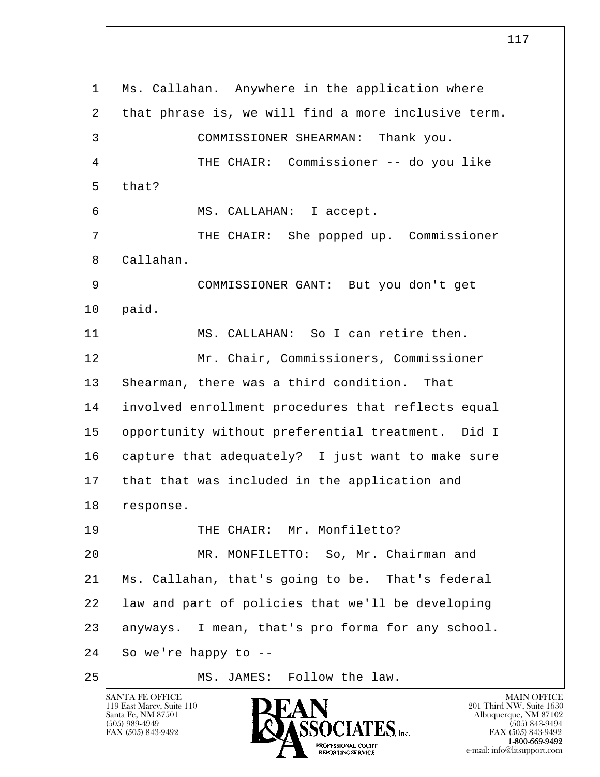l  $\overline{\phantom{a}}$  1 Ms. Callahan. Anywhere in the application where 2 | that phrase is, we will find a more inclusive term. 3 COMMISSIONER SHEARMAN: Thank you. 4 THE CHAIR: Commissioner -- do you like  $5$  that? 6 MS. CALLAHAN: I accept. 7 THE CHAIR: She popped up. Commissioner 8 Callahan. 9 COMMISSIONER GANT: But you don't get 10 paid. 11 MS. CALLAHAN: So I can retire then. 12 Mr. Chair, Commissioners, Commissioner 13 | Shearman, there was a third condition. That 14 involved enrollment procedures that reflects equal 15 opportunity without preferential treatment. Did I 16 capture that adequately? I just want to make sure 17 that that was included in the application and 18 response. 19 THE CHAIR: Mr. Monfiletto? 20 MR. MONFILETTO: So, Mr. Chairman and 21 Ms. Callahan, that's going to be. That's federal 22 | law and part of policies that we'll be developing 23 anyways. I mean, that's pro forma for any school.  $24$  So we're happy to  $-$ 25 MS. JAMES: Follow the law.

119 East Marcy, Suite 110<br>Santa Fe, NM 87501



FAX (505) 843-9492<br>1-800-669-9492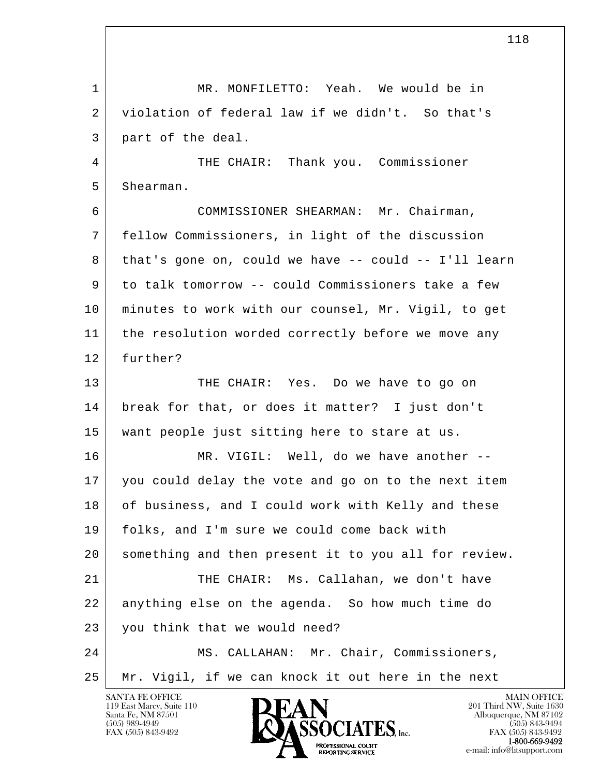l  $\overline{\phantom{a}}$  1 MR. MONFILETTO: Yeah. We would be in 2 violation of federal law if we didn't. So that's 3 part of the deal. 4 THE CHAIR: Thank you. Commissioner 5 Shearman. 6 COMMISSIONER SHEARMAN: Mr. Chairman, 7 fellow Commissioners, in light of the discussion 8 that's gone on, could we have -- could -- I'll learn 9 to talk tomorrow -- could Commissioners take a few 10 minutes to work with our counsel, Mr. Vigil, to get 11 | the resolution worded correctly before we move any 12 further? 13 THE CHAIR: Yes. Do we have to go on 14 break for that, or does it matter? I just don't 15 want people just sitting here to stare at us. 16 MR. VIGIL: Well, do we have another -- 17 you could delay the vote and go on to the next item 18 of business, and I could work with Kelly and these 19 folks, and I'm sure we could come back with 20 something and then present it to you all for review. 21 THE CHAIR: Ms. Callahan, we don't have 22 anything else on the agenda. So how much time do 23 you think that we would need? 24 MS. CALLAHAN: Mr. Chair, Commissioners, 25 Mr. Vigil, if we can knock it out here in the next

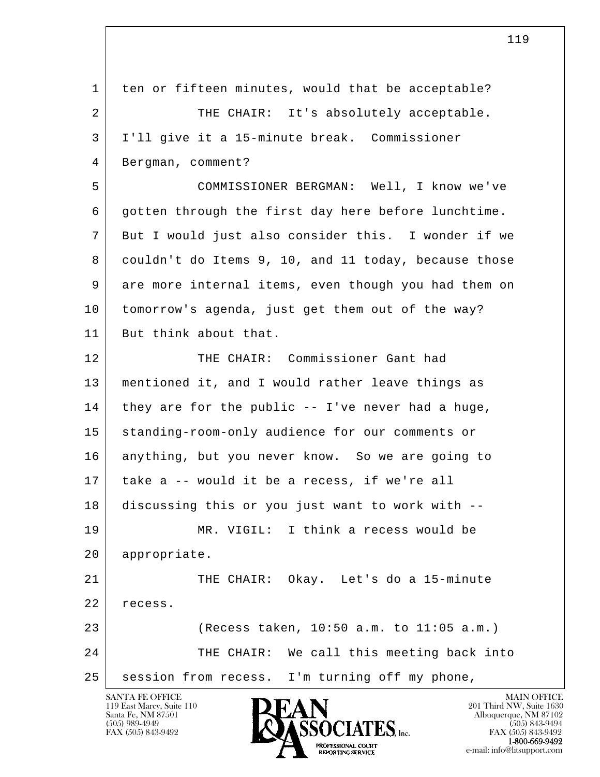| 1  | ten or fifteen minutes, would that be acceptable?    |
|----|------------------------------------------------------|
| 2  | THE CHAIR: It's absolutely acceptable.               |
| 3  | I'll give it a 15-minute break. Commissioner         |
| 4  | Bergman, comment?                                    |
| 5  | COMMISSIONER BERGMAN: Well, I know we've             |
| 6  | gotten through the first day here before lunchtime.  |
| 7  | But I would just also consider this. I wonder if we  |
| 8  | couldn't do Items 9, 10, and 11 today, because those |
| 9  | are more internal items, even though you had them on |
| 10 | tomorrow's agenda, just get them out of the way?     |
| 11 | But think about that.                                |
| 12 | THE CHAIR: Commissioner Gant had                     |
| 13 | mentioned it, and I would rather leave things as     |
| 14 | they are for the public -- I've never had a huge,    |
| 15 | standing-room-only audience for our comments or      |
| 16 | anything, but you never know. So we are going to     |
| 17 | take a -- would it be a recess, if we're all         |
| 18 | discussing this or you just want to work with --     |
| 19 | I think a recess would be<br>MR. VIGIL:              |
| 20 | appropriate.                                         |
| 21 | THE CHAIR: Okay. Let's do a 15-minute                |
| 22 | recess.                                              |
| 23 | (Recess taken, 10:50 a.m. to 11:05 a.m.)             |
| 24 | THE CHAIR: We call this meeting back into            |
| 25 | session from recess.<br>I'm turning off my phone,    |
|    | SANTA FE OFFICE<br><b>MAIN OFFICE</b>                |



119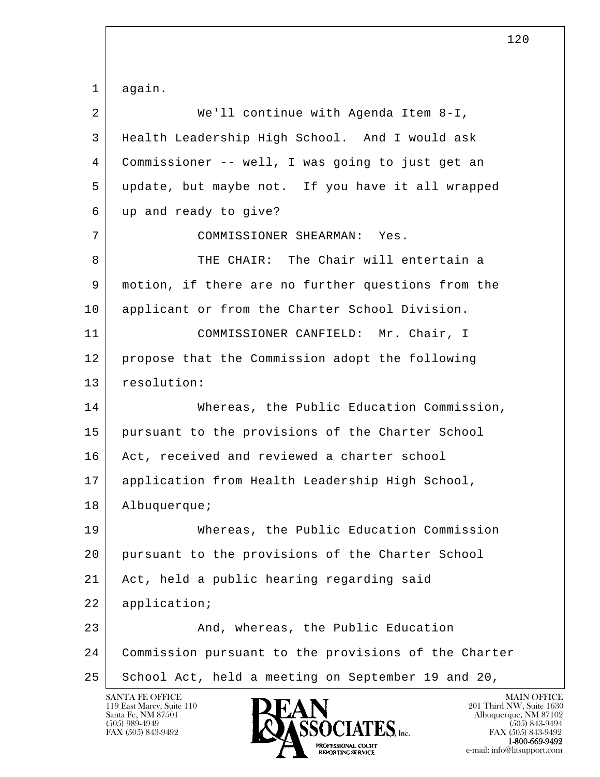l  $\overline{\phantom{a}}$  1 again. 2 We'll continue with Agenda Item 8-I, 3 Health Leadership High School. And I would ask 4 Commissioner -- well, I was going to just get an 5 update, but maybe not. If you have it all wrapped 6 up and ready to give? 7 COMMISSIONER SHEARMAN: Yes. 8 THE CHAIR: The Chair will entertain a 9 motion, if there are no further questions from the 10 applicant or from the Charter School Division. 11 | COMMISSIONER CANFIELD: Mr. Chair, I 12 propose that the Commission adopt the following 13 resolution: 14 Whereas, the Public Education Commission, 15 pursuant to the provisions of the Charter School 16 Act, received and reviewed a charter school 17 application from Health Leadership High School, 18 Albuquerque; 19 Whereas, the Public Education Commission 20 pursuant to the provisions of the Charter School 21 Act, held a public hearing regarding said 22 application; 23 And, whereas, the Public Education 24 Commission pursuant to the provisions of the Charter 25 School Act, held a meeting on September 19 and 20,

120

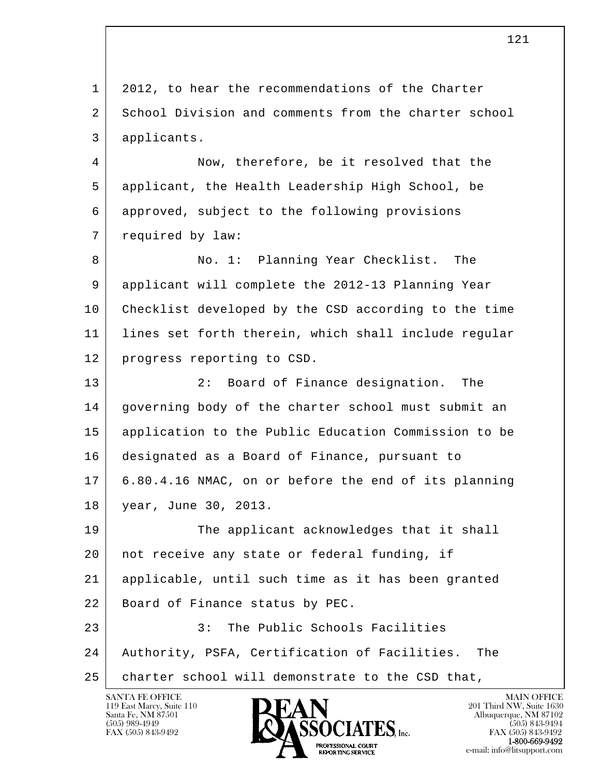l  $\overline{\phantom{a}}$  1 2012, to hear the recommendations of the Charter 2 School Division and comments from the charter school 3 applicants. 4 Now, therefore, be it resolved that the 5 applicant, the Health Leadership High School, be 6 approved, subject to the following provisions 7 | required by law: 8 No. 1: Planning Year Checklist. The 9 applicant will complete the 2012-13 Planning Year 10 Checklist developed by the CSD according to the time 11 | lines set forth therein, which shall include regular 12 progress reporting to CSD. 13 2: Board of Finance designation. The 14 governing body of the charter school must submit an 15 application to the Public Education Commission to be 16 designated as a Board of Finance, pursuant to 17 6.80.4.16 NMAC, on or before the end of its planning 18 year, June 30, 2013. 19 The applicant acknowledges that it shall 20 not receive any state or federal funding, if 21 applicable, until such time as it has been granted 22 Board of Finance status by PEC. 23 | 3: The Public Schools Facilities 24 Authority, PSFA, Certification of Facilities. The 25 | charter school will demonstrate to the CSD that,

119 East Marcy, Suite 110<br>Santa Fe, NM 87501



121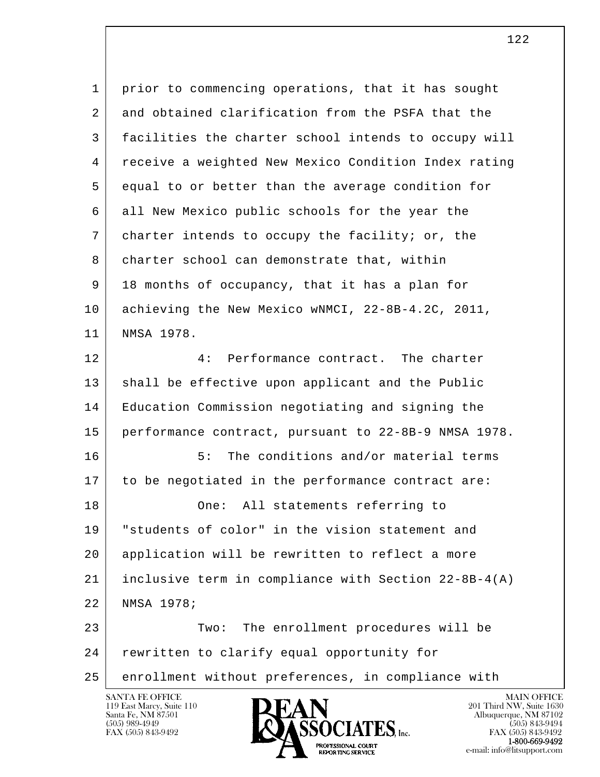| $\mathbf 1$ | prior to commencing operations, that it has sought         |
|-------------|------------------------------------------------------------|
| 2           | and obtained clarification from the PSFA that the          |
| 3           | facilities the charter school intends to occupy will       |
| 4           | receive a weighted New Mexico Condition Index rating       |
| 5           | equal to or better than the average condition for          |
| 6           | all New Mexico public schools for the year the             |
| 7           | charter intends to occupy the facility; or, the            |
| 8           | charter school can demonstrate that, within                |
| 9           | 18 months of occupancy, that it has a plan for             |
| 10          | achieving the New Mexico wNMCI, 22-8B-4.2C, 2011,          |
| 11          | NMSA 1978.                                                 |
| 12          | Performance contract. The charter<br>4:                    |
| 13          | shall be effective upon applicant and the Public           |
| 14          | Education Commission negotiating and signing the           |
| 15          | performance contract, pursuant to 22-8B-9 NMSA 1978.       |
| 16          | The conditions and/or material terms<br>5:                 |
| 17          | to be negotiated in the performance contract are:          |
| 18          | One: All statements referring to                           |
| 19          | "students of color" in the vision statement and            |
| 20          | application will be rewritten to reflect a more            |
| 21          | inclusive term in compliance with Section $22 - 8B - 4(A)$ |
| 22          | NMSA 1978;                                                 |
| 23          | The enrollment procedures will be<br>Two:                  |
| 24          | rewritten to clarify equal opportunity for                 |
| 25          | enrollment without preferences, in compliance with         |
|             |                                                            |

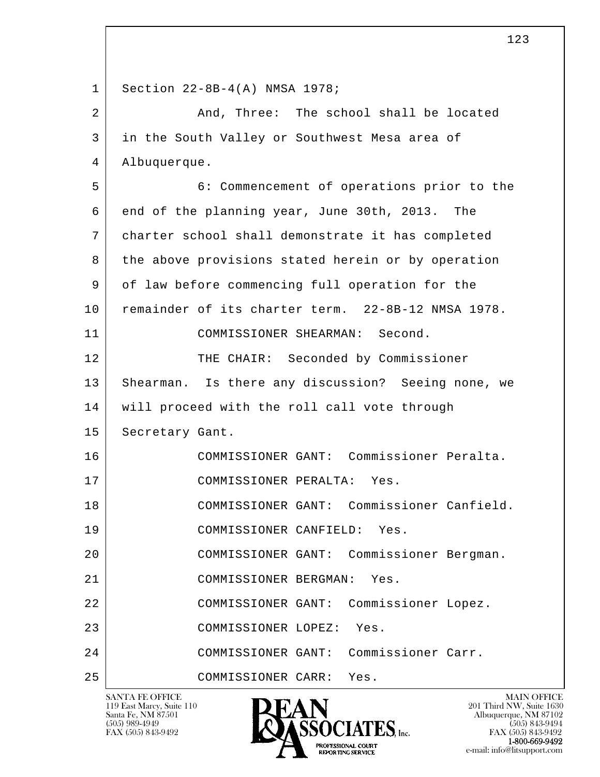l  $\overline{\phantom{a}}$  1 Section 22-8B-4(A) NMSA 1978; 2 And, Three: The school shall be located 3 in the South Valley or Southwest Mesa area of 4 Albuquerque. 5 6: Commencement of operations prior to the 6 end of the planning year, June 30th, 2013. The 7 charter school shall demonstrate it has completed 8 the above provisions stated herein or by operation 9 of law before commencing full operation for the 10 remainder of its charter term. 22-8B-12 NMSA 1978. 11 COMMISSIONER SHEARMAN: Second. 12 THE CHAIR: Seconded by Commissioner 13 | Shearman. Is there any discussion? Seeing none, we 14 will proceed with the roll call vote through 15 | Secretary Gant. 16 COMMISSIONER GANT: Commissioner Peralta. 17 COMMISSIONER PERALTA: Yes. 18 COMMISSIONER GANT: Commissioner Canfield. 19 COMMISSIONER CANFIELD: Yes. 20 COMMISSIONER GANT: Commissioner Bergman. 21 COMMISSIONER BERGMAN: Yes. 22 COMMISSIONER GANT: Commissioner Lopez. 23 COMMISSIONER LOPEZ: Yes. 24 COMMISSIONER GANT: Commissioner Carr. 25 COMMISSIONER CARR: Yes.

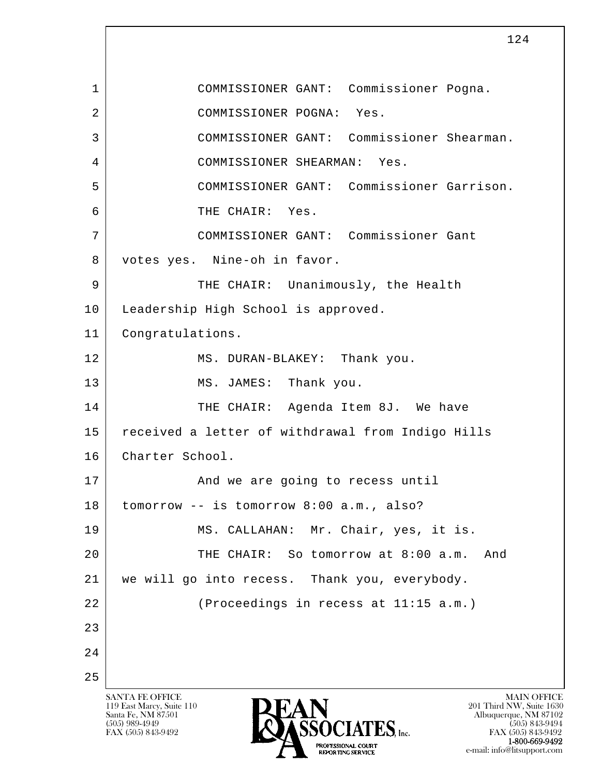l  $\overline{\phantom{a}}$ SANTA FE OFFICE MAIN OFFICE MAIN OFFICE MAIN OFFICE MAIN OFFICE 119 East Marcy, Suite 110<br>Santa Fe, NM 87501 124 1 COMMISSIONER GANT: Commissioner Pogna. 2 COMMISSIONER POGNA: Yes. 3 COMMISSIONER GANT: Commissioner Shearman. 4 COMMISSIONER SHEARMAN: Yes. 5 COMMISSIONER GANT: Commissioner Garrison. 6 THE CHAIR: Yes. 7 COMMISSIONER GANT: Commissioner Gant 8 votes yes. Nine-oh in favor. 9 THE CHAIR: Unanimously, the Health 10 | Leadership High School is approved. 11 Congratulations. 12 MS. DURAN-BLAKEY: Thank you. 13 MS. JAMES: Thank you. 14 THE CHAIR: Agenda Item 8J. We have 15 received a letter of withdrawal from Indigo Hills 16 | Charter School. 17 And we are going to recess until 18 tomorrow -- is tomorrow 8:00 a.m., also? 19 MS. CALLAHAN: Mr. Chair, yes, it is. 20 THE CHAIR: So tomorrow at 8:00 a.m. And 21 we will go into recess. Thank you, everybody. 22 (Proceedings in recess at 11:15 a.m.) 23 24 25